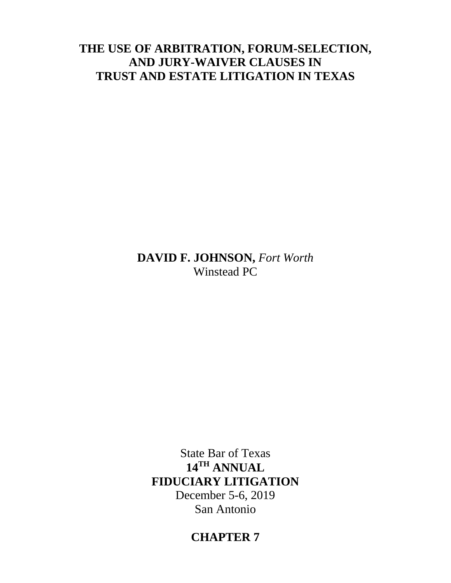# **THE USE OF ARBITRATION, FORUM-SELECTION, AND JURY-WAIVER CLAUSES IN TRUST AND ESTATE LITIGATION IN TEXAS**

**DAVID F. JOHNSON,** *Fort Worth* Winstead PC

State Bar of Texas **14TH ANNUAL FIDUCIARY LITIGATION** December 5-6, 2019 San Antonio

# **CHAPTER 7**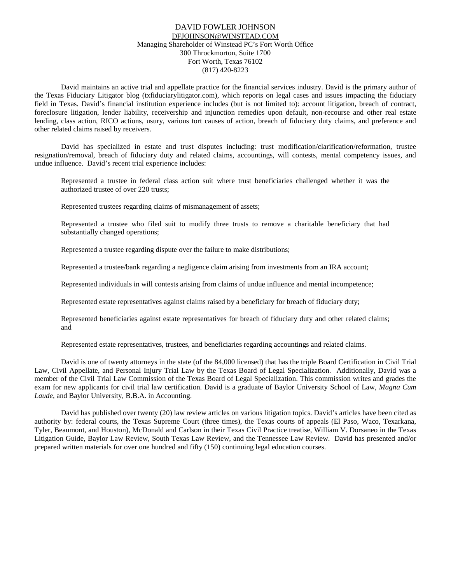#### DAVID FOWLER JOHNSON [DFJOHNSON@WINSTEAD.COM](mailto:DJOHNSON@FULBRIGHTLAW.COM) Managing Shareholder of Winstead PC's Fort Worth Office 300 Throckmorton, Suite 1700 Fort Worth, Texas 76102 (817) 420-8223

David maintains an active trial and appellate practice for the financial services industry. David is the primary author of the Texas Fiduciary Litigator blog (txfiduciarylitigator.com), which reports on legal cases and issues impacting the fiduciary field in Texas. David's financial institution experience includes (but is not limited to): account litigation, breach of contract, foreclosure litigation, lender liability, receivership and injunction remedies upon default, non-recourse and other real estate lending, class action, RICO actions, usury, various tort causes of action, breach of fiduciary duty claims, and preference and other related claims raised by receivers.

David has specialized in estate and trust disputes including: trust modification/clarification/reformation, trustee resignation/removal, breach of fiduciary duty and related claims, accountings, will contests, mental competency issues, and undue influence. David's recent trial experience includes:

Represented a trustee in federal class action suit where trust beneficiaries challenged whether it was the authorized trustee of over 220 trusts;

Represented trustees regarding claims of mismanagement of assets;

Represented a trustee who filed suit to modify three trusts to remove a charitable beneficiary that had substantially changed operations;

Represented a trustee regarding dispute over the failure to make distributions;

Represented a trustee/bank regarding a negligence claim arising from investments from an IRA account;

Represented individuals in will contests arising from claims of undue influence and mental incompetence;

Represented estate representatives against claims raised by a beneficiary for breach of fiduciary duty;

Represented beneficiaries against estate representatives for breach of fiduciary duty and other related claims; and

Represented estate representatives, trustees, and beneficiaries regarding accountings and related claims.

David is one of twenty attorneys in the state (of the 84,000 licensed) that has the triple Board Certification in Civil Trial Law, Civil Appellate, and Personal Injury Trial Law by the Texas Board of Legal Specialization. Additionally, David was a member of the Civil Trial Law Commission of the Texas Board of Legal Specialization. This commission writes and grades the exam for new applicants for civil trial law certification. David is a graduate of Baylor University School of Law*, Magna Cum Laude*, and Baylor University*,* B.B.A. in Accounting.

David has published over twenty (20) law review articles on various litigation topics. David's articles have been cited as authority by: federal courts, the Texas Supreme Court (three times), the Texas courts of appeals (El Paso, Waco, Texarkana, Tyler, Beaumont, and Houston), McDonald and Carlson in their Texas Civil Practice treatise, William V. Dorsaneo in the Texas Litigation Guide, Baylor Law Review, South Texas Law Review, and the Tennessee Law Review. David has presented and/or prepared written materials for over one hundred and fifty (150) continuing legal education courses.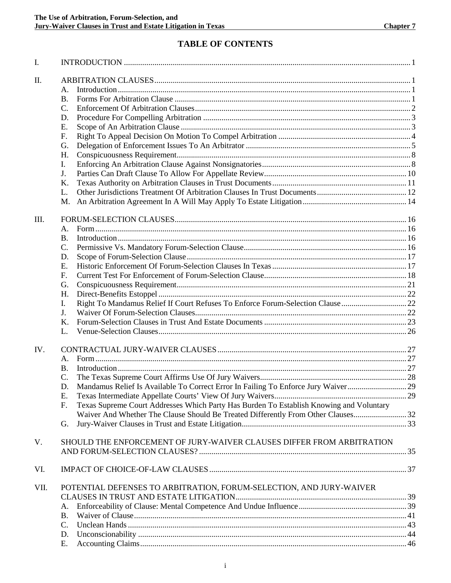# **TABLE OF CONTENTS**

| I.   |                                                                                               |  |
|------|-----------------------------------------------------------------------------------------------|--|
| II.  |                                                                                               |  |
|      | А.                                                                                            |  |
|      | <b>B.</b>                                                                                     |  |
|      | C.                                                                                            |  |
|      |                                                                                               |  |
|      | D.                                                                                            |  |
|      | E.                                                                                            |  |
|      | F.                                                                                            |  |
|      | G.                                                                                            |  |
|      | H.                                                                                            |  |
|      | I.                                                                                            |  |
|      | J.                                                                                            |  |
|      | Κ.                                                                                            |  |
|      | L.                                                                                            |  |
|      | M.                                                                                            |  |
| III. |                                                                                               |  |
|      | А.                                                                                            |  |
|      | <b>B.</b>                                                                                     |  |
|      | C.                                                                                            |  |
|      | D.                                                                                            |  |
|      | E.                                                                                            |  |
|      | F.                                                                                            |  |
|      | G.                                                                                            |  |
|      | H.                                                                                            |  |
|      | Right To Mandamus Relief If Court Refuses To Enforce Forum-Selection Clause  22<br>I.         |  |
|      | J.                                                                                            |  |
|      | Κ.                                                                                            |  |
|      | L.                                                                                            |  |
| IV.  |                                                                                               |  |
|      |                                                                                               |  |
|      | А.                                                                                            |  |
|      | <b>B.</b>                                                                                     |  |
|      | C.                                                                                            |  |
|      | Mandamus Relief Is Available To Correct Error In Failing To Enforce Jury Waiver29<br>D.       |  |
|      | Ε.                                                                                            |  |
|      | Texas Supreme Court Addresses Which Party Has Burden To Establish Knowing and Voluntary<br>F. |  |
|      | Waiver And Whether The Clause Should Be Treated Differently From Other Clauses 32             |  |
|      | G.                                                                                            |  |
| V.   | SHOULD THE ENFORCEMENT OF JURY-WAIVER CLAUSES DIFFER FROM ARBITRATION                         |  |
|      |                                                                                               |  |
| VI.  |                                                                                               |  |
| VII. | POTENTIAL DEFENSES TO ARBITRATION, FORUM-SELECTION, AND JURY-WAIVER                           |  |
|      |                                                                                               |  |
|      | А.                                                                                            |  |
|      | Β.                                                                                            |  |
|      | C.                                                                                            |  |
|      | D.                                                                                            |  |
|      | Ε.                                                                                            |  |
|      |                                                                                               |  |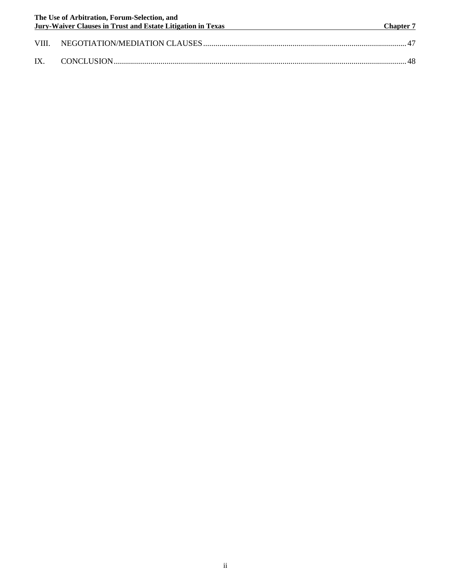|          | The Use of Arbitration, Forum-Selection, and<br><b>Jury-Waiver Clauses in Trust and Estate Litigation in Texas</b> | <b>Chapter 7</b> |
|----------|--------------------------------------------------------------------------------------------------------------------|------------------|
|          |                                                                                                                    |                  |
| $IX_{-}$ |                                                                                                                    |                  |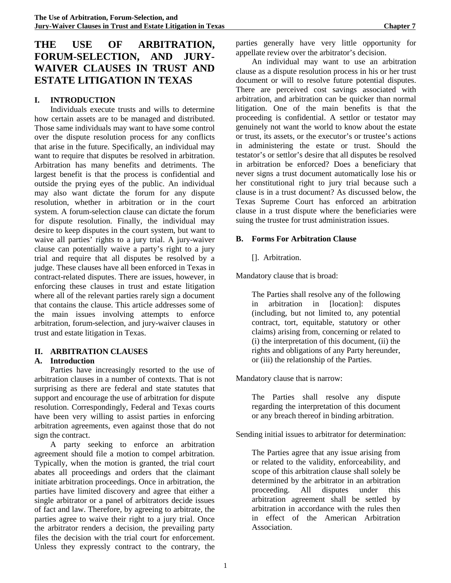# **THE USE OF ARBITRATION, FORUM-SELECTION, AND JURY-WAIVER CLAUSES IN TRUST AND ESTATE LITIGATION IN TEXAS**

# **I. INTRODUCTION**

Individuals execute trusts and wills to determine how certain assets are to be managed and distributed. Those same individuals may want to have some control over the dispute resolution process for any conflicts that arise in the future. Specifically, an individual may want to require that disputes be resolved in arbitration. Arbitration has many benefits and detriments. The largest benefit is that the process is confidential and outside the prying eyes of the public. An individual may also want dictate the forum for any dispute resolution, whether in arbitration or in the court system. A forum-selection clause can dictate the forum for dispute resolution. Finally, the individual may desire to keep disputes in the court system, but want to waive all parties' rights to a jury trial. A jury-waiver clause can potentially waive a party's right to a jury trial and require that all disputes be resolved by a judge. These clauses have all been enforced in Texas in contract-related disputes. There are issues, however, in enforcing these clauses in trust and estate litigation where all of the relevant parties rarely sign a document that contains the clause. This article addresses some of the main issues involving attempts to enforce arbitration, forum-selection, and jury-waiver clauses in trust and estate litigation in Texas.

#### **II. ARBITRATION CLAUSES**

#### **A. Introduction**

Parties have increasingly resorted to the use of arbitration clauses in a number of contexts. That is not surprising as there are federal and state statutes that support and encourage the use of arbitration for dispute resolution. Correspondingly, Federal and Texas courts have been very willing to assist parties in enforcing arbitration agreements, even against those that do not sign the contract.

A party seeking to enforce an arbitration agreement should file a motion to compel arbitration. Typically, when the motion is granted, the trial court abates all proceedings and orders that the claimant initiate arbitration proceedings. Once in arbitration, the parties have limited discovery and agree that either a single arbitrator or a panel of arbitrators decide issues of fact and law. Therefore, by agreeing to arbitrate, the parties agree to waive their right to a jury trial. Once the arbitrator renders a decision, the prevailing party files the decision with the trial court for enforcement. Unless they expressly contract to the contrary, the

parties generally have very little opportunity for appellate review over the arbitrator's decision.

An individual may want to use an arbitration clause as a dispute resolution process in his or her trust document or will to resolve future potential disputes. There are perceived cost savings associated with arbitration, and arbitration can be quicker than normal litigation. One of the main benefits is that the proceeding is confidential. A settlor or testator may genuinely not want the world to know about the estate or trust, its assets, or the executor's or trustee's actions in administering the estate or trust. Should the testator's or settlor's desire that all disputes be resolved in arbitration be enforced? Does a beneficiary that never signs a trust document automatically lose his or her constitutional right to jury trial because such a clause is in a trust document? As discussed below, the Texas Supreme Court has enforced an arbitration clause in a trust dispute where the beneficiaries were suing the trustee for trust administration issues.

#### **B. Forms For Arbitration Clause**

# []. Arbitration.

Mandatory clause that is broad:

The Parties shall resolve any of the following in arbitration in [location]: disputes (including, but not limited to, any potential contract, tort, equitable, statutory or other claims) arising from, concerning or related to (i) the interpretation of this document, (ii) the rights and obligations of any Party hereunder, or (iii) the relationship of the Parties.

Mandatory clause that is narrow:

The Parties shall resolve any dispute regarding the interpretation of this document or any breach thereof in binding arbitration.

Sending initial issues to arbitrator for determination:

The Parties agree that any issue arising from or related to the validity, enforceability, and scope of this arbitration clause shall solely be determined by the arbitrator in an arbitration<br>proceeding. All disputes under this proceeding. All disputes under this arbitration agreement shall be settled by arbitration in accordance with the rules then in effect of the American Arbitration Association.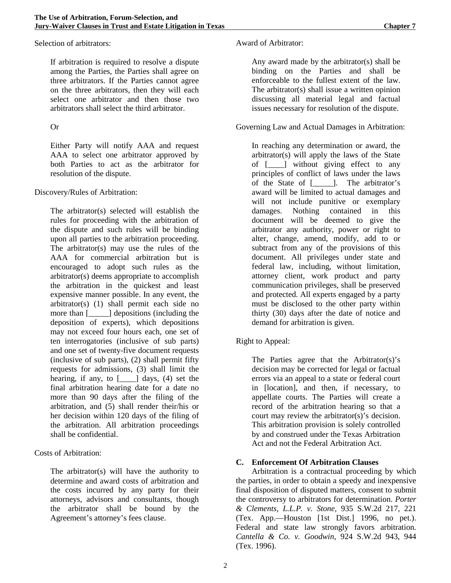Selection of arbitrators:

If arbitration is required to resolve a dispute among the Parties, the Parties shall agree on three arbitrators. If the Parties cannot agree on the three arbitrators, then they will each select one arbitrator and then those two arbitrators shall select the third arbitrator.

#### Or

Either Party will notify AAA and request AAA to select one arbitrator approved by both Parties to act as the arbitrator for resolution of the dispute.

#### Discovery/Rules of Arbitration:

The arbitrator(s) selected will establish the rules for proceeding with the arbitration of the dispute and such rules will be binding upon all parties to the arbitration proceeding. The arbitrator(s) may use the rules of the AAA for commercial arbitration but is encouraged to adopt such rules as the arbitrator(s) deems appropriate to accomplish the arbitration in the quickest and least expensive manner possible. In any event, the arbitrator(s) (1) shall permit each side no more than [\_\_\_\_\_] depositions (including the deposition of experts), which depositions may not exceed four hours each, one set of ten interrogatories (inclusive of sub parts) and one set of twenty-five document requests (inclusive of sub parts), (2) shall permit fifty requests for admissions, (3) shall limit the hearing, if any, to  $\begin{bmatrix} 1 \\ 1 \end{bmatrix}$  days, (4) set the final arbitration hearing date for a date no more than 90 days after the filing of the arbitration, and (5) shall render their/his or her decision within 120 days of the filing of the arbitration. All arbitration proceedings shall be confidential.

Costs of Arbitration:

The arbitrator(s) will have the authority to determine and award costs of arbitration and the costs incurred by any party for their attorneys, advisors and consultants, though the arbitrator shall be bound by the Agreement's attorney's fees clause.

#### Award of Arbitrator:

Any award made by the arbitrator(s) shall be binding on the Parties and shall be enforceable to the fullest extent of the law. The arbitrator(s) shall issue a written opinion discussing all material legal and factual issues necessary for resolution of the dispute.

### Governing Law and Actual Damages in Arbitration:

In reaching any determination or award, the arbitrator(s) will apply the laws of the State of [\_\_\_\_] without giving effect to any principles of conflict of laws under the laws of the State of [\_\_\_\_\_]. The arbitrator's award will be limited to actual damages and will not include punitive or exemplary damages. Nothing contained in this document will be deemed to give the arbitrator any authority, power or right to alter, change, amend, modify, add to or subtract from any of the provisions of this document. All privileges under state and federal law, including, without limitation, attorney client, work product and party communication privileges, shall be preserved and protected. All experts engaged by a party must be disclosed to the other party within thirty (30) days after the date of notice and demand for arbitration is given.

# Right to Appeal:

The Parties agree that the Arbitrator(s)'s decision may be corrected for legal or factual errors via an appeal to a state or federal court in [location], and then, if necessary, to appellate courts. The Parties will create a record of the arbitration hearing so that a court may review the arbitrator(s)'s decision. This arbitration provision is solely controlled by and construed under the Texas Arbitration Act and not the Federal Arbitration Act.

#### **C. Enforcement Of Arbitration Clauses**

Arbitration is a contractual proceeding by which the parties, in order to obtain a speedy and inexpensive final disposition of disputed matters, consent to submit the controversy to arbitrators for determination. *Porter & Clements, L.L.P. v. Stone,* 935 S.W.2d 217, 221 (Tex. App.—Houston [1st Dist.] 1996, no pet.). Federal and state law strongly favors arbitration. *Cantella & Co. v. Goodwin*, 924 S.W.2d 943, 944 (Tex. 1996).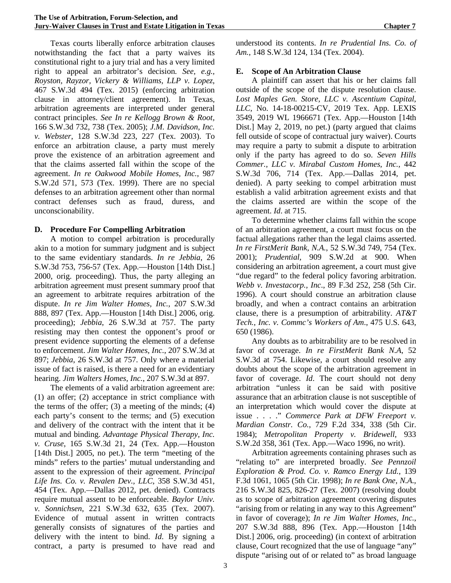Texas courts liberally enforce arbitration clauses notwithstanding the fact that a party waives its constitutional right to a jury trial and has a very limited right to appeal an arbitrator's decision. *See, e.g., Royston, Rayzor, Vickery & Williams, LLP v. Lopez*, 467 S.W.3d 494 (Tex. 2015) (enforcing arbitration clause in attorney/client agreement). In Texas, arbitration agreements are interpreted under general contract principles. *See In re Kellogg Brown & Root,*  166 S.W.3d 732, 738 (Tex. 2005); *J.M. Davidson, Inc. v. Webster*, 128 S.W.3d 223, 227 (Tex. 2003). To enforce an arbitration clause, a party must merely prove the existence of an arbitration agreement and that the claims asserted fall within the scope of the agreement. *In re Oakwood Mobile Homes, Inc.*, 987 S.W.2d 571, 573 (Tex. 1999). There are no special defenses to an arbitration agreement other than normal contract defenses such as fraud, duress, and unconscionability.

#### **D. Procedure For Compelling Arbitration**

A motion to compel arbitration is procedurally akin to a motion for summary judgment and is subject to the same evidentiary standards. *In re Jebbia*, 26 S.W.3d 753, 756-57 (Tex. App.—Houston [14th Dist.] 2000, orig. proceeding). Thus, the party alleging an arbitration agreement must present summary proof that an agreement to arbitrate requires arbitration of the dispute. *In re Jim Walter Homes, Inc.*, 207 S.W.3d 888, 897 (Tex. App.—Houston [14th Dist.] 2006, orig. proceeding); *Jebbia*, 26 S.W.3d at 757. The party resisting may then contest the opponent's proof or present evidence supporting the elements of a defense to enforcement. *Jim Walter Homes, Inc.*, 207 S.W.3d at 897; *Jebbia*, 26 S.W.3d at 757. Only where a material issue of fact is raised, is there a need for an evidentiary hearing. *Jim Walters Homes, Inc.*, 207 S.W.3d at 897.

The elements of a valid arbitration agreement are: (1) an offer; (2) acceptance in strict compliance with the terms of the offer;  $(3)$  a meeting of the minds;  $(4)$ each party's consent to the terms; and (5) execution and delivery of the contract with the intent that it be mutual and binding. *Advantage Physical Therapy, Inc. v. Cruse*, 165 S.W.3d 21, 24 (Tex. App.—Houston [14th Dist.] 2005, no pet.). The term "meeting of the minds" refers to the parties' mutual understanding and assent to the expression of their agreement. *Principal Life Ins. Co. v. Revalen Dev., LLC*, 358 S.W.3d 451, 454 (Tex. App.—Dallas 2012, pet. denied). Contracts require mutual assent to be enforceable. *Baylor Univ. v. Sonnichsen*, 221 S.W.3d 632, 635 (Tex. 2007). Evidence of mutual assent in written contracts generally consists of signatures of the parties and delivery with the intent to bind. *Id*. By signing a contract, a party is presumed to have read and

understood its contents. *In re Prudential Ins. Co. of Am.*, 148 S.W.3d 124, 134 (Tex. 2004).

# **E. Scope of An Arbitration Clause**

A plaintiff can assert that his or her claims fall outside of the scope of the dispute resolution clause. *Lost Maples Gen. Store, LLC v. Ascentium Capital, LLC,* No. 14-18-00215-CV, 2019 Tex. App. LEXIS 3549, 2019 WL 1966671 (Tex. App.—Houston [14th Dist.] May 2, 2019, no pet.) (party argued that claims fell outside of scope of contractual jury waiver). Courts may require a party to submit a dispute to arbitration only if the party has agreed to do so. *Seven Hills Commer., LLC v. Mirabal Custom Homes, Inc.*, 442 S.W.3d 706, 714 (Tex. App.—Dallas 2014, pet. denied). A party seeking to compel arbitration must establish a valid arbitration agreement exists and that the claims asserted are within the scope of the agreement. *Id*. at 715.

To determine whether claims fall within the scope of an arbitration agreement, a court must focus on the factual allegations rather than the legal claims asserted. *In re FirstMerit Bank, N.A.*, 52 S.W.3d 749, 754 (Tex. 2001); *Prudential,* 909 S.W.2d at 900. When considering an arbitration agreement, a court must give "due regard" to the federal policy favoring arbitration. *Webb v. Investacorp., Inc*., 89 F.3d 252, 258 (5th Cir. 1996). A court should construe an arbitration clause broadly, and when a contract contains an arbitration clause, there is a presumption of arbitrability. *AT&T Tech., Inc. v. Commc's Workers of Am*., 475 U.S. 643, 650 (1986).

Any doubts as to arbitrability are to be resolved in favor of coverage. *In re FirstMerit Bank N.A*, 52 S.W.3d at 754. Likewise, a court should resolve any doubts about the scope of the arbitration agreement in favor of coverage. *Id*. The court should not deny arbitration "unless it can be said with positive assurance that an arbitration clause is not susceptible of an interpretation which would cover the dispute at issue . . . ." *Commerce Park at DFW Freeport v. Mardian Constr. Co.*, 729 F.2d 334, 338 (5th Cir. 1984); *Metropolitan Property v. Bridewell*, 933 S.W.2d 358, 361 (Tex. App.—Waco 1996, no writ).

Arbitration agreements containing phrases such as "relating to" are interpreted broadly. *See Pennzoil Exploration & Prod. Co. v. Ramco Energy Ltd.*, 139 F.3d 1061, 1065 (5th Cir. 1998); *In re Bank One, N.A.*, 216 S.W.3d 825, 826-27 (Tex. 2007) (resolving doubt as to scope of arbitration agreement covering disputes "arising from or relating in any way to this Agreement" in favor of coverage); *In re Jim Walter Homes, Inc.*, 207 S.W.3d 888, 896 (Tex. App.—Houston [14th Dist.] 2006, orig. proceeding) (in context of arbitration clause, Court recognized that the use of language "any" dispute "arising out of or related to" as broad language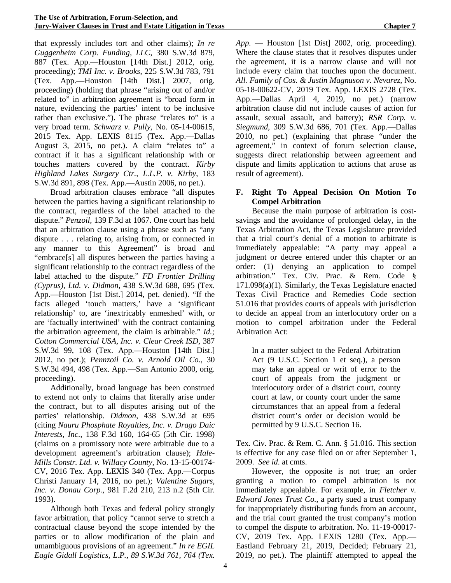that expressly includes tort and other claims); *In re Guggenheim Corp. Funding, LLC*, 380 S.W.3d 879, 887 (Tex. App.—Houston [14th Dist.] 2012, orig. proceeding); *TMI Inc. v. Brooks*, 225 S.W.3d 783, 791 (Tex. App.—Houston [14th Dist.] 2007, orig. proceeding) (holding that phrase "arising out of and/or related to" in arbitration agreement is "broad form in nature, evidencing the parties' intent to be inclusive rather than exclusive."). The phrase "relates to" is a very broad term. *Schwarz v. Pully,* No. 05-14-00615, 2015 Tex. App. LEXIS 8115 (Tex. App.—Dallas August 3, 2015, no pet.). A claim "relates to" a contract if it has a significant relationship with or touches matters covered by the contract. *Kirby Highland Lakes Surgery Ctr., L.L.P. v. Kirby*, 183 S.W.3d 891, 898 (Tex. App.—Austin 2006, no pet.).

Broad arbitration clauses embrace "all disputes between the parties having a significant relationship to the contract, regardless of the label attached to the dispute." *Penzoil,* 139 F.3d at 1067. One court has held that an arbitration clause using a phrase such as "any dispute . . . relating to, arising from, or connected in any manner to this Agreement" is broad and "embrace[s] all disputes between the parties having a significant relationship to the contract regardless of the label attached to the dispute." *FD Frontier Drilling (Cyprus), Ltd. v. Didmon*, 438 S.W.3d 688, 695 (Tex. App.—Houston [1st Dist.] 2014, pet. denied). "If the facts alleged 'touch matters,' have a 'significant relationship' to, are 'inextricably enmeshed' with, or are 'factually intertwined' with the contract containing the arbitration agreement, the claim is arbitrable." *Id.; Cotton Commercial USA, Inc. v. Clear Creek ISD*, 387 S.W.3d 99, 108 (Tex. App.—Houston [14th Dist.] 2012, no pet.); *Pennzoil Co. v. Arnold Oil Co.*, 30 S.W.3d 494, 498 (Tex. App.—San Antonio 2000, orig. proceeding).

Additionally, broad language has been construed to extend not only to claims that literally arise under the contract, but to all disputes arising out of the parties' relationship. *Didmon*, 438 S.W.3d at 695 (citing *Nauru Phosphate Royalties, Inc. v. Drago Daic Interests, Inc.*, 138 F.3d 160, 164-65 (5th Cir. 1998) (claims on a promissory note were arbitrable due to a development agreement's arbitration clause); *Hale-Mills Constr. Ltd. v. Willacy County,* No. 13-15-00174- CV, 2016 Tex. App. LEXIS 340 (Tex. App.—Corpus Christi January 14, 2016, no pet.); *Valentine Sugars, Inc. v. Donau Corp.*, 981 F.2d 210, 213 n.2 (5th Cir. 1993).

Although both Texas and federal policy strongly favor arbitration, that policy "cannot serve to stretch a contractual clause beyond the scope intended by the parties or to allow modification of the plain and umambiguous provisions of an agreement." *In re EGIL Eagle Gidall Logistics, L.P., 89 S.W.3d 761, 764 (Tex.* 

*App.* — Houston [1st Dist] 2002, orig. proceeding). Where the clause states that it resolves disputes under the agreement, it is a narrow clause and will not include every claim that touches upon the document. *All. Family of Cos. & Justin Magnuson v. Nevarez*, No. 05-18-00622-CV, 2019 Tex. App. LEXIS 2728 (Tex. App.—Dallas April 4, 2019, no pet.) (narrow arbitration clause did not include causes of action for assault, sexual assault, and battery); *RSR Corp. v. Siegmund*, 309 S.W.3d 686, 701 (Tex. App.—Dallas 2010, no pet.) (explaining that phrase "under the agreement," in context of forum selection clause, suggests direct relationship between agreement and dispute and limits application to actions that arose as result of agreement).

#### **F. Right To Appeal Decision On Motion To Compel Arbitration**

Because the main purpose of arbitration is costsavings and the avoidance of prolonged delay, in the Texas Arbitration Act, the Texas Legislature provided that a trial court's denial of a motion to arbitrate is immediately appealable: "A party may appeal a judgment or decree entered under this chapter or an order: (1) denying an application to compel arbitration." Tex. Civ. Prac. & Rem. Code § 171.098(a)(1). Similarly, the Texas Legislature enacted Texas Civil Practice and Remedies Code section 51.016 that provides courts of appeals with jurisdiction to decide an appeal from an interlocutory order on a motion to compel arbitration under the Federal Arbitration Act:

In a matter subject to the Federal Arbitration Act (9 U.S.C. Section 1 et seq.), a person may take an appeal or writ of error to the court of appeals from the judgment or interlocutory order of a district court, county court at law, or county court under the same circumstances that an appeal from a federal district court's order or decision would be permitted by 9 U.S.C. Section 16.

Tex. Civ. Prac. & Rem. C. Ann. § 51.016. This section is effective for any case filed on or after September 1, 2009. *See id*. at cmts.

However, the opposite is not true; an order granting a motion to compel arbitration is not immediately appealable. For example, in *Fletcher v. Edward Jones Trust Co.*, a party sued a trust company for inappropriately distributing funds from an account, and the trial court granted the trust company's motion to compel the dispute to arbitration. No. 11-19-00017- CV, 2019 Tex. App. LEXIS 1280 (Tex. App.— Eastland February 21, 2019, Decided; February 21, 2019, no pet.). The plaintiff attempted to appeal the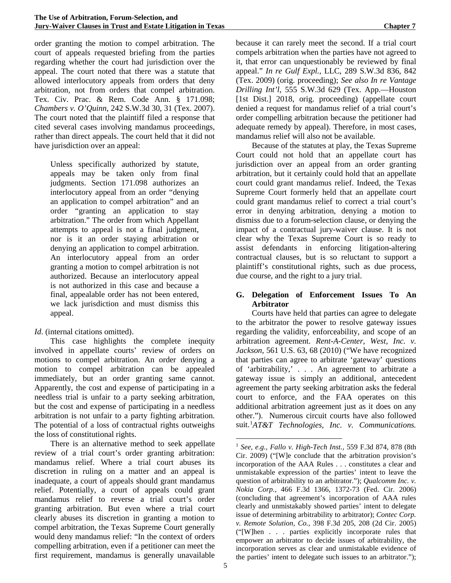order granting the motion to compel arbitration. The court of appeals requested briefing from the parties regarding whether the court had jurisdiction over the appeal. The court noted that there was a statute that allowed interlocutory appeals from orders that deny arbitration, not from orders that compel arbitration. Tex. Civ. Prac. & Rem. Code Ann. § 171.098; *Chambers v. O'Quinn*, 242 S.W.3d 30, 31 (Tex. 2007). The court noted that the plaintiff filed a response that cited several cases involving mandamus proceedings, rather than direct appeals. The court held that it did not have jurisdiction over an appeal:

Unless specifically authorized by statute, appeals may be taken only from final judgments. Section 171.098 authorizes an interlocutory appeal from an order "denying an application to compel arbitration" and an order "granting an application to stay arbitration." The order from which Appellant attempts to appeal is not a final judgment, nor is it an order staying arbitration or denying an application to compel arbitration. An interlocutory appeal from an order granting a motion to compel arbitration is not authorized. Because an interlocutory appeal is not authorized in this case and because a final, appealable order has not been entered, we lack jurisdiction and must dismiss this appeal.

*Id.* (internal citations omitted).

This case highlights the complete inequity involved in appellate courts' review of orders on motions to compel arbitration. An order denying a motion to compel arbitration can be appealed immediately, but an order granting same cannot. Apparently, the cost and expense of participating in a needless trial is unfair to a party seeking arbitration, but the cost and expense of participating in a needless arbitration is not unfair to a party fighting arbitration. The potential of a loss of contractual rights outweighs the loss of constitutional rights.

<span id="page-10-0"></span>There is an alternative method to seek appellate review of a trial court's order granting arbitration: mandamus relief. Where a trial court abuses its discretion in ruling on a matter and an appeal is inadequate, a court of appeals should grant mandamus relief. Potentially, a court of appeals could grant mandamus relief to reverse a trial court's order granting arbitration. But even where a trial court clearly abuses its discretion in granting a motion to compel arbitration, the Texas Supreme Court generally would deny mandamus relief: "In the context of orders compelling arbitration, even if a petitioner can meet the first requirement, mandamus is generally unavailable

because it can rarely meet the second. If a trial court compels arbitration when the parties have not agreed to it, that error can unquestionably be reviewed by final appeal." *In re Gulf Expl.*, LLC, 289 S.W.3d 836, 842 (Tex. 2009) (orig. proceeding); *See also In re Vantage Drilling Int'l*, 555 S.W.3d 629 (Tex. App.—Houston [1st Dist.] 2018, orig. proceeding) (appellate court denied a request for mandamus relief of a trial court's order compelling arbitration because the petitioner had adequate remedy by appeal). Therefore, in most cases, mandamus relief will also not be available.

Because of the statutes at play, the Texas Supreme Court could not hold that an appellate court has jurisdiction over an appeal from an order granting arbitration, but it certainly could hold that an appellate court could grant mandamus relief. Indeed, the Texas Supreme Court formerly held that an appellate court could grant mandamus relief to correct a trial court's error in denying arbitration, denying a motion to dismiss due to a forum-selection clause, or denying the impact of a contractual jury-waiver clause. It is not clear why the Texas Supreme Court is so ready to assist defendants in enforcing litigation-altering contractual clauses, but is so reluctant to support a plaintiff's constitutional rights, such as due process, due course, and the right to a jury trial.

# **G. Delegation of Enforcement Issues To An Arbitrator**

Courts have held that parties can agree to delegate to the arbitrator the power to resolve gateway issues regarding the validity, enforceability, and scope of an arbitration agreement. *Rent-A-Center, West, Inc. v. Jackson*, 561 U.S. 63, 68 (2010) ("We have recognized that parties can agree to arbitrate 'gateway' questions of 'arbitrability,' . . . An agreement to arbitrate a gateway issue is simply an additional, antecedent agreement the party seeking arbitration asks the federal court to enforce, and the FAA operates on this additional arbitration agreement just as it does on any other."). Numerous circuit courts have also followed suit.[1](#page-10-0) *AT&T Technologies, Inc. v. Communications.* 

 <sup>1</sup> *See, e.g., Fallo v. High-Tech Inst.,* 559 F.3d 874, 878 (8th Cir. 2009) ("[W]e conclude that the arbitration provision's incorporation of the AAA Rules . . . constitutes a clear and unmistakable expression of the parties' intent to leave the question of arbitrability to an arbitrator."); *Qualcomm Inc. v. Nokia Corp.*, 466 F.3d 1366, 1372-73 (Fed. Cir. 2006) (concluding that agreement's incorporation of AAA rules clearly and unmistakably showed parties' intent to delegate issue of determining arbitrability to arbitrator); *Contec Corp. v. Remote Solution, Co.*, 398 F.3d 205, 208 (2d Cir. 2005) ("[W]hen . . . parties explicitly incorporate rules that empower an arbitrator to decide issues of arbitrability, the incorporation serves as clear and unmistakable evidence of the parties' intent to delegate such issues to an arbitrator.");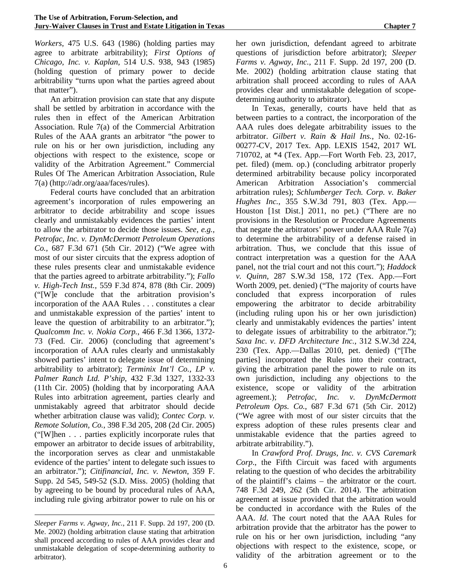*Workers*, 475 U.S. 643 (1986) (holding parties may agree to arbitrate arbitrability); *First Options of Chicago, Inc. v. Kaplan,* 514 U.S. 938, 943 (1985) (holding question of primary power to decide arbitrability "turns upon what the parties agreed about that matter").

An arbitration provision can state that any dispute shall be settled by arbitration in accordance with the rules then in effect of the American Arbitration Association. Rule 7(a) of the Commercial Arbitration Rules of the AAA grants an arbitrator "the power to rule on his or her own jurisdiction, including any objections with respect to the existence, scope or validity of the Arbitration Agreement." Commercial Rules Of The American Arbitration Association, Rule 7(a) (http://adr.org/aaa/faces/rules).

Federal courts have concluded that an arbitration agreement's incorporation of rules empowering an arbitrator to decide arbitrability and scope issues clearly and unmistakably evidences the parties' intent to allow the arbitrator to decide those issues. *See, e.g., Petrofac, Inc. v. DynMcDermott Petroleum Operations Co.,* 687 F.3d 671 (5th Cir. 2012) ("We agree with most of our sister circuits that the express adoption of these rules presents clear and unmistakable evidence that the parties agreed to arbitrate arbitrability."); *Fallo v. High-Tech Inst.,* 559 F.3d 874, 878 (8th Cir. 2009) ("[W]e conclude that the arbitration provision's incorporation of the AAA Rules . . . constitutes a clear and unmistakable expression of the parties' intent to leave the question of arbitrability to an arbitrator."); *Qualcomm Inc. v. Nokia Corp.*, 466 F.3d 1366, 1372- 73 (Fed. Cir. 2006) (concluding that agreement's incorporation of AAA rules clearly and unmistakably showed parties' intent to delegate issue of determining arbitrability to arbitrator); *Terminix Int'l Co., LP v. Palmer Ranch Ltd. P'ship*, 432 F.3d 1327, 1332-33 (11th Cir. 2005) (holding that by incorporating AAA Rules into arbitration agreement, parties clearly and unmistakably agreed that arbitrator should decide whether arbitration clause was valid); *Contec Corp. v. Remote Solution, Co.*, 398 F.3d 205, 208 (2d Cir. 2005) ("[W]hen . . . parties explicitly incorporate rules that empower an arbitrator to decide issues of arbitrability, the incorporation serves as clear and unmistakable evidence of the parties' intent to delegate such issues to an arbitrator."); *Citifinancial, Inc. v. Newton*, 359 F. Supp. 2d 545, 549-52 (S.D. Miss. 2005) (holding that by agreeing to be bound by procedural rules of AAA, including rule giving arbitrator power to rule on his or

<u>.</u>

her own jurisdiction, defendant agreed to arbitrate questions of jurisdiction before arbitrator); *Sleeper Farms v. Agway, Inc.*, 211 F. Supp. 2d 197, 200 (D. Me. 2002) (holding arbitration clause stating that arbitration shall proceed according to rules of AAA provides clear and unmistakable delegation of scopedetermining authority to arbitrator).

In Texas, generally, courts have held that as between parties to a contract, the incorporation of the AAA rules does delegate arbitrability issues to the arbitrator. *Gilbert v. Rain & Hail Ins.*, No. 02-16- 00277-CV, 2017 Tex. App. LEXIS 1542, 2017 WL 710702, at \*4 (Tex. App.—Fort Worth Feb. 23, 2017, pet. filed) (mem. op.) (concluding arbitrator properly determined arbitrability because policy incorporated American Arbitration Association's commercial arbitration rules); *Schlumberger Tech. Corp. v. Baker Hughes Inc.*, 355 S.W.3d 791, 803 (Tex. App.— Houston [1st Dist.] 2011, no pet.) ("There are no provisions in the Resolution or Procedure Agreements that negate the arbitrators' power under AAA Rule 7(a) to determine the arbitrability of a defense raised in arbitration. Thus, we conclude that this issue of contract interpretation was a question for the AAA panel, not the trial court and not this court."); *Haddock v. Quinn*, 287 S.W.3d 158, 172 (Tex. App.—Fort Worth 2009, pet. denied) ("The majority of courts have concluded that express incorporation of rules empowering the arbitrator to decide arbitrability (including ruling upon his or her own jurisdiction) clearly and unmistakably evidences the parties' intent to delegate issues of arbitrability to the arbitrator."); *Saxa Inc. v. DFD Architecture Inc.*, 312 S.W.3d 224, 230 (Tex. App.—Dallas 2010, pet. denied) ("[The parties] incorporated the Rules into their contract, giving the arbitration panel the power to rule on its own jurisdiction, including any objections to the existence, scope or validity of the arbitration agreement.); *Petrofac, Inc. v. DynMcDermott Petroleum Ops. Co.*, 687 F.3d 671 (5th Cir. 2012) ("We agree with most of our sister circuits that the express adoption of these rules presents clear and unmistakable evidence that the parties agreed to arbitrate arbitrability.").

In *Crawford Prof. Drugs, Inc. v. CVS Caremark Corp*., the Fifth Circuit was faced with arguments relating to the question of who decides the arbitrability of the plaintiff's claims – the arbitrator or the court. 748 F.3d 249, 262 (5th Cir. 2014). The arbitration agreement at issue provided that the arbitration would be conducted in accordance with the Rules of the AAA. *Id*. The court noted that the AAA Rules for arbitration provide that the arbitrator has the power to rule on his or her own jurisdiction, including "any objections with respect to the existence, scope, or validity of the arbitration agreement or to the

*Sleeper Farms v. Agway, Inc.*, 211 F. Supp. 2d 197, 200 (D. Me. 2002) (holding arbitration clause stating that arbitration shall proceed according to rules of AAA provides clear and unmistakable delegation of scope-determining authority to arbitrator).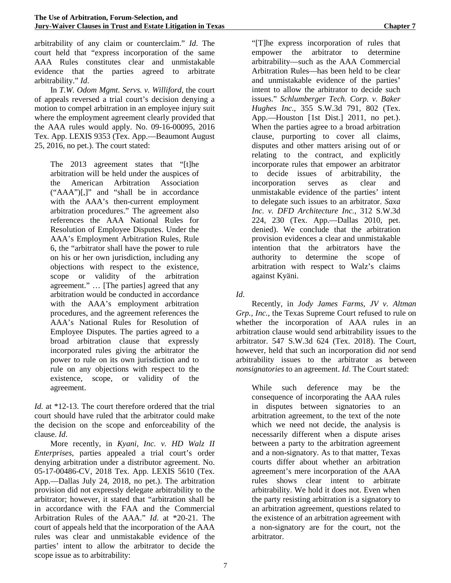arbitrability of any claim or counterclaim." *Id*. The court held that "express incorporation of the same AAA Rules constitutes clear and unmistakable evidence that the parties agreed to arbitrate arbitrability." *Id*.

In *T.W. Odom Mgmt. Servs. v. Williford*, the court of appeals reversed a trial court's decision denying a motion to compel arbitration in an employee injury suit where the employment agreement clearly provided that the AAA rules would apply. No. 09-16-00095, 2016 Tex. App. LEXIS 9353 (Tex. App.—Beaumont August 25, 2016, no pet.). The court stated:

The 2013 agreement states that "[t]he arbitration will be held under the auspices of the American Arbitration Association ("AAA")[,]" and "shall be in accordance with the AAA's then-current employment arbitration procedures." The agreement also references the AAA National Rules for Resolution of Employee Disputes. Under the AAA's Employment Arbitration Rules, Rule 6, the "arbitrator shall have the power to rule on his or her own jurisdiction, including any objections with respect to the existence, scope or validity of the arbitration agreement." … [The parties] agreed that any arbitration would be conducted in accordance with the AAA's employment arbitration procedures, and the agreement references the AAA's National Rules for Resolution of Employee Disputes. The parties agreed to a broad arbitration clause that expressly incorporated rules giving the arbitrator the power to rule on its own jurisdiction and to rule on any objections with respect to the existence, scope, or validity of the agreement.

*Id.* at \*12-13. The court therefore ordered that the trial court should have ruled that the arbitrator could make the decision on the scope and enforceability of the clause. *Id*.

More recently, in *Kyani, Inc. v. HD Walz II Enterprises*, parties appealed a trial court's order denying arbitration under a distributor agreement. No. 05-17-00486-CV, 2018 Tex. App. LEXIS 5610 (Tex. App.—Dallas July 24, 2018, no pet.). The arbitration provision did not expressly delegate arbitrability to the arbitrator; however, it stated that "arbitration shall be in accordance with the FAA and the Commercial Arbitration Rules of the AAA." *Id*. at \*20-21. The court of appeals held that the incorporation of the AAA rules was clear and unmistakable evidence of the parties' intent to allow the arbitrator to decide the scope issue as to arbitrability:

"[T]he express incorporation of rules that empower the arbitrator to determine arbitrability—such as the AAA Commercial Arbitration Rules—has been held to be clear and unmistakable evidence of the parties' intent to allow the arbitrator to decide such issues." *Schlumberger Tech. Corp. v. Baker Hughes Inc*., 355 S.W.3d 791, 802 (Tex. App.—Houston [1st Dist.] 2011, no pet.). When the parties agree to a broad arbitration clause, purporting to cover all claims, disputes and other matters arising out of or relating to the contract, and explicitly incorporate rules that empower an arbitrator to decide issues of arbitrability, the incorporation serves as clear and unmistakable evidence of the parties' intent to delegate such issues to an arbitrator. *Saxa Inc. v. DFD Architecture Inc.*, 312 S.W.3d 224, 230 (Tex. App.—Dallas 2010, pet. denied). We conclude that the arbitration provision evidences a clear and unmistakable intention that the arbitrators have the authority to determine the scope of arbitration with respect to Walz's claims against Kyäni.

*Id*.

Recently, in *Jody James Farms, JV v. Altman Grp., Inc.*, the Texas Supreme Court refused to rule on whether the incorporation of AAA rules in an arbitration clause would send arbitrability issues to the arbitrator. 547 S.W.3d 624 (Tex. 2018). The Court, however, held that such an incorporation did *not* send arbitrability issues to the arbitrator as between *nonsignatories* to an agreement. *Id*. The Court stated:

While such deference may be the consequence of incorporating the AAA rules in disputes between signatories to an arbitration agreement, to the text of the note which we need not decide, the analysis is necessarily different when a dispute arises between a party to the arbitration agreement and a non-signatory. As to that matter, Texas courts differ about whether an arbitration agreement's mere incorporation of the AAA rules shows clear intent to arbitrate arbitrability. We hold it does not. Even when the party resisting arbitration is a signatory to an arbitration agreement, questions related to the existence of an arbitration agreement with a non-signatory are for the court, not the arbitrator.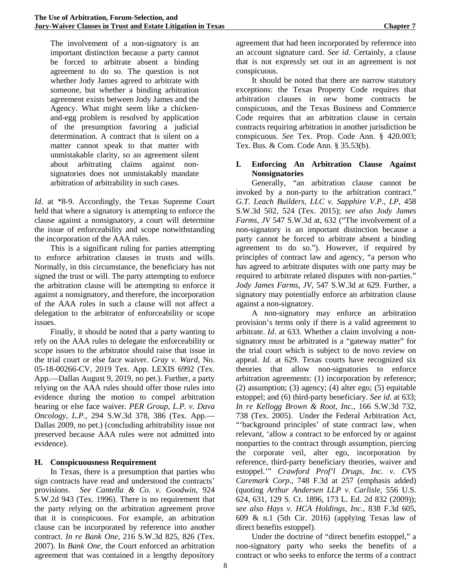The involvement of a non-signatory is an important distinction because a party cannot be forced to arbitrate absent a binding agreement to do so. The question is not whether Jody James agreed to arbitrate with someone, but whether a binding arbitration agreement exists between Jody James and the Agency. What might seem like a chickenand-egg problem is resolved by application of the presumption favoring a judicial determination. A contract that is silent on a matter cannot speak to that matter with unmistakable clarity, so an agreement silent about arbitrating claims against nonsignatories does not unmistakably mandate arbitration of arbitrability in such cases.

*Id*. at \*8-9. Accordingly, the Texas Supreme Court held that where a signatory is attempting to enforce the clause against a nonsignatory, a court will determine the issue of enforceability and scope notwithstanding the incorporation of the AAA rules.

This is a significant ruling for parties attempting to enforce arbitration clauses in trusts and wills. Normally, in this circumstance, the beneficiary has not signed the trust or will. The party attempting to enforce the arbitration clause will be attempting to enforce it against a nonsignatory, and therefore, the incorporation of the AAA rules in such a clause will not affect a delegation to the arbitrator of enforceability or scope issues.

Finally, it should be noted that a party wanting to rely on the AAA rules to delegate the enforceability or scope issues to the arbitrator should raise that issue in the trial court or else face waiver. *Gray v. Ward*, No. 05-18-00266-CV, 2019 Tex. App. LEXIS 6992 (Tex. App.—Dallas August 9, 2019, no pet.). Further, a party relying on the AAA rules should offer those rules into evidence during the motion to compel arbitration hearing or else face waiver. *PER Group, L.P. v. Dava Oncology, L.P.*, 294 S.W.3d 378, 386 (Tex. App.— Dallas 2009, no pet.) (concluding arbitrability issue not preserved because AAA rules were not admitted into evidence).

# **H. Conspicuousness Requirement**

In Texas, there is a presumption that parties who sign contracts have read and understood the contracts' provisions. *See Cantella & Co. v. Goodwin*, 924 S.W.2d 943 (Tex. 1996). There is no requirement that the party relying on the arbitration agreement prove that it is conspicuous. For example, an arbitration clause can be incorporated by reference into another contract. *In re Bank One*, 216 S.W.3d 825, 826 (Tex. 2007). In *Bank One*, the Court enforced an arbitration agreement that was contained in a lengthy depository agreement that had been incorporated by reference into an account signature card. *See id.* Certainly, a clause that is not expressly set out in an agreement is not conspicuous.

It should be noted that there are narrow statutory exceptions: the Texas Property Code requires that arbitration clauses in new home contracts be conspicuous, and the Texas Business and Commerce Code requires that an arbitration clause in certain contracts requiring arbitration in another jurisdiction be conspicuous. *See* Tex. Prop. Code Ann. § 420.003; Tex. Bus. & Com. Code Ann. § 35.53(b).

#### **I. Enforcing An Arbitration Clause Against Nonsignatories**

Generally, "an arbitration clause cannot be invoked by a non-party to the arbitration contract." *G.T. Leach Builders, LLC v. Sapphire V.P., LP,* 458 S.W.3d 502, 524 (Tex. 2015); *see also Jody James Farms, JV* 547 S.W.3d at, 632 ("The involvement of a non-signatory is an important distinction because a party cannot be forced to arbitrate absent a binding agreement to do so."). However, if required by principles of contract law and agency, "a person who has agreed to arbitrate disputes with one party may be required to arbitrate related disputes with non-parties." *Jody James Farms*, *JV*, 547 S.W.3d at 629. Further, a signatory may potentially enforce an arbitration clause against a non-signatory.

A non-signatory may enforce an arbitration provision's terms only if there is a valid agreement to arbitrate. *Id*. at 633. Whether a claim involving a nonsignatory must be arbitrated is a "gateway matter" for the trial court which is subject to de novo review on appeal. *Id.* at 629. Texas courts have recognized six theories that allow non-signatories to enforce arbitration agreements: (1) incorporation by reference; (2) assumption; (3) agency; (4) alter ego; (5) equitable estoppel; and (6) third-party beneficiary. *See id*. at 633; *In re Kellogg Brown & Root, Inc.*, 166 S.W.3d 732, 738 (Tex. 2005). Under the Federal Arbitration Act, "'background principles' of state contract law, when relevant, 'allow a contract to be enforced by or against nonparties to the contract through assumption, piercing the corporate veil, alter ego, incorporation by reference, third-party beneficiary theories, waiver and estoppel.'" *Crawford Prof'l Drugs, Inc. v. CVS Caremark Corp*., 748 F.3d at 257 (emphasis added) (quoting *Arthur Andersen LLP v. Carlisle*, 556 U.S. 624, 631, 129 S. Ct. 1896, 173 L. Ed. 2d 832 (2009)); *see also Hays v. HCA Holdings, Inc.*, 838 F.3d 605, 609 & n.1 (5th Cir. 2016) (applying Texas law of direct benefits estoppel).

Under the doctrine of "direct benefits estoppel," a non-signatory party who seeks the benefits of a contract or who seeks to enforce the terms of a contract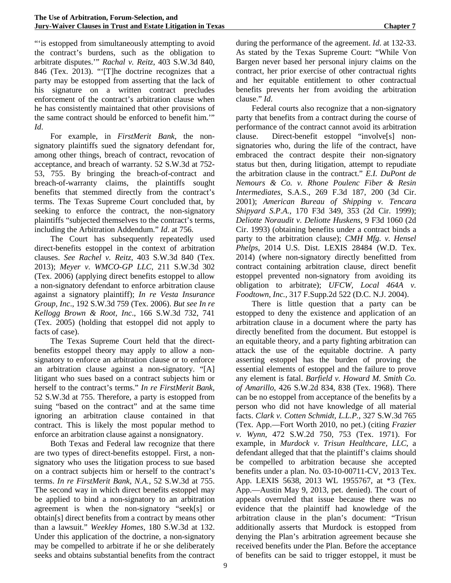"'is estopped from simultaneously attempting to avoid the contract's burdens, such as the obligation to arbitrate disputes.'" *Rachal v. Reitz*, 403 S.W.3d 840, 846 (Tex. 2013). "'[T]he doctrine recognizes that a party may be estopped from asserting that the lack of his signature on a written contract precludes enforcement of the contract's arbitration clause when he has consistently maintained that other provisions of the same contract should be enforced to benefit him.'" *Id*.

For example, in *FirstMerit Bank*, the nonsignatory plaintiffs sued the signatory defendant for, among other things, breach of contract, revocation of acceptance, and breach of warranty. 52 S.W.3d at 752- 53, 755. By bringing the breach-of-contract and breach-of-warranty claims, the plaintiffs sought benefits that stemmed directly from the contract's terms. The Texas Supreme Court concluded that, by seeking to enforce the contract, the non-signatory plaintiffs "subjected themselves to the contract's terms, including the Arbitration Addendum." *Id*. at 756.

The Court has subsequently repeatedly used direct-benefits estoppel in the context of arbitration clauses. *See Rachel v. Reitz,* 403 S.W.3d 840 (Tex. 2013); *Meyer v. WMCO-GP LLC*, 211 S.W.3d 302 (Tex. 2006) (applying direct benefits estoppel to allow a non-signatory defendant to enforce arbitration clause against a signatory plaintiff); *In re Vesta Insurance Group, Inc*., 192 S.W.3d 759 (Tex. 2006). *But see In re Kellogg Brown & Root, Inc*., 166 S.W.3d 732, 741 (Tex. 2005) (holding that estoppel did not apply to facts of case).

The Texas Supreme Court held that the directbenefits estoppel theory may apply to allow a nonsignatory to enforce an arbitration clause or to enforce an arbitration clause against a non-signatory. "[A] litigant who sues based on a contract subjects him or herself to the contract's terms." *In re FirstMerit Bank*, 52 S.W.3d at 755. Therefore, a party is estopped from suing "based on the contract" and at the same time ignoring an arbitration clause contained in that contract. This is likely the most popular method to enforce an arbitration clause against a nonsignatory.

Both Texas and Federal law recognize that there are two types of direct-benefits estoppel. First, a nonsignatory who uses the litigation process to sue based on a contract subjects him or herself to the contract's terms. *In re FirstMerit Bank, N.A.*, 52 S.W.3d at 755. The second way in which direct benefits estoppel may be applied to bind a non-signatory to an arbitration agreement is when the non-signatory "seek[s] or obtain[s] direct benefits from a contract by means other than a lawsuit." *Weekley Homes*, 180 S.W.3d at 132. Under this application of the doctrine, a non-signatory may be compelled to arbitrate if he or she deliberately seeks and obtains substantial benefits from the contract during the performance of the agreement. *Id*. at 132-33. As stated by the Texas Supreme Court: "While Von Bargen never based her personal injury claims on the contract, her prior exercise of other contractual rights and her equitable entitlement to other contractual benefits prevents her from avoiding the arbitration clause." *Id*.

Federal courts also recognize that a non-signatory party that benefits from a contract during the course of performance of the contract cannot avoid its arbitration clause. Direct-benefit estoppel "involve[s] nonsignatories who, during the life of the contract, have embraced the contract despite their non-signatory status but then, during litigation, attempt to repudiate the arbitration clause in the contract." *E.I. DuPont de Nemours & Co. v. Rhone Poulenc Fiber & Resin Intermediates*, S.A.S., 269 F.3d 187, 200 (3d Cir. 2001); *American Bureau of Shipping v. Tencara Shipyard S.P.A.*, 170 F3d 349, 353 (2d Cir. 1999); *Deliotte Noraudit v. Deliotte Huskens*, 9 F3d 1060 (2d Cir. 1993) (obtaining benefits under a contract binds a party to the arbitration clause); *CMH Mfg. v. Hensel Phelps*, 2014 U.S. Dist. LEXIS 28484 (W.D. Tex. 2014) (where non-signatory directly benefitted from contract containing arbitration clause, direct benefit estoppel prevented non-signatory from avoiding its obligation to arbitrate); *UFCW, Local 464A v. Foodtown, Inc.,* 317 F.Supp.2d 522 (D.C. N.J. 2004).

There is little question that a party can be estopped to deny the existence and application of an arbitration clause in a document where the party has directly benefited from the document. But estoppel is an equitable theory, and a party fighting arbitration can attack the use of the equitable doctrine. A party asserting estoppel has the burden of proving the essential elements of estoppel and the failure to prove any element is fatal. *Barfield v. Howard M. Smith Co. of Amarillo*, 426 S.W.2d 834, 838 (Tex. 1968). There can be no estoppel from acceptance of the benefits by a person who did not have knowledge of all material facts. *Clark v. Cotten Schmidt, L.L.P.*, 327 S.W.3d 765 (Tex. App.—Fort Worth 2010, no pet.) (citing *Frazier v. Wynn*, 472 S.W.2d 750, 753 (Tex. 1971). For example, in *Murdock v. Trisun Healthcare, LLC*, a defendant alleged that that the plaintiff's claims should be compelled to arbitration because she accepted benefits under a plan. No. 03-10-00711-CV, 2013 Tex. App. LEXIS 5638, 2013 WL 1955767, at \*3 (Tex. App.—Austin May 9, 2013, pet. denied). The court of appeals overruled that issue because there was no evidence that the plaintiff had knowledge of the arbitration clause in the plan's document: "Trisun additionally asserts that Murdock is estopped from denying the Plan's arbitration agreement because she received benefits under the Plan. Before the acceptance of benefits can be said to trigger estoppel, it must be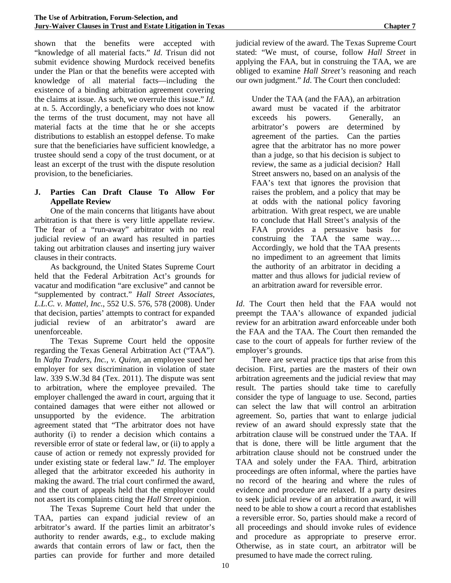shown that the benefits were accepted with "knowledge of all material facts." *Id*. Trisun did not submit evidence showing Murdock received benefits under the Plan or that the benefits were accepted with knowledge of all material facts—including the existence of a binding arbitration agreement covering the claims at issue. As such, we overrule this issue." *Id*. at n. 5. Accordingly, a beneficiary who does not know the terms of the trust document, may not have all material facts at the time that he or she accepts distributions to establish an estoppel defense. To make sure that the beneficiaries have sufficient knowledge, a trustee should send a copy of the trust document, or at least an excerpt of the trust with the dispute resolution provision, to the beneficiaries.

#### **J. Parties Can Draft Clause To Allow For Appellate Review**

One of the main concerns that litigants have about arbitration is that there is very little appellate review. The fear of a "run-away" arbitrator with no real judicial review of an award has resulted in parties taking out arbitration clauses and inserting jury waiver clauses in their contracts.

As background, the United States Supreme Court held that the Federal Arbitration Act's grounds for vacatur and modification "are exclusive" and cannot be "supplemented by contract." *Hall Street Associates, L.L.C. v. Mattel, Inc.*, 552 U.S. 576, 578 (2008). Under that decision, parties' attempts to contract for expanded judicial review of an arbitrator's award are unenforceable.

The Texas Supreme Court held the opposite regarding the Texas General Arbitration Act ("TAA"). In *Nafta Traders, Inc., v. Quinn,* an employee sued her employer for sex discrimination in violation of state law. 339 S.W.3d 84 (Tex. 2011). The dispute was sent to arbitration, where the employee prevailed. The employer challenged the award in court, arguing that it contained damages that were either not allowed or unsupported by the evidence. The arbitration agreement stated that "The arbitrator does not have authority (i) to render a decision which contains a reversible error of state or federal law, or (ii) to apply a cause of action or remedy not expressly provided for under existing state or federal law." *Id*. The employer alleged that the arbitrator exceeded his authority in making the award. The trial court confirmed the award, and the court of appeals held that the employer could not assert its complaints citing the *Hall Street* opinion.

The Texas Supreme Court held that under the TAA, parties can expand judicial review of an arbitrator's award. If the parties limit an arbitrator's authority to render awards, e.g., to exclude making awards that contain errors of law or fact, then the parties can provide for further and more detailed judicial review of the award. The Texas Supreme Court stated: "We must, of course, follow *Hall Street* in applying the FAA, but in construing the TAA, we are obliged to examine *Hall Street's* reasoning and reach our own judgment." *Id*. The Court then concluded:

Under the TAA (and the FAA), an arbitration award must be vacated if the arbitrator exceeds his powers. Generally, an arbitrator's powers are determined by agreement of the parties. Can the parties agree that the arbitrator has no more power than a judge, so that his decision is subject to review, the same as a judicial decision? Hall Street answers no, based on an analysis of the FAA's text that ignores the provision that raises the problem, and a policy that may be at odds with the national policy favoring arbitration. With great respect, we are unable to conclude that Hall Street's analysis of the FAA provides a persuasive basis for construing the TAA the same way.… Accordingly, we hold that the TAA presents no impediment to an agreement that limits the authority of an arbitrator in deciding a matter and thus allows for judicial review of an arbitration award for reversible error.

*Id*. The Court then held that the FAA would not preempt the TAA's allowance of expanded judicial review for an arbitration award enforceable under both the FAA and the TAA. The Court then remanded the case to the court of appeals for further review of the employer's grounds.

There are several practice tips that arise from this decision. First, parties are the masters of their own arbitration agreements and the judicial review that may result. The parties should take time to carefully consider the type of language to use. Second, parties can select the law that will control an arbitration agreement. So, parties that want to enlarge judicial review of an award should expressly state that the arbitration clause will be construed under the TAA. If that is done, there will be little argument that the arbitration clause should not be construed under the TAA and solely under the FAA. Third, arbitration proceedings are often informal, where the parties have no record of the hearing and where the rules of evidence and procedure are relaxed. If a party desires to seek judicial review of an arbitration award, it will need to be able to show a court a record that establishes a reversible error. So, parties should make a record of all proceedings and should invoke rules of evidence and procedure as appropriate to preserve error. Otherwise, as in state court, an arbitrator will be presumed to have made the correct ruling.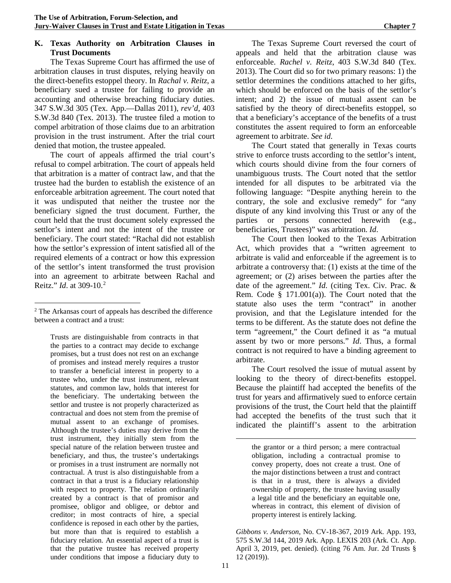# **K. Texas Authority on Arbitration Clauses in Trust Documents**

The Texas Supreme Court has affirmed the use of arbitration clauses in trust disputes, relying heavily on the direct-benefits estoppel theory. In *Rachal v. Reitz*, a beneficiary sued a trustee for failing to provide an accounting and otherwise breaching fiduciary duties. 347 S.W.3d 305 (Tex. App.—Dallas 2011), *rev'd*, 403 S.W.3d 840 (Tex. 2013). The trustee filed a motion to compel arbitration of those claims due to an arbitration provision in the trust instrument. After the trial court denied that motion, the trustee appealed.

The court of appeals affirmed the trial court's refusal to compel arbitration. The court of appeals held that arbitration is a matter of contract law, and that the trustee had the burden to establish the existence of an enforceable arbitration agreement. The court noted that it was undisputed that neither the trustee nor the beneficiary signed the trust document. Further, the court held that the trust document solely expressed the settlor's intent and not the intent of the trustee or beneficiary. The court stated: "Rachal did not establish how the settlor's expression of intent satisfied all of the required elements of a contract or how this expression of the settlor's intent transformed the trust provision into an agreement to arbitrate between Rachal and Reitz." *Id*. at 309-10.[2](#page-16-0)

Trusts are distinguishable from contracts in that the parties to a contract may decide to exchange promises, but a trust does not rest on an exchange of promises and instead merely requires a trustor to transfer a beneficial interest in property to a trustee who, under the trust instrument, relevant statutes, and common law, holds that interest for the beneficiary. The undertaking between the settlor and trustee is not properly characterized as contractual and does not stem from the premise of mutual assent to an exchange of promises. Although the trustee's duties may derive from the trust instrument, they initially stem from the special nature of the relation between trustee and beneficiary, and thus, the trustee's undertakings or promises in a trust instrument are normally not contractual. A trust is also distinguishable from a contract in that a trust is a fiduciary relationship with respect to property. The relation ordinarily created by a contract is that of promisor and promisee, obligor and obligee, or debtor and creditor; in most contracts of hire, a special confidence is reposed in each other by the parties, but more than that is required to establish a fiduciary relation. An essential aspect of a trust is that the putative trustee has received property under conditions that impose a fiduciary duty to

The Texas Supreme Court reversed the court of appeals and held that the arbitration clause was enforceable. *Rachel v. Reitz*, 403 S.W.3d 840 (Tex. 2013). The Court did so for two primary reasons: 1) the settlor determines the conditions attached to her gifts, which should be enforced on the basis of the settlor's intent; and 2) the issue of mutual assent can be satisfied by the theory of direct-benefits estoppel, so that a beneficiary's acceptance of the benefits of a trust constitutes the assent required to form an enforceable agreement to arbitrate. *See id*.

The Court stated that generally in Texas courts strive to enforce trusts according to the settlor's intent, which courts should divine from the four corners of unambiguous trusts. The Court noted that the settlor intended for all disputes to be arbitrated via the following language: "Despite anything herein to the contrary, the sole and exclusive remedy" for "any dispute of any kind involving this Trust or any of the parties or persons connected herewith (e.g., beneficiaries, Trustees)" was arbitration. *Id*.

The Court then looked to the Texas Arbitration Act, which provides that a "written agreement to arbitrate is valid and enforceable if the agreement is to arbitrate a controversy that: (1) exists at the time of the agreement; or (2) arises between the parties after the date of the agreement." *Id*. (citing Tex. Civ. Prac. & Rem. Code § 171.001(a)). The Court noted that the statute also uses the term "contract" in another provision, and that the Legislature intended for the terms to be different. As the statute does not define the term "agreement," the Court defined it as "a mutual assent by two or more persons." *Id*. Thus, a formal contract is not required to have a binding agreement to arbitrate.

The Court resolved the issue of mutual assent by looking to the theory of direct-benefits estoppel. Because the plaintiff had accepted the benefits of the trust for years and affirmatively sued to enforce certain provisions of the trust, the Court held that the plaintiff had accepted the benefits of the trust such that it indicated the plaintiff's assent to the arbitration

*Gibbons v. Anderson*, No. CV-18-367, 2019 Ark. App. 193, 575 S.W.3d 144, 2019 Ark. App. LEXIS 203 (Ark. Ct. App. April 3, 2019, pet. denied). (citing 76 Am. Jur. 2d Trusts § 12 (2019)).

<span id="page-16-0"></span> <sup>2</sup> The Arkansas court of appeals has described the difference between a contract and a trust:

the grantor or a third person; a mere contractual obligation, including a contractual promise to convey property, does not create a trust. One of the major distinctions between a trust and contract is that in a trust, there is always a divided ownership of property, the trustee having usually a legal title and the beneficiary an equitable one, whereas in contract, this element of division of property interest is entirely lacking.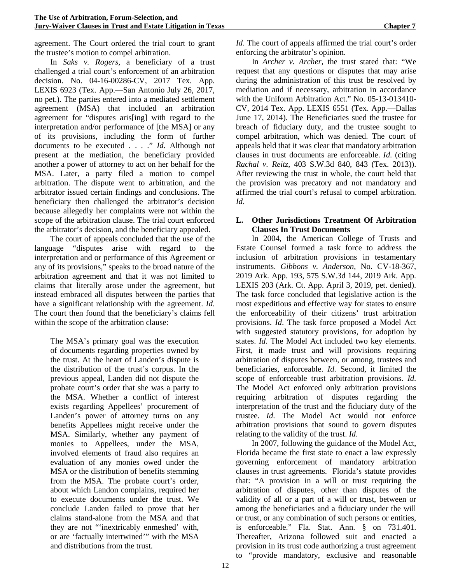agreement. The Court ordered the trial court to grant the trustee's motion to compel arbitration.

In *Saks v. Rogers*, a beneficiary of a trust challenged a trial court's enforcement of an arbitration decision. No. 04-16-00286-CV, 2017 Tex. App. LEXIS 6923 (Tex. App.—San Antonio July 26, 2017, no pet.). The parties entered into a mediated settlement agreement (MSA) that included an arbitration agreement for "disputes aris[ing] with regard to the interpretation and/or performance of [the MSA] or any of its provisions, including the form of further documents to be executed . . . ." *Id*. Although not present at the mediation, the beneficiary provided another a power of attorney to act on her behalf for the MSA. Later, a party filed a motion to compel arbitration. The dispute went to arbitration, and the arbitrator issued certain findings and conclusions. The beneficiary then challenged the arbitrator's decision because allegedly her complaints were not within the scope of the arbitration clause. The trial court enforced the arbitrator's decision, and the beneficiary appealed.

The court of appeals concluded that the use of the language "disputes arise with regard to the interpretation and or performance of this Agreement or any of its provisions," speaks to the broad nature of the arbitration agreement and that it was not limited to claims that literally arose under the agreement, but instead embraced all disputes between the parties that have a significant relationship with the agreement. *Id*. The court then found that the beneficiary's claims fell within the scope of the arbitration clause:

The MSA's primary goal was the execution of documents regarding properties owned by the trust. At the heart of Landen's dispute is the distribution of the trust's corpus. In the previous appeal, Landen did not dispute the probate court's order that she was a party to the MSA. Whether a conflict of interest exists regarding Appellees' procurement of Landen's power of attorney turns on any benefits Appellees might receive under the MSA. Similarly, whether any payment of monies to Appellees, under the MSA, involved elements of fraud also requires an evaluation of any monies owed under the MSA or the distribution of benefits stemming from the MSA. The probate court's order, about which Landon complains, required her to execute documents under the trust. We conclude Landen failed to prove that her claims stand-alone from the MSA and that they are not "'inextricably enmeshed' with, or are 'factually intertwined'" with the MSA and distributions from the trust.

*Id*. The court of appeals affirmed the trial court's order enforcing the arbitrator's opinion.

In *Archer v. Archer*, the trust stated that: "We request that any questions or disputes that may arise during the administration of this trust be resolved by mediation and if necessary, arbitration in accordance with the Uniform Arbitration Act." No. 05-13-013410- CV, 2014 Tex. App. LEXIS 6551 (Tex. App.—Dallas June 17, 2014). The Beneficiaries sued the trustee for breach of fiduciary duty, and the trustee sought to compel arbitration, which was denied. The court of appeals held that it was clear that mandatory arbitration clauses in trust documents are enforceable. *Id*. (citing *Rachal v. Reitz*, 403 S.W.3d 840, 843 (Tex. 2013)). After reviewing the trust in whole, the court held that the provision was precatory and not mandatory and affirmed the trial court's refusal to compel arbitration. *Id*.

#### **L. Other Jurisdictions Treatment Of Arbitration Clauses In Trust Documents**

In 2004, the American College of Trusts and Estate Counsel formed a task force to address the inclusion of arbitration provisions in testamentary instruments. *Gibbons v. Anderson*, No. CV-18-367, 2019 Ark. App. 193, 575 S.W.3d 144, 2019 Ark. App. LEXIS 203 (Ark. Ct. App. April 3, 2019, pet. denied). The task force concluded that legislative action is the most expeditious and effective way for states to ensure the enforceability of their citizens' trust arbitration provisions. *Id*. The task force proposed a Model Act with suggested statutory provisions, for adoption by states. *Id*. The Model Act included two key elements. First, it made trust and will provisions requiring arbitration of disputes between, or among, trustees and beneficiaries, enforceable. *Id*. Second, it limited the scope of enforceable trust arbitration provisions. *Id*. The Model Act enforced only arbitration provisions requiring arbitration of disputes regarding the interpretation of the trust and the fiduciary duty of the trustee. *Id*. The Model Act would not enforce arbitration provisions that sound to govern disputes relating to the validity of the trust. *Id*.

In 2007, following the guidance of the Model Act, Florida became the first state to enact a law expressly governing enforcement of mandatory arbitration clauses in trust agreements. Florida's statute provides that: "A provision in a will or trust requiring the arbitration of disputes, other than disputes of the validity of all or a part of a will or trust, between or among the beneficiaries and a fiduciary under the will or trust, or any combination of such persons or entities, is enforceable." Fla. Stat. Ann. § on 731.401. Thereafter, Arizona followed suit and enacted a provision in its trust code authorizing a trust agreement to "provide mandatory, exclusive and reasonable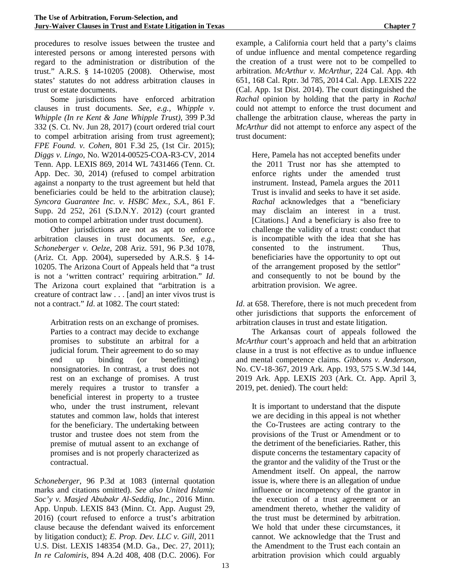procedures to resolve issues between the trustee and interested persons or among interested persons with regard to the administration or distribution of the trust." A.R.S. § 14-10205 (2008). Otherwise, most states' statutes do not address arbitration clauses in trust or estate documents.

Some jurisdictions have enforced arbitration clauses in trust documents. *See, e.g., Whipple v. Whipple (In re Kent & Jane Whipple Trust),* 399 P.3d 332 (S. Ct. Nv. Jun 28, 2017) (court ordered trial court to compel arbitration arising from trust agreement); *FPE Found. v. Cohen*, 801 F.3d 25, (1st Cir. 2015); *Diggs v. Lingo*, No. W2014-00525-COA-R3-CV, 2014 Tenn. App. LEXIS 869, 2014 WL 7431466 (Tenn. Ct. App. Dec. 30, 2014) (refused to compel arbitration against a nonparty to the trust agreement but held that beneficiaries could be held to the arbitration clause); *Syncora Guarantee Inc. v. HSBC Mex., S.A.*, 861 F. Supp. 2d 252, 261 (S.D.N.Y. 2012) (court granted motion to compel arbitration under trust document).

Other jurisdictions are not as apt to enforce arbitration clauses in trust documents. *See, e.g., Schoneberger v. Oelze*, 208 Ariz. 591, 96 P.3d 1078, (Ariz. Ct. App. 2004), superseded by A.R.S. § 14- 10205. The Arizona Court of Appeals held that "a trust is not a 'written contract' requiring arbitration." *Id*. The Arizona court explained that "arbitration is a creature of contract law . . . [and] an inter vivos trust is not a contract." *Id*. at 1082. The court stated:

Arbitration rests on an exchange of promises. Parties to a contract may decide to exchange promises to substitute an arbitral for a judicial forum. Their agreement to do so may end up binding (or benefitting) nonsignatories. In contrast, a trust does not rest on an exchange of promises. A trust merely requires a trustor to transfer a beneficial interest in property to a trustee who, under the trust instrument, relevant statutes and common law, holds that interest for the beneficiary. The undertaking between trustor and trustee does not stem from the premise of mutual assent to an exchange of promises and is not properly characterized as contractual.

*Schoneberger*, 96 P.3d at 1083 (internal quotation marks and citations omitted). *See also United Islamic Soc'y v. Masjed Abubakr Al-Seddiq, Inc.*, 2016 Minn. App. Unpub. LEXIS 843 (Minn. Ct. App. August 29, 2016) (court refused to enforce a trust's arbitration clause because the defendant waived its enforcement by litigation conduct); *E. Prop. Dev. LLC v. Gill*, 2011 U.S. Dist. LEXIS 148354 (M.D. Ga., Dec. 27, 2011); *In re Calomiris*, 894 A.2d 408, 408 (D.C. 2006). For

example, a California court held that a party's claims of undue influence and mental competence regarding the creation of a trust were not to be compelled to arbitration. *McArthur v. McArthur*, 224 Cal. App. 4th 651, 168 Cal. Rptr. 3d 785, 2014 Cal. App. LEXIS 222 (Cal. App. 1st Dist. 2014). The court distinguished the *Rachal* opinion by holding that the party in *Rachal* could not attempt to enforce the trust document and challenge the arbitration clause, whereas the party in *McArthur* did not attempt to enforce any aspect of the trust document:

Here, Pamela has not accepted benefits under the 2011 Trust nor has she attempted to enforce rights under the amended trust instrument. Instead, Pamela argues the 2011 Trust is invalid and seeks to have it set aside. *Rachal* acknowledges that a "beneficiary may disclaim an interest in a trust. [Citations.] And a beneficiary is also free to challenge the validity of a trust: conduct that is incompatible with the idea that she has consented to the instrument. Thus, beneficiaries have the opportunity to opt out of the arrangement proposed by the settlor" and consequently to not be bound by the arbitration provision. We agree.

*Id*. at 658. Therefore, there is not much precedent from other jurisdictions that supports the enforcement of arbitration clauses in trust and estate litigation.

The Arkansas court of appeals followed the *McArthur* court's approach and held that an arbitration clause in a trust is not effective as to undue influence and mental competence claims. *Gibbons v. Anderson*, No. CV-18-367, 2019 Ark. App. 193, 575 S.W.3d 144, 2019 Ark. App. LEXIS 203 (Ark. Ct. App. April 3, 2019, pet. denied). The court held:

It is important to understand that the dispute we are deciding in this appeal is not whether the Co-Trustees are acting contrary to the provisions of the Trust or Amendment or to the detriment of the beneficiaries. Rather, this dispute concerns the testamentary capacity of the grantor and the validity of the Trust or the Amendment itself. On appeal, the narrow issue is, where there is an allegation of undue influence or incompetency of the grantor in the execution of a trust agreement or an amendment thereto, whether the validity of the trust must be determined by arbitration. We hold that under these circumstances, it cannot. We acknowledge that the Trust and the Amendment to the Trust each contain an arbitration provision which could arguably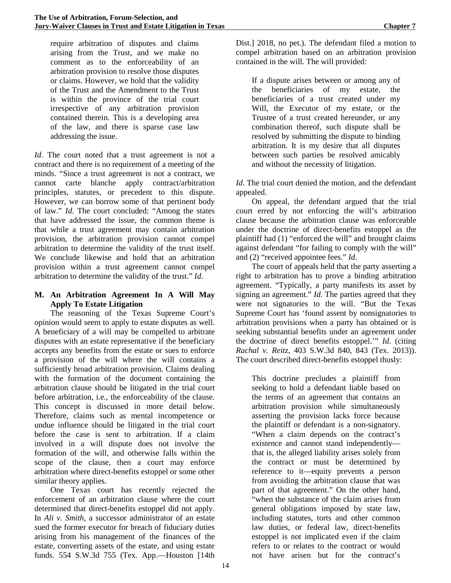require arbitration of disputes and claims arising from the Trust, and we make no comment as to the enforceability of an arbitration provision to resolve those disputes or claims. However, we hold that the validity of the Trust and the Amendment to the Trust is within the province of the trial court irrespective of any arbitration provision contained therein. This is a developing area of the law, and there is sparse case law addressing the issue.

*Id*. The court noted that a trust agreement is not a contract and there is no requirement of a meeting of the minds. "Since a trust agreement is not a contract, we cannot carte blanche apply contract/arbitration principles, statutes, or precedent to this dispute. However, we can borrow some of that pertinent body of law." *Id*. The court concluded: "Among the states that have addressed the issue, the common theme is that while a trust agreement may contain arbitration provision, the arbitration provision cannot compel arbitration to determine the validity of the trust itself. We conclude likewise and hold that an arbitration provision within a trust agreement cannot compel arbitration to determine the validity of the trust." *Id*.

### **M. An Arbitration Agreement In A Will May Apply To Estate Litigation**

The reasoning of the Texas Supreme Court's opinion would seem to apply to estate disputes as well. A beneficiary of a will may be compelled to arbitrate disputes with an estate representative if the beneficiary accepts any benefits from the estate or sues to enforce a provision of the will where the will contains a sufficiently broad arbitration provision. Claims dealing with the formation of the document containing the arbitration clause should be litigated in the trial court before arbitration, i.e., the enforceability of the clause. This concept is discussed in more detail below. Therefore, claims such as mental incompetence or undue influence should be litigated in the trial court before the case is sent to arbitration. If a claim involved in a will dispute does not involve the formation of the will, and otherwise falls within the scope of the clause, then a court may enforce arbitration where direct-benefits estoppel or some other similar theory applies.

One Texas court has recently rejected the enforcement of an arbitration clause where the court determined that direct-benefits estoppel did not apply. In *Ali v. Smith*, a successor administrator of an estate sued the former executor for breach of fiduciary duties arising from his management of the finances of the estate, converting assets of the estate, and using estate funds. 554 S.W.3d 755 (Tex. App.—Houston [14th

Dist.] 2018, no pet.). The defendant filed a motion to compel arbitration based on an arbitration provision contained in the will. The will provided:

If a dispute arises between or among any of the beneficiaries of my estate, the beneficiaries of a trust created under my Will, the Executor of my estate, or the Trustee of a trust created hereunder, or any combination thereof, such dispute shall be resolved by submitting the dispute to binding arbitration. It is my desire that all disputes between such parties be resolved amicably and without the necessity of litigation.

*Id*. The trial court denied the motion, and the defendant appealed.

On appeal, the defendant argued that the trial court erred by not enforcing the will's arbitration clause because the arbitration clause was enforceable under the doctrine of direct-benefits estoppel as the plaintiff had (1) "enforced the will" and brought claims against defendant "for failing to comply with the will" and (2) "received appointee fees." *Id*.

The court of appeals held that the party asserting a right to arbitration has to prove a binding arbitration agreement. "Typically, a party manifests its asset by signing an agreement." *Id*. The parties agreed that they were not signatories to the will. "But the Texas Supreme Court has 'found assent by nonsignatories to arbitration provisions when a party has obtained or is seeking substantial benefits under an agreement under the doctrine of direct benefits estoppel.'" *Id*. (citing *Rachal v. Reitz*, 403 S.W.3d 840, 843 (Tex. 2013)). The court described direct-benefits estoppel thusly:

This doctrine precludes a plaintiff from seeking to hold a defendant liable based on the terms of an agreement that contains an arbitration provision while simultaneously asserting the provision lacks force because the plaintiff or defendant is a non-signatory. "When a claim depends on the contract's existence and cannot stand independently that is, the alleged liability arises solely from the contract or must be determined by reference to it—equity prevents a person from avoiding the arbitration clause that was part of that agreement." On the other hand, "when the substance of the claim arises from general obligations imposed by state law, including statutes, torts and other common law duties, or federal law, direct-benefits estoppel is not implicated even if the claim refers to or relates to the contract or would not have arisen but for the contract's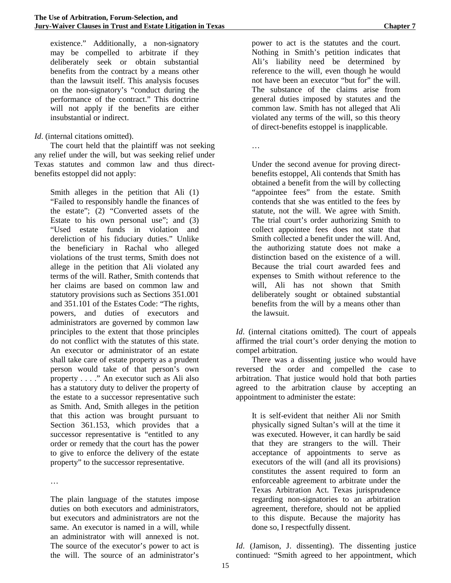existence." Additionally, a non-signatory may be compelled to arbitrate if they deliberately seek or obtain substantial benefits from the contract by a means other than the lawsuit itself. This analysis focuses on the non-signatory's "conduct during the performance of the contract." This doctrine will not apply if the benefits are either insubstantial or indirect.

#### *Id.* (internal citations omitted).

The court held that the plaintiff was not seeking any relief under the will, but was seeking relief under Texas statutes and common law and thus directbenefits estoppel did not apply:

Smith alleges in the petition that Ali (1) "Failed to responsibly handle the finances of the estate"; (2) "Converted assets of the Estate to his own personal use"; and (3) "Used estate funds in violation and dereliction of his fiduciary duties." Unlike the beneficiary in Rachal who alleged violations of the trust terms, Smith does not allege in the petition that Ali violated any terms of the will. Rather, Smith contends that her claims are based on common law and statutory provisions such as Sections 351.001 and 351.101 of the Estates Code: "The rights, powers, and duties of executors and administrators are governed by common law principles to the extent that those principles do not conflict with the statutes of this state. An executor or administrator of an estate shall take care of estate property as a prudent person would take of that person's own property . . . ." An executor such as Ali also has a statutory duty to deliver the property of the estate to a successor representative such as Smith. And, Smith alleges in the petition that this action was brought pursuant to Section 361.153, which provides that a successor representative is "entitled to any order or remedy that the court has the power to give to enforce the delivery of the estate property" to the successor representative.

…

The plain language of the statutes impose duties on both executors and administrators, but executors and administrators are not the same. An executor is named in a will, while an administrator with will annexed is not. The source of the executor's power to act is the will. The source of an administrator's

power to act is the statutes and the court. Nothing in Smith's petition indicates that Ali's liability need be determined by reference to the will, even though he would not have been an executor "but for" the will. The substance of the claims arise from general duties imposed by statutes and the common law. Smith has not alleged that Ali violated any terms of the will, so this theory of direct-benefits estoppel is inapplicable.

…

Under the second avenue for proving directbenefits estoppel, Ali contends that Smith has obtained a benefit from the will by collecting "appointee fees" from the estate. Smith contends that she was entitled to the fees by statute, not the will. We agree with Smith. The trial court's order authorizing Smith to collect appointee fees does not state that Smith collected a benefit under the will. And, the authorizing statute does not make a distinction based on the existence of a will. Because the trial court awarded fees and expenses to Smith without reference to the will, Ali has not shown that Smith deliberately sought or obtained substantial benefits from the will by a means other than the lawsuit.

*Id*. (internal citations omitted). The court of appeals affirmed the trial court's order denying the motion to compel arbitration.

There was a dissenting justice who would have reversed the order and compelled the case to arbitration. That justice would hold that both parties agreed to the arbitration clause by accepting an appointment to administer the estate:

It is self-evident that neither Ali nor Smith physically signed Sultan's will at the time it was executed. However, it can hardly be said that they are strangers to the will. Their acceptance of appointments to serve as executors of the will (and all its provisions) constitutes the assent required to form an enforceable agreement to arbitrate under the Texas Arbitration Act. Texas jurisprudence regarding non-signatories to an arbitration agreement, therefore, should not be applied to this dispute. Because the majority has done so, I respectfully dissent.

*Id*. (Jamison, J. dissenting). The dissenting justice continued: "Smith agreed to her appointment, which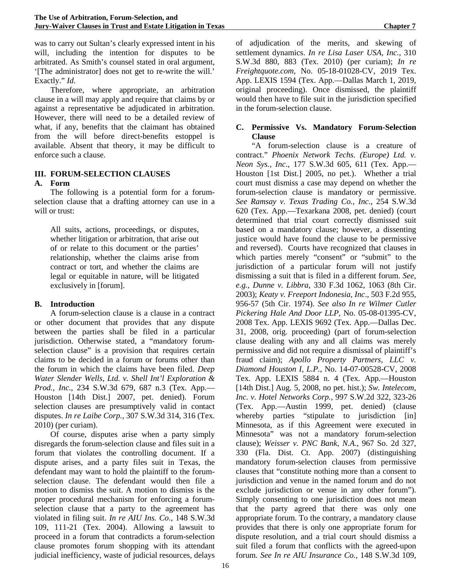was to carry out Sultan's clearly expressed intent in his will, including the intention for disputes to be arbitrated. As Smith's counsel stated in oral argument, '[The administrator] does not get to re-write the will.' Exactly." *Id*.

Therefore, where appropriate, an arbitration clause in a will may apply and require that claims by or against a representative be adjudicated in arbitration. However, there will need to be a detailed review of what, if any, benefits that the claimant has obtained from the will before direct-benefits estoppel is available. Absent that theory, it may be difficult to enforce such a clause.

### **III. FORUM-SELECTION CLAUSES A. Form**

The following is a potential form for a forumselection clause that a drafting attorney can use in a will or trust:

All suits, actions, proceedings, or disputes, whether litigation or arbitration, that arise out of or relate to this document or the parties' relationship, whether the claims arise from contract or tort, and whether the claims are legal or equitable in nature, will be litigated exclusively in [forum].

# **B. Introduction**

A forum-selection clause is a clause in a contract or other document that provides that any dispute between the parties shall be filed in a particular jurisdiction. Otherwise stated, a "mandatory forumselection clause" is a provision that requires certain claims to be decided in a forum or forums other than the forum in which the claims have been filed. *Deep Water Slender Wells, Ltd. v. Shell Int'l Exploration & Prod., Inc*., 234 S.W.3d 679, 687 n.3 (Tex. App.— Houston [14th Dist.] 2007, pet. denied). Forum selection clauses are presumptively valid in contact disputes. *In re Laibe Corp.*, 307 S.W.3d 314, 316 (Tex. 2010) (per curiam).

Of course, disputes arise when a party simply disregards the forum-selection clause and files suit in a forum that violates the controlling document. If a dispute arises, and a party files suit in Texas, the defendant may want to hold the plaintiff to the forumselection clause. The defendant would then file a motion to dismiss the suit. A motion to dismiss is the proper procedural mechanism for enforcing a forumselection clause that a party to the agreement has violated in filing suit. *In re AIU Ins. Co*., 148 S.W.3d 109, 111-21 (Tex. 2004). Allowing a lawsuit to proceed in a forum that contradicts a forum-selection clause promotes forum shopping with its attendant judicial inefficiency, waste of judicial resources, delays

of adjudication of the merits, and skewing of settlement dynamics. *In re Lisa Laser USA, Inc.*, 310 S.W.3d 880, 883 (Tex. 2010) (per curiam); *In re Freightquote.com*, No. 05-18-01028-CV, 2019 Tex. App. LEXIS 1594 (Tex. App.—Dallas March 1, 2019, original proceeding). Once dismissed, the plaintiff would then have to file suit in the jurisdiction specified in the forum-selection clause.

# **C. Permissive Vs. Mandatory Forum-Selection Clause**

"A forum-selection clause is a creature of contract." *Phoenix Network Techs. (Europe) Ltd. v. Neon Sys., Inc*., 177 S.W.3d 605, 611 (Tex. App.— Houston [1st Dist.] 2005, no pet.). Whether a trial court must dismiss a case may depend on whether the forum-selection clause is mandatory or permissive. *See Ramsay v. Texas Trading Co., Inc*., 254 S.W.3d 620 (Tex. App.—Texarkana 2008, pet. denied) (court determined that trial court correctly dismissed suit based on a mandatory clause; however, a dissenting justice would have found the clause to be permissive and reversed). Courts have recognized that clauses in which parties merely "consent" or "submit" to the jurisdiction of a particular forum will not justify dismissing a suit that is filed in a different forum. *See, e.g., Dunne v. Libbra*, 330 F.3d 1062, 1063 (8th Cir. 2003); *Keaty v. Freeport Indonesia, Inc*., 503 F.2d 955, 956-57 (5th Cir. 1974). *See also In re Wilmer Cutler Pickering Hale And Door LLP,* No. 05-08-01395-CV, 2008 Tex. App. LEXIS 9692 (Tex. App.—Dallas Dec. 31, 2008, orig. proceeding) (part of forum-selection clause dealing with any and all claims was merely permissive and did not require a dismissal of plaintiff's fraud claim); *Apollo Property Partners, LLC v. Diamond Houston I, L.P.,* No. 14-07-00528-CV, 2008 Tex. App. LEXIS 5884 n. 4 (Tex. App.—Houston [14th Dist.] Aug. 5, 2008, no pet. hist.); *Sw. Intelecom, Inc. v. Hotel Networks Corp.,* 997 S.W.2d 322, 323-26 (Tex. App.—Austin 1999, pet. denied) (clause whereby parties "stipulate to jurisdiction [in] Minnesota, as if this Agreement were executed in Minnesota" was not a mandatory forum-selection clause); *Weisser v. PNC Bank, N.A*., 967 So. 2d 327, 330 (Fla. Dist. Ct. App. 2007) (distinguishing mandatory forum-selection clauses from permissive clauses that "constitute nothing more than a consent to jurisdiction and venue in the named forum and do not exclude jurisdiction or venue in any other forum"). Simply consenting to one jurisdiction does not mean that the party agreed that there was only one appropriate forum. To the contrary, a mandatory clause provides that there is only one appropriate forum for dispute resolution, and a trial court should dismiss a suit filed a forum that conflicts with the agreed-upon forum. *See In re AIU Insurance Co.,* 148 S.W.3d 109,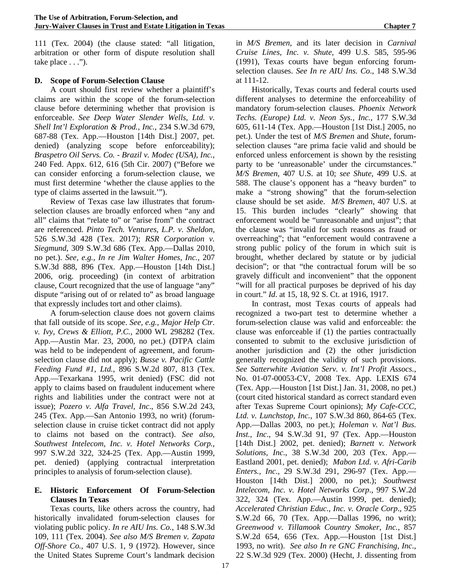111 (Tex. 2004) (the clause stated: "all litigation, arbitration or other form of dispute resolution shall take place . . .").

#### **D. Scope of Forum-Selection Clause**

A court should first review whether a plaintiff's claims are within the scope of the forum-selection clause before determining whether that provision is enforceable. *See Deep Water Slender Wells, Ltd. v. Shell Int'l Exploration & Prod., Inc.*, 234 S.W.3d 679, 687-88 (Tex. App.—Houston [14th Dist.] 2007, pet. denied) (analyzing scope before enforceability); *Braspetro Oil Servs. Co. - Brazil v. Modec (USA), Inc.*, 240 Fed. Appx. 612, 616 (5th Cir. 2007) ("Before we can consider enforcing a forum-selection clause, we must first determine 'whether the clause applies to the type of claims asserted in the lawsuit.'").

Review of Texas case law illustrates that forumselection clauses are broadly enforced when "any and all" claims that "relate to" or "arise from" the contract are referenced. *Pinto Tech. Ventures, L.P. v. Sheldon,* 526 S.W.3d 428 (Tex. 2017); *RSR Corporation v. Siegmund*, 309 S.W.3d 686 (Tex. App.—Dallas 2010, no pet.). *See, e.g., In re Jim Walter Homes, Inc.*, 207 S.W.3d 888, 896 (Tex. App.—Houston [14th Dist.] 2006, orig. proceeding) (in context of arbitration clause, Court recognized that the use of language "any" dispute "arising out of or related to" as broad language that expressly includes tort and other claims).

A forum-selection clause does not govern claims that fall outside of its scope. *See, e.g., Major Help Ctr. v. Ivy, Crews & Elliott, P.C.,* 2000 WL 298282 (Tex. App.—Austin Mar. 23, 2000, no pet.) (DTPA claim was held to be independent of agreement, and forumselection clause did not apply); *Busse v. Pacific Cattle Feeding Fund #1, Ltd.*, 896 S.W.2d 807, 813 (Tex. App.—Texarkana 1995, writ denied) (FSC did not apply to claims based on fraudulent inducement where rights and liabilities under the contract were not at issue); *Pozero v. Alfa Travel, Inc*., 856 S.W.2d 243, 245 (Tex. App.—San Antonio 1993, no writ) (forumselection clause in cruise ticket contract did not apply to claims not based on the contract). *See also, Southwest Intelecom, Inc. v. Hotel Networks Corp.*, 997 S.W.2d 322, 324-25 (Tex. App.—Austin 1999, pet. denied) (applying contractual interpretation principles to analysis of forum-selection clause).

#### **E. Historic Enforcement Of Forum-Selection Clauses In Texas**

Texas courts, like others across the country, had historically invalidated forum-selection clauses for violating public policy. *In re AIU Ins. Co.*, 148 S.W.3d 109, 111 (Tex. 2004). *See also M/S Bremen v. Zapata Off-Shore Co.*, 407 U.S. 1, 9 (1972). However, since the United States Supreme Court's landmark decision in *M/S Bremen*, and its later decision in *Carnival Cruise Lines, Inc. v. Shute*, 499 U.S. 585, 595-96 (1991), Texas courts have begun enforcing forumselection clauses. *See In re AIU Ins. Co*., 148 S.W.3d at 111-12.

Historically, Texas courts and federal courts used different analyses to determine the enforceability of mandatory forum-selection clauses. *Phoenix Network Techs. (Europe) Ltd. v. Neon Sys., Inc.*, 177 S.W.3d 605, 611-14 (Tex. App.—Houston [1st Dist.] 2005, no pet.). Under the test of *M/S Bremen* and *Shute*, forumselection clauses "are prima facie valid and should be enforced unless enforcement is shown by the resisting party to be 'unreasonable' under the circumstances." *M/S Bremen*, 407 U.S. at 10; *see Shute*, 499 U.S. at 588. The clause's opponent has a "heavy burden" to make a "strong showing" that the forum-selection clause should be set aside. *M/S Bremen*, 407 U.S. at 15. This burden includes "clearly" showing that enforcement would be "unreasonable and unjust"; that the clause was "invalid for such reasons as fraud or overreaching"; that "enforcement would contravene a strong public policy of the forum in which suit is brought, whether declared by statute or by judicial decision"; or that "the contractual forum will be so gravely difficult and inconvenient" that the opponent "will for all practical purposes be deprived of his day in court." *Id*. at 15, 18, 92 S. Ct. at 1916, 1917.

In contrast, most Texas courts of appeals had recognized a two-part test to determine whether a forum-selection clause was valid and enforceable: the clause was enforceable if (1) the parties contractually consented to submit to the exclusive jurisdiction of another jurisdiction and (2) the other jurisdiction generally recognized the validity of such provisions. *See Satterwhite Aviation Serv. v. Int'l Profit Assocs.,*  No. 01-07-00053-CV, 2008 Tex. App. LEXIS 674 (Tex. App.—Houston [1st Dist.] Jan. 31, 2008, no pet.) (court cited historical standard as correct standard even after Texas Supreme Court opinions); *My Cafe-CCC, Ltd. v. Lunchstop, Inc.*, 107 S.W.3d 860, 864-65 (Tex. App.—Dallas 2003, no pet.); *Holeman v. Nat'l Bus. Inst., Inc*., 94 S.W.3d 91, 97 (Tex. App.—Houston [14th Dist.] 2002, pet. denied); *Barnett v. Network Solutions, Inc*., 38 S.W.3d 200, 203 (Tex. App.— Eastland 2001, pet. denied); *Mabon Ltd. v. Afri-Carib Enters., Inc*., 29 S.W.3d 291, 296-97 (Tex. App.— Houston [14th Dist.] 2000, no pet.); *Southwest Intelecom, Inc. v. Hotel Networks Corp*., 997 S.W.2d 322, 324 (Tex. App.—Austin 1999, pet. denied); *Accelerated Christian Educ., Inc. v. Oracle Corp*., 925 S.W.2d 66, 70 (Tex. App.—Dallas 1996, no writ); *Greenwood v. Tillamook Country Smoker, Inc.*, 857 S.W.2d 654, 656 (Tex. App.—Houston [1st Dist.] 1993, no writ). *See also In re GNC Franchising, Inc*., 22 S.W.3d 929 (Tex. 2000) (Hecht, J. dissenting from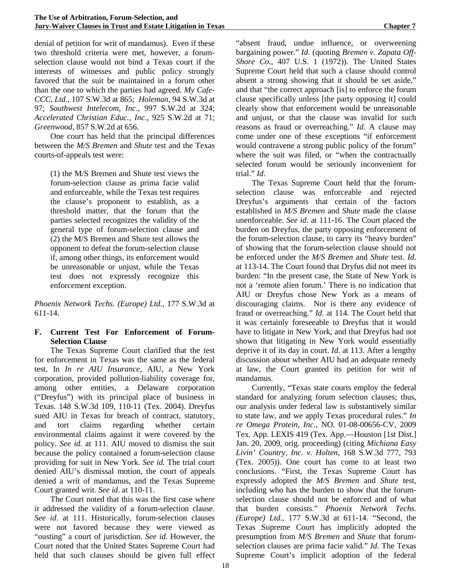denial of petition for writ of mandamus). Even if these two threshold criteria were met, however, a forumselection clause would not bind a Texas court if the interests of witnesses and public policy strongly favored that the suit be maintained in a forum other than the one to which the parties had agreed. *My Cafe-CCC, Ltd.*, 107 S.W.3d at 865; *Holeman*, 94 S.W.3d at 97; *Southwest Intelecom, Inc*., 997 S.W.2d at 324; *Accelerated Christian Educ., Inc.*, 925 S.W.2d at 71; *Greenwood*, 857 S.W.2d at 656.

One court has held that the principal differences between the *M/S Bremen* and *Shute* test and the Texas courts-of-appeals test were:

(1) the M/S Bremen and Shute test views the forum-selection clause as prima facie valid and enforceable, while the Texas test requires the clause's proponent to establish, as a threshold matter, that the forum that the parties selected recognizes the validity of the general type of forum-selection clause and (2) the M/S Bremen and Shute test allows the opponent to defeat the forum-selection clause if, among other things, its enforcement would be unreasonable or unjust, while the Texas test does not expressly recognize this enforcement exception.

*Phoenix Network Techs. (Europe) Ltd.*, 177 S.W.3d at 611-14.

# **F. Current Test For Enforcement of Forum-Selection Clause**

The Texas Supreme Court clarified that the test for enforcement in Texas was the same as the federal test. In *In re AIU Insurance*, AIU, a New York corporation, provided pollution-liability coverage for, among other entities, a Delaware corporation ("Dreyfus") with its principal place of business in Texas. 148 S.W.3d 109, 110-11 (Tex. 2004). Dreyfus sued AIU in Texas for breach of contract, statutory, and tort claims regarding whether certain environmental claims against it were covered by the policy. *See id*. at 111. AIU moved to dismiss the suit because the policy contained a forum-selection clause providing for suit in New York. *See id.* The trial court denied AIU's dismissal motion, the court of appeals denied a writ of mandamus, and the Texas Supreme Court granted writ. *See id*. at 110-11.

The Court noted that this was the first case where it addressed the validity of a forum-selection clause. *See id*. at 111. Historically, forum-selection clauses were not favored because they were viewed as "ousting" a court of jurisdiction. *See id.* However, the Court noted that the United States Supreme Court had held that such clauses should be given full effect "absent fraud, undue influence, or overweening bargaining power." *Id*. (quoting *Bremen v. Zapata Off-Shore Co.*, 407 U.S. 1 (1972)). The United States Supreme Court held that such a clause should control absent a strong showing that it should be set aside," and that "the correct approach [is] to enforce the forum clause specifically unless [the party opposing it] could clearly show that enforcement would be unreasonable and unjust, or that the clause was invalid for such reasons as fraud or overreaching." *Id*. A clause may come under one of these exceptions "if enforcement would contravene a strong public policy of the forum" where the suit was filed, or "when the contractually selected forum would be seriously inconvenient for trial." *Id*.

The Texas Supreme Court held that the forumselection clause was enforceable and rejected Dreyfus's arguments that certain of the factors established in *M/S Bremen* and *Shute* made the clause unenforceable. *See id*. at 111-16. The Court placed the burden on Dreyfus, the party opposing enforcement of the forum-selection clause, to carry its "heavy burden" of showing that the forum-selection clause should not be enforced under the *M/S Bremen* and *Shute* test. *Id*. at 113-14. The Court found that Dryfus did not meet its burden: "In the present case, the State of New York is not a 'remote alien forum.' There is no indication that AIU or Dreyfus chose New York as a means of discouraging claims. Nor is there any evidence of fraud or overreaching." *Id*. at 114. The Court held that it was certainly foreseeable to Dreyfus that it would have to litigate in New York, and that Dreyfus had not shown that litigating in New York would essentially deprive it of its day in court. *Id*. at 113. After a lengthy discussion about whether AIU had an adequate remedy at law, the Court granted its petition for writ of mandamus.

Currently, "Texas state courts employ the federal standard for analyzing forum selection clauses; thus, our analysis under federal law is substantively similar to state law, and we apply Texas procedural rules." *In re Omega Protein, Inc.*, NO. 01-08-00656-CV, 2009 Tex. App. LEXIS 419 (Tex. App.—Houston [1st Dist.] Jan. 20, 2009, orig. proceeding) (citing *Michiana Easy Livin' Country, Inc. v. Holten,* 168 S.W.3d 777, 793 (Tex. 2005)). One court has come to at least two conclusions. "First, the Texas Supreme Court has expressly adopted the *M/S Bremen* and *Shute* test, including who has the burden to show that the forumselection clause should not be enforced and of what that burden consists." *Phoenix Network Techs. (Europe) Ltd.*, 177 S.W.3d at 611-14. "Second, the Texas Supreme Court has implicitly adopted the presumption from *M/S Bremen* and *Shute* that forumselection clauses are prima facie valid." *Id*. The Texas Supreme Court's implicit adoption of the federal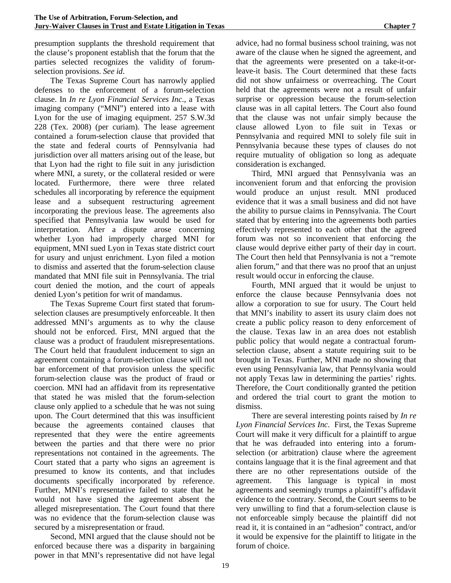presumption supplants the threshold requirement that the clause's proponent establish that the forum that the parties selected recognizes the validity of forumselection provisions. *See id*.

The Texas Supreme Court has narrowly applied defenses to the enforcement of a forum-selection clause. In *In re Lyon Financial Services Inc*., a Texas imaging company ("MNI") entered into a lease with Lyon for the use of imaging equipment. 257 S.W.3d 228 (Tex. 2008) (per curiam). The lease agreement contained a forum-selection clause that provided that the state and federal courts of Pennsylvania had jurisdiction over all matters arising out of the lease, but that Lyon had the right to file suit in any jurisdiction where MNI, a surety, or the collateral resided or were located. Furthermore, there were three related schedules all incorporating by reference the equipment lease and a subsequent restructuring agreement incorporating the previous lease. The agreements also specified that Pennsylvania law would be used for interpretation. After a dispute arose concerning whether Lyon had improperly charged MNI for equipment, MNI sued Lyon in Texas state district court for usury and unjust enrichment. Lyon filed a motion to dismiss and asserted that the forum-selection clause mandated that MNI file suit in Pennsylvania. The trial court denied the motion, and the court of appeals denied Lyon's petition for writ of mandamus.

The Texas Supreme Court first stated that forumselection clauses are presumptively enforceable. It then addressed MNI's arguments as to why the clause should not be enforced. First, MNI argued that the clause was a product of fraudulent misrepresentations. The Court held that fraudulent inducement to sign an agreement containing a forum-selection clause will not bar enforcement of that provision unless the specific forum-selection clause was the product of fraud or coercion. MNI had an affidavit from its representative that stated he was misled that the forum-selection clause only applied to a schedule that he was not suing upon. The Court determined that this was insufficient because the agreements contained clauses that represented that they were the entire agreements between the parties and that there were no prior representations not contained in the agreements. The Court stated that a party who signs an agreement is presumed to know its contents, and that includes documents specifically incorporated by reference. Further, MNI's representative failed to state that he would not have signed the agreement absent the alleged misrepresentation. The Court found that there was no evidence that the forum-selection clause was secured by a misrepresentation or fraud.

Second, MNI argued that the clause should not be enforced because there was a disparity in bargaining power in that MNI's representative did not have legal advice, had no formal business school training, was not aware of the clause when he signed the agreement, and that the agreements were presented on a take-it-orleave-it basis. The Court determined that these facts did not show unfairness or overreaching. The Court held that the agreements were not a result of unfair surprise or oppression because the forum-selection clause was in all capital letters. The Court also found that the clause was not unfair simply because the clause allowed Lyon to file suit in Texas or Pennsylvania and required MNI to solely file suit in Pennsylvania because these types of clauses do not require mutuality of obligation so long as adequate

consideration is exchanged. Third, MNI argued that Pennsylvania was an inconvenient forum and that enforcing the provision would produce an unjust result. MNI produced evidence that it was a small business and did not have the ability to pursue claims in Pennsylvania. The Court stated that by entering into the agreements both parties effectively represented to each other that the agreed forum was not so inconvenient that enforcing the clause would deprive either party of their day in court. The Court then held that Pennsylvania is not a "remote alien forum," and that there was no proof that an unjust result would occur in enforcing the clause.

Fourth, MNI argued that it would be unjust to enforce the clause because Pennsylvania does not allow a corporation to sue for usury. The Court held that MNI's inability to assert its usury claim does not create a public policy reason to deny enforcement of the clause. Texas law in an area does not establish public policy that would negate a contractual forumselection clause, absent a statute requiring suit to be brought in Texas. Further, MNI made no showing that even using Pennsylvania law, that Pennsylvania would not apply Texas law in determining the parties' rights. Therefore, the Court conditionally granted the petition and ordered the trial court to grant the motion to dismiss.

There are several interesting points raised by *In re Lyon Financial Services Inc*. First, the Texas Supreme Court will make it very difficult for a plaintiff to argue that he was defrauded into entering into a forumselection (or arbitration) clause where the agreement contains language that it is the final agreement and that there are no other representations outside of the agreement. This language is typical in most agreements and seemingly trumps a plaintiff's affidavit evidence to the contrary. Second, the Court seems to be very unwilling to find that a forum-selection clause is not enforceable simply because the plaintiff did not read it, it is contained in an "adhesion" contract, and/or it would be expensive for the plaintiff to litigate in the forum of choice.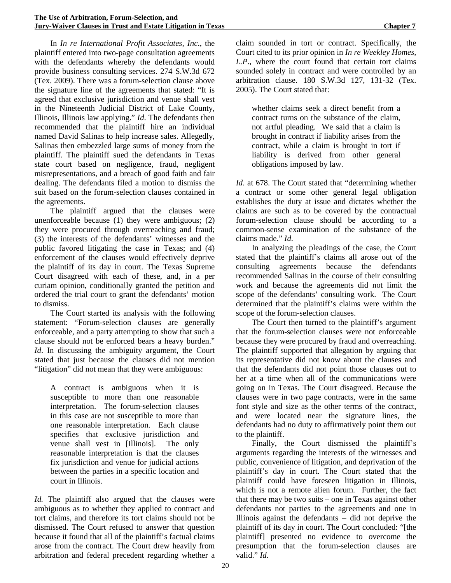In *In re International Profit Associates, Inc*., the plaintiff entered into two-page consultation agreements with the defendants whereby the defendants would provide business consulting services. 274 S.W.3d 672 (Tex. 2009). There was a forum-selection clause above the signature line of the agreements that stated: "It is agreed that exclusive jurisdiction and venue shall vest in the Nineteenth Judicial District of Lake County, Illinois, Illinois law applying." *Id*. The defendants then recommended that the plaintiff hire an individual named David Salinas to help increase sales. Allegedly, Salinas then embezzled large sums of money from the plaintiff. The plaintiff sued the defendants in Texas state court based on negligence, fraud, negligent misrepresentations, and a breach of good faith and fair dealing. The defendants filed a motion to dismiss the suit based on the forum-selection clauses contained in the agreements.

The plaintiff argued that the clauses were unenforceable because (1) they were ambiguous; (2) they were procured through overreaching and fraud; (3) the interests of the defendants' witnesses and the public favored litigating the case in Texas; and (4) enforcement of the clauses would effectively deprive the plaintiff of its day in court. The Texas Supreme Court disagreed with each of these, and, in a per curiam opinion, conditionally granted the petition and ordered the trial court to grant the defendants' motion to dismiss.

The Court started its analysis with the following statement: "Forum-selection clauses are generally enforceable, and a party attempting to show that such a clause should not be enforced bears a heavy burden." *Id*. In discussing the ambiguity argument, the Court stated that just because the clauses did not mention "litigation" did not mean that they were ambiguous:

A contract is ambiguous when it is susceptible to more than one reasonable interpretation. The forum-selection clauses in this case are not susceptible to more than one reasonable interpretation. Each clause specifies that exclusive jurisdiction and venue shall vest in [Illinois]. The only reasonable interpretation is that the clauses fix jurisdiction and venue for judicial actions between the parties in a specific location and court in Illinois.

*Id.* The plaintiff also argued that the clauses were ambiguous as to whether they applied to contract and tort claims, and therefore its tort claims should not be dismissed. The Court refused to answer that question because it found that all of the plaintiff's factual claims arose from the contract. The Court drew heavily from arbitration and federal precedent regarding whether a claim sounded in tort or contract. Specifically, the Court cited to its prior opinion in *In re Weekley Homes, L.P*., where the court found that certain tort claims sounded solely in contract and were controlled by an arbitration clause. 180 S.W.3d 127, 131-32 (Tex. 2005). The Court stated that:

whether claims seek a direct benefit from a contract turns on the substance of the claim, not artful pleading. We said that a claim is brought in contract if liability arises from the contract, while a claim is brought in tort if liability is derived from other general obligations imposed by law.

*Id*. at 678. The Court stated that "determining whether a contract or some other general legal obligation establishes the duty at issue and dictates whether the claims are such as to be covered by the contractual forum-selection clause should be according to a common-sense examination of the substance of the claims made." *Id*.

In analyzing the pleadings of the case, the Court stated that the plaintiff's claims all arose out of the consulting agreements because the defendants recommended Salinas in the course of their consulting work and because the agreements did not limit the scope of the defendants' consulting work. The Court determined that the plaintiff's claims were within the scope of the forum-selection clauses.

The Court then turned to the plaintiff's argument that the forum-selection clauses were not enforceable because they were procured by fraud and overreaching. The plaintiff supported that allegation by arguing that its representative did not know about the clauses and that the defendants did not point those clauses out to her at a time when all of the communications were going on in Texas. The Court disagreed. Because the clauses were in two page contracts, were in the same font style and size as the other terms of the contract, and were located near the signature lines, the defendants had no duty to affirmatively point them out to the plaintiff.

Finally, the Court dismissed the plaintiff's arguments regarding the interests of the witnesses and public, convenience of litigation, and deprivation of the plaintiff's day in court. The Court stated that the plaintiff could have foreseen litigation in Illinois, which is not a remote alien forum. Further, the fact that there may be two suits – one in Texas against other defendants not parties to the agreements and one in Illinois against the defendants – did not deprive the plaintiff of its day in court. The Court concluded: "[the plaintiff] presented no evidence to overcome the presumption that the forum-selection clauses are valid." *Id*.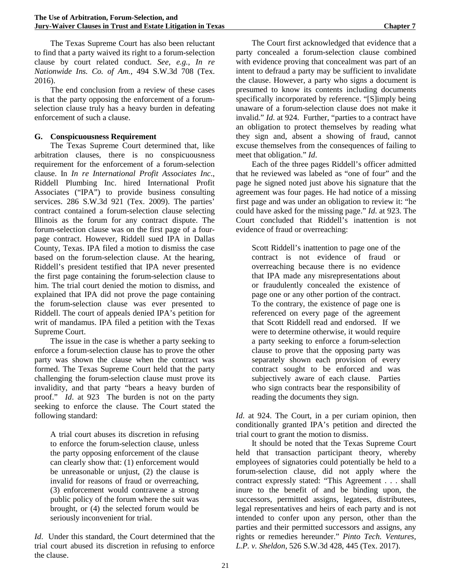The Texas Supreme Court has also been reluctant to find that a party waived its right to a forum-selection clause by court related conduct. *See, e.g., In re Nationwide Ins. Co. of Am.*, 494 S.W.3d 708 (Tex. 2016).

The end conclusion from a review of these cases is that the party opposing the enforcement of a forumselection clause truly has a heavy burden in defeating enforcement of such a clause.

#### **G. Conspicuousness Requirement**

The Texas Supreme Court determined that, like arbitration clauses, there is no conspicuousness requirement for the enforcement of a forum-selection clause. In *In re International Profit Associates Inc*., Riddell Plumbing Inc. hired International Profit Associates ("IPA") to provide business consulting services. 286 S.W.3d 921 (Tex. 2009). The parties' contract contained a forum-selection clause selecting Illinois as the forum for any contract dispute. The forum-selection clause was on the first page of a fourpage contract. However, Riddell sued IPA in Dallas County, Texas. IPA filed a motion to dismiss the case based on the forum-selection clause. At the hearing, Riddell's president testified that IPA never presented the first page containing the forum-selection clause to him. The trial court denied the motion to dismiss, and explained that IPA did not prove the page containing the forum-selection clause was ever presented to Riddell. The court of appeals denied IPA's petition for writ of mandamus. IPA filed a petition with the Texas Supreme Court.

The issue in the case is whether a party seeking to enforce a forum-selection clause has to prove the other party was shown the clause when the contract was formed. The Texas Supreme Court held that the party challenging the forum-selection clause must prove its invalidity, and that party "bears a heavy burden of proof." *Id*. at 923 The burden is not on the party seeking to enforce the clause. The Court stated the following standard:

A trial court abuses its discretion in refusing to enforce the forum-selection clause, unless the party opposing enforcement of the clause can clearly show that: (1) enforcement would be unreasonable or unjust, (2) the clause is invalid for reasons of fraud or overreaching, (3) enforcement would contravene a strong public policy of the forum where the suit was brought, or (4) the selected forum would be seriously inconvenient for trial.

*Id*. Under this standard, the Court determined that the trial court abused its discretion in refusing to enforce the clause.

The Court first acknowledged that evidence that a party concealed a forum-selection clause combined with evidence proving that concealment was part of an intent to defraud a party may be sufficient to invalidate the clause. However, a party who signs a document is presumed to know its contents including documents specifically incorporated by reference. "[S]imply being unaware of a forum-selection clause does not make it invalid." *Id*. at 924. Further, "parties to a contract have an obligation to protect themselves by reading what they sign and, absent a showing of fraud, cannot excuse themselves from the consequences of failing to meet that obligation." *Id*.

Each of the three pages Riddell's officer admitted that he reviewed was labeled as "one of four" and the page he signed noted just above his signature that the agreement was four pages. He had notice of a missing first page and was under an obligation to review it: "he could have asked for the missing page." *Id*. at 923. The Court concluded that Riddell's inattention is not evidence of fraud or overreaching:

Scott Riddell's inattention to page one of the contract is not evidence of fraud or overreaching because there is no evidence that IPA made any misrepresentations about or fraudulently concealed the existence of page one or any other portion of the contract. To the contrary, the existence of page one is referenced on every page of the agreement that Scott Riddell read and endorsed. If we were to determine otherwise, it would require a party seeking to enforce a forum-selection clause to prove that the opposing party was separately shown each provision of every contract sought to be enforced and was subjectively aware of each clause. Parties who sign contracts bear the responsibility of reading the documents they sign.

*Id*. at 924. The Court, in a per curiam opinion, then conditionally granted IPA's petition and directed the trial court to grant the motion to dismiss.

It should be noted that the Texas Supreme Court held that transaction participant theory, whereby employees of signatories could potentially be held to a forum-selection clause, did not apply where the contract expressly stated: "This Agreement . . . shall inure to the benefit of and be binding upon, the successors, permitted assigns, legatees, distributees, legal representatives and heirs of each party and is not intended to confer upon any person, other than the parties and their permitted successors and assigns, any rights or remedies hereunder." *Pinto Tech. Ventures, L.P. v. Sheldon*, 526 S.W.3d 428, 445 (Tex. 2017).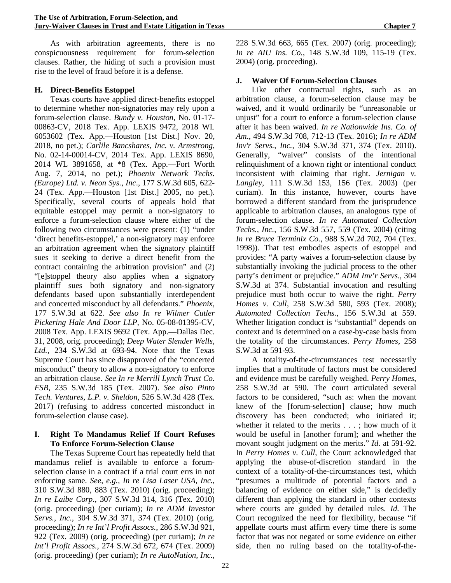As with arbitration agreements, there is no conspicuousness requirement for forum-selection clauses. Rather, the hiding of such a provision must rise to the level of fraud before it is a defense.

#### **H. Direct-Benefits Estoppel**

Texas courts have applied direct-benefits estoppel to determine whether non-signatories may rely upon a forum-selection clause. *Bundy v. Houston*, No. 01-17- 00863-CV, 2018 Tex. App. LEXIS 9472, 2018 WL 6053602 (Tex. App.—Houston [1st Dist.] Nov. 20, 2018, no pet.); *Carlile Bancshares, Inc. v. Armstrong*, No. 02-14-00014-CV, 2014 Tex. App. LEXIS 8690, 2014 WL 3891658, at \*8 (Tex. App.—Fort Worth Aug. 7, 2014, no pet.); *Phoenix Network Techs. (Europe) Ltd. v. Neon Sys., Inc*., 177 S.W.3d 605, 622- 24 (Tex. App.—Houston [1st Dist.] 2005, no pet.). Specifically, several courts of appeals hold that equitable estoppel may permit a non-signatory to enforce a forum-selection clause where either of the following two circumstances were present: (1) "under 'direct benefits-estoppel,' a non-signatory may enforce an arbitration agreement when the signatory plaintiff sues it seeking to derive a direct benefit from the contract containing the arbitration provision" and (2) "[e]stoppel theory also applies when a signatory plaintiff sues both signatory and non-signatory defendants based upon substantially interdependent and concerted misconduct by all defendants." *Phoenix*, 177 S.W.3d at 622. *See also In re Wilmer Cutler Pickering Hale And Door LLP,* No. 05-08-01395-CV, 2008 Tex. App. LEXIS 9692 (Tex. App.—Dallas Dec. 31, 2008, orig. proceeding); *Deep Water Slender Wells, Ltd.*, 234 S.W.3d at 693-94. Note that the Texas Supreme Court has since disapproved of the "concerted misconduct" theory to allow a non-signatory to enforce an arbitration clause. *See In re Merrill Lynch Trust Co. FSB*, 235 S.W.3d 185 (Tex. 2007). *See also Pinto Tech. Ventures, L.P. v. Sheldon*, 526 S.W.3d 428 (Tex. 2017) (refusing to address concerted misconduct in forum-selection clause case).

#### **I. Right To Mandamus Relief If Court Refuses To Enforce Forum-Selection Clause**

The Texas Supreme Court has repeatedly held that mandamus relief is available to enforce a forumselection clause in a contract if a trial court errs in not enforcing same. *See, e.g., In re Lisa Laser USA, Inc.*, 310 S.W.3d 880, 883 (Tex. 2010) (orig. proceeding); *In re Laibe Corp*., 307 S.W.3d 314, 316 (Tex. 2010) (orig. proceeding) (per curiam); *In re ADM Investor Servs., Inc.*, 304 S.W.3d 371, 374 (Tex. 2010) (orig. proceeding); *In re Int'l Profit Assocs.*, 286 S.W.3d 921, 922 (Tex. 2009) (orig. proceeding) (per curiam); *In re Int'l Profit Assocs.*, 274 S.W.3d 672, 674 (Tex. 2009) (orig. proceeding) (per curiam); *In re AutoNation, Inc.*,

228 S.W.3d 663, 665 (Tex. 2007) (orig. proceeding); *In re AIU Ins. Co.*, 148 S.W.3d 109, 115-19 (Tex. 2004) (orig. proceeding).

#### **J. Waiver Of Forum-Selection Clauses**

Like other contractual rights, such as an arbitration clause, a forum-selection clause may be waived, and it would ordinarily be "unreasonable or unjust" for a court to enforce a forum-selection clause after it has been waived. *In re Nationwide Ins. Co. of Am*., 494 S.W.3d 708, 712-13 (Tex. 2016); *In re ADM Inv'r Servs., Inc.,* 304 S.W.3d 371, 374 (Tex. 2010). Generally, "waiver" consists of the intentional relinquishment of a known right or intentional conduct inconsistent with claiming that right. *Jernigan v. Langley*, 111 S.W.3d 153, 156 (Tex. 2003) (per curiam). In this instance, however, courts have borrowed a different standard from the jurisprudence applicable to arbitration clauses, an analogous type of forum-selection clause. *In re Automated Collection Techs., Inc.,* 156 S.W.3d 557, 559 (Tex. 2004) (citing *In re Bruce Terminix Co.*, 988 S.W.2d 702, 704 (Tex. 1998)). That test embodies aspects of estoppel and provides: "A party waives a forum-selection clause by substantially invoking the judicial process to the other party's detriment or prejudice." *ADM Inv'r Servs.*, 304 S.W.3d at 374. Substantial invocation and resulting prejudice must both occur to waive the right. *Perry Homes v. Cull*, 258 S.W.3d 580, 593 (Tex. 2008); *Automated Collection Techs.*, 156 S.W.3d at 559. Whether litigation conduct is "substantial" depends on context and is determined on a case-by-case basis from the totality of the circumstances. *Perry Homes*, 258 S.W.3d at 591-93.

A totality-of-the-circumstances test necessarily implies that a multitude of factors must be considered and evidence must be carefully weighed. *Perry Homes*, 258 S.W.3d at 590. The court articulated several factors to be considered, "such as: when the movant knew of the [forum-selection] clause; how much discovery has been conducted; who initiated it; whether it related to the merits . . . ; how much of it would be useful in [another forum]; and whether the movant sought judgment on the merits." *Id*. at 591-92. In *Perry Homes v. Cull*, the Court acknowledged that applying the abuse-of-discretion standard in the context of a totality-of-the-circumstances test, which "presumes a multitude of potential factors and a balancing of evidence on either side," is decidedly different than applying the standard in other contexts where courts are guided by detailed rules. *Id*. The Court recognized the need for flexibility, because "if appellate courts must affirm every time there is some factor that was not negated or some evidence on either side, then no ruling based on the totality-of-the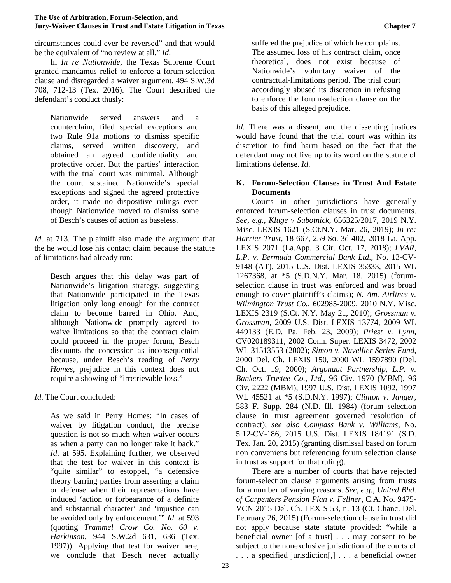circumstances could ever be reversed" and that would be the equivalent of "no review at all." *Id*.

In *In re Nationwide*, the Texas Supreme Court granted mandamus relief to enforce a forum-selection clause and disregarded a waiver argument. 494 S.W.3d 708, 712-13 (Tex. 2016). The Court described the defendant's conduct thusly:

Nationwide served answers and a counterclaim, filed special exceptions and two Rule 91a motions to dismiss specific claims, served written discovery, and obtained an agreed confidentiality and protective order. But the parties' interaction with the trial court was minimal. Although the court sustained Nationwide's special exceptions and signed the agreed protective order, it made no dispositive rulings even though Nationwide moved to dismiss some of Besch's causes of action as baseless.

*Id*. at 713. The plaintiff also made the argument that the he would lose his contact claim because the statute of limitations had already run:

Besch argues that this delay was part of Nationwide's litigation strategy, suggesting that Nationwide participated in the Texas litigation only long enough for the contract claim to become barred in Ohio. And, although Nationwide promptly agreed to waive limitations so that the contract claim could proceed in the proper forum, Besch discounts the concession as inconsequential because, under Besch's reading of *Perry Homes*, prejudice in this context does not require a showing of "irretrievable loss."

*Id*. The Court concluded:

As we said in Perry Homes: "In cases of waiver by litigation conduct, the precise question is not so much when waiver occurs as when a party can no longer take it back." *Id*. at 595. Explaining further, we observed that the test for waiver in this context is "quite similar" to estoppel, "a defensive theory barring parties from asserting a claim or defense when their representations have induced 'action or forbearance of a definite and substantial character' and 'injustice can be avoided only by enforcement.'" *Id*. at 593 (quoting *Trammel Crow Co. No. 60 v. Harkinson*, 944 S.W.2d 631, 636 (Tex. 1997)). Applying that test for waiver here, we conclude that Besch never actually

suffered the prejudice of which he complains. The assumed loss of his contract claim, once theoretical, does not exist because of Nationwide's voluntary waiver of the contractual-limitations period. The trial court accordingly abused its discretion in refusing to enforce the forum-selection clause on the basis of this alleged prejudice.

*Id*. There was a dissent, and the dissenting justices would have found that the trial court was within its discretion to find harm based on the fact that the defendant may not live up to its word on the statute of limitations defense. *Id*.

# **K. Forum-Selection Clauses in Trust And Estate Documents**

Courts in other jurisdictions have generally enforced forum-selection clauses in trust documents. *See, e.g., Kluge v Subotnick*, 656325/2017, 2019 N.Y. Misc. LEXIS 1621 (S.Ct.N.Y. Mar. 26, 2019); *In re: Harrier Trust,* 18-667, 259 So. 3d 402, 2018 La. App. LEXIS 2071 (La.App. 3 Cir. Oct. 17, 2018); *LVAR, L.P. v. Bermuda Commercial Bank Ltd*., No. 13-CV-9148 (AT), 2015 U.S. Dist. LEXIS 35333, 2015 WL 1267368, at \*5 (S.D.N.Y. Mar. 18, 2015) (forumselection clause in trust was enforced and was broad enough to cover plaintiff's claims); *N. Am. Airlines v. Wilmington Trust Co.*, 602985-2009, 2010 N.Y. Misc. LEXIS 2319 (S.Ct. N.Y. May 21, 2010); *Grossman v. Grossman,* 2009 U.S. Dist. LEXIS 13774, 2009 WL 449133 (E.D. Pa. Feb. 23, 2009); *Priest v. Lynn*, CV020189311, 2002 Conn. Super. LEXIS 3472, 2002 WL 31513553 (2002); *Simon v. Navellier Series Fund*, 2000 Del. Ch. LEXIS 150, 2000 WL 1597890 (Del. Ch. Oct. 19, 2000); *Argonaut Partnership, L.P. v. Bankers Trustee Co., Ltd*., 96 Civ. 1970 (MBM), 96 Civ. 2222 (MBM), 1997 U.S. Dist. LEXIS 1092, 1997 WL 45521 at \*5 (S.D.N.Y. 1997); *Clinton v. Janger*, 583 F. Supp. 284 (N.D. Ill. 1984) (forum selection clause in trust agreement governed resolution of contract); *see also Compass Bank v. Williams*, No. 5:12-CV-186, 2015 U.S. Dist. LEXIS 184191 (S.D. Tex. Jan. 20, 2015) (granting dismissal based on forum non conveniens but referencing forum selection clause in trust as support for that ruling).

There are a number of courts that have rejected forum-selection clause arguments arising from trusts for a number of varying reasons. *See, e.g., United Bhd. of Carpenters Pension Plan v. Fellner,* C.A. No. 9475- VCN 2015 Del. Ch. LEXIS 53, n. 13 (Ct. Chanc. Del. February 26, 2015) (Forum-selection clause in trust did not apply because state statute provided: "while a beneficial owner [of a trust] . . . may consent to be subject to the nonexclusive jurisdiction of the courts of . . . a specified jurisdiction[,] . . . a beneficial owner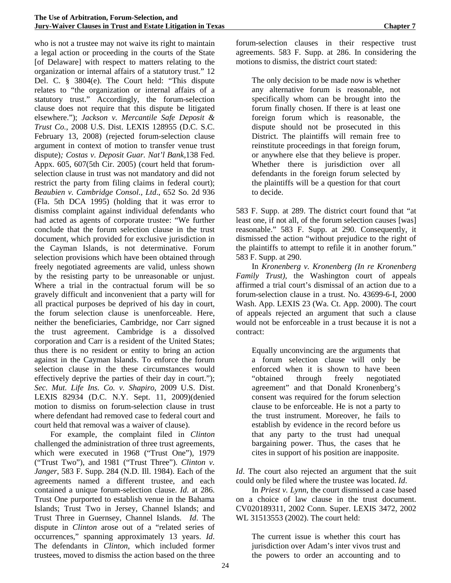who is not a trustee may not waive its right to maintain a legal action or proceeding in the courts of the State [of Delaware] with respect to matters relating to the organization or internal affairs of a statutory trust." 12 Del. C. § 3804(e). The Court held: "This dispute relates to "the organization or internal affairs of a statutory trust." Accordingly, the forum-selection clause does not require that this dispute be litigated elsewhere."); *Jackson v. Mercantile Safe Deposit & Trust Co.,* 2008 U.S. Dist. LEXIS 128955 (D.C. S.C. February 13, 2008) (rejected forum-selection clause argument in context of motion to transfer venue trust dispute)*; Costas v. Deposit Guar. Nat'l Bank,*138 Fed. Appx. 605, 607(5th Cir. 2005) (court held that forumselection clause in trust was not mandatory and did not restrict the party from filing claims in federal court); *Beaubien v. Cambridge Consol., Ltd*., 652 So. 2d 936 (Fla. 5th DCA 1995) (holding that it was error to dismiss complaint against individual defendants who had acted as agents of corporate trustee: "We further conclude that the forum selection clause in the trust document, which provided for exclusive jurisdiction in the Cayman Islands, is not determinative. Forum selection provisions which have been obtained through freely negotiated agreements are valid, unless shown by the resisting party to be unreasonable or unjust. Where a trial in the contractual forum will be so gravely difficult and inconvenient that a party will for all practical purposes be deprived of his day in court, the forum selection clause is unenforceable. Here, neither the beneficiaries, Cambridge, nor Carr signed the trust agreement. Cambridge is a dissolved corporation and Carr is a resident of the United States; thus there is no resident or entity to bring an action against in the Cayman Islands. To enforce the forum selection clause in the these circumstances would effectively deprive the parties of their day in court."); *Sec. Mut. Life Ins. Co. v. Shapiro*, 2009 U.S. Dist. LEXIS 82934 (D.C. N.Y. Sept. 11, 2009)(denied motion to dismiss on forum-selection clause in trust where defendant had removed case to federal court and court held that removal was a waiver of clause).

For example, the complaint filed in *Clinton* challenged the administration of three trust agreements, which were executed in 1968 ("Trust One"), 1979 ("Trust Two"), and 1981 ("Trust Three"). *Clinton v. Janger*, 583 F. Supp. 284 (N.D. Ill. 1984). Each of the agreements named a different trustee, and each contained a unique forum-selection clause. *Id*. at 286. Trust One purported to establish venue in the Bahama Islands; Trust Two in Jersey, Channel Islands; and Trust Three in Guernsey, Channel Islands. *Id*. The dispute in *Clinton* arose out of a "related series of occurrences," spanning approximately 13 years. *Id*. The defendants in *Clinton*, which included former trustees, moved to dismiss the action based on the three

forum-selection clauses in their respective trust agreements. 583 F. Supp. at 286. In considering the motions to dismiss, the district court stated:

The only decision to be made now is whether any alternative forum is reasonable, not specifically whom can be brought into the forum finally chosen. If there is at least one foreign forum which is reasonable, the dispute should not be prosecuted in this District. The plaintiffs will remain free to reinstitute proceedings in that foreign forum, or anywhere else that they believe is proper. Whether there is jurisdiction over all defendants in the foreign forum selected by the plaintiffs will be a question for that court to decide.

583 F. Supp. at 289. The district court found that "at least one, if not all, of the forum selection causes [was] reasonable." 583 F. Supp. at 290. Consequently, it dismissed the action "without prejudice to the right of the plaintiffs to attempt to refile it in another forum." 583 F. Supp. at 290.

In *Kronenberg v. Kronenberg (In re Kronenberg Family Trust),* the Washington court of appeals affirmed a trial court's dismissal of an action due to a forum-selection clause in a trust. No. 43699-6-I, 2000 Wash. App. LEXIS 23 (Wa. Ct. App. 2000). The court of appeals rejected an argument that such a clause would not be enforceable in a trust because it is not a contract:

Equally unconvincing are the arguments that a forum selection clause will only be enforced when it is shown to have been "obtained through freely negotiated agreement" and that Donald Kronenberg's consent was required for the forum selection clause to be enforceable. He is not a party to the trust instrument. Moreover, he fails to establish by evidence in the record before us that any party to the trust had unequal bargaining power. Thus, the cases that he cites in support of his position are inapposite.

*Id*. The court also rejected an argument that the suit could only be filed where the trustee was located. *Id*.

In *Priest v. Lynn*, the court dismissed a case based on a choice of law clause in the trust document. CV020189311, 2002 Conn. Super. LEXIS 3472, 2002 WL 31513553 (2002). The court held:

The current issue is whether this court has jurisdiction over Adam's inter vivos trust and the powers to order an accounting and to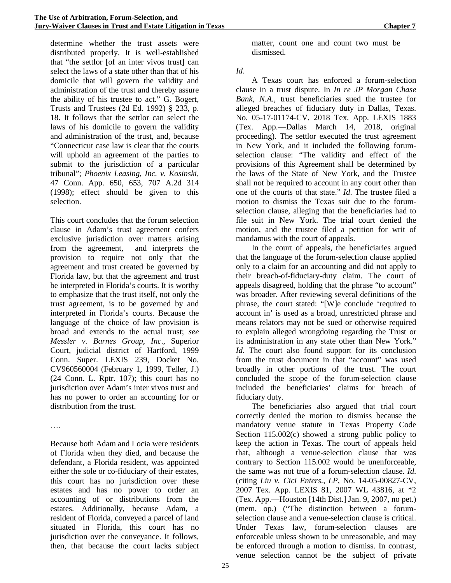determine whether the trust assets were distributed properly. It is well-established that "the settlor [of an inter vivos trust] can select the laws of a state other than that of his domicile that will govern the validity and administration of the trust and thereby assure the ability of his trustee to act." G. Bogert, Trusts and Trustees (2d Ed. 1992) § 233, p. 18. It follows that the settlor can select the laws of his domicile to govern the validity and administration of the trust, and, because "Connecticut case law is clear that the courts will uphold an agreement of the parties to submit to the jurisdiction of a particular tribunal"; *Phoenix Leasing, Inc. v. Kosinski*, 47 Conn. App. 650, 653, 707 A.2d 314 (1998); effect should be given to this selection.

This court concludes that the forum selection clause in Adam's trust agreement confers exclusive jurisdiction over matters arising from the agreement, and interprets the provision to require not only that the agreement and trust created be governed by Florida law, but that the agreement and trust be interpreted in Florida's courts. It is worthy to emphasize that the trust itself, not only the trust agreement, is to be governed by and interpreted in Florida's courts. Because the language of the choice of law provision is broad and extends to the actual trust; *see Messler v. Barnes Group, Inc*., Superior Court, judicial district of Hartford, 1999 Conn. Super. LEXIS 239, Docket No. CV960560004 (February 1, 1999, Teller, J.) (24 Conn. L. Rptr. 107); this court has no jurisdiction over Adam's inter vivos trust and has no power to order an accounting for or distribution from the trust.

….

Because both Adam and Locia were residents of Florida when they died, and because the defendant, a Florida resident, was appointed either the sole or co-fiduciary of their estates, this court has no jurisdiction over these estates and has no power to order an accounting of or distributions from the estates. Additionally, because Adam, a resident of Florida, conveyed a parcel of land situated in Florida, this court has no jurisdiction over the conveyance. It follows, then, that because the court lacks subject

matter, count one and count two must be dismissed.

#### *Id*.

A Texas court has enforced a forum-selection clause in a trust dispute. In *In re JP Morgan Chase Bank, N.A.*, trust beneficiaries sued the trustee for alleged breaches of fiduciary duty in Dallas, Texas. No. 05-17-01174-CV, 2018 Tex. App. LEXIS 1883 (Tex. App.—Dallas March 14, 2018, original proceeding). The settlor executed the trust agreement in New York, and it included the following forumselection clause: "The validity and effect of the provisions of this Agreement shall be determined by the laws of the State of New York, and the Trustee shall not be required to account in any court other than one of the courts of that state." *Id*. The trustee filed a motion to dismiss the Texas suit due to the forumselection clause, alleging that the beneficiaries had to file suit in New York. The trial court denied the motion, and the trustee filed a petition for writ of mandamus with the court of appeals.

In the court of appeals, the beneficiaries argued that the language of the forum-selection clause applied only to a claim for an accounting and did not apply to their breach-of-fiduciary-duty claim. The court of appeals disagreed, holding that the phrase "to account" was broader. After reviewing several definitions of the phrase, the court stated: "[W]e conclude 'required to account in' is used as a broad, unrestricted phrase and means relators may not be sued or otherwise required to explain alleged wrongdoing regarding the Trust or its administration in any state other than New York." *Id*. The court also found support for its conclusion from the trust document in that "account" was used broadly in other portions of the trust. The court concluded the scope of the forum-selection clause included the beneficiaries' claims for breach of fiduciary duty.

The beneficiaries also argued that trial court correctly denied the motion to dismiss because the mandatory venue statute in Texas Property Code Section 115.002(c) showed a strong public policy to keep the action in Texas. The court of appeals held that, although a venue-selection clause that was contrary to Section 115.002 would be unenforceable, the same was not true of a forum-selection clause. *Id*. (citing *Liu v. Cici Enters., LP*, No. 14-05-00827-CV, 2007 Tex. App. LEXIS 81, 2007 WL 43816, at \*2 (Tex. App.—Houston [14th Dist.] Jan. 9, 2007, no pet.) (mem. op.) ("The distinction between a forumselection clause and a venue-selection clause is critical. Under Texas law, forum-selection clauses are enforceable unless shown to be unreasonable, and may be enforced through a motion to dismiss. In contrast, venue selection cannot be the subject of private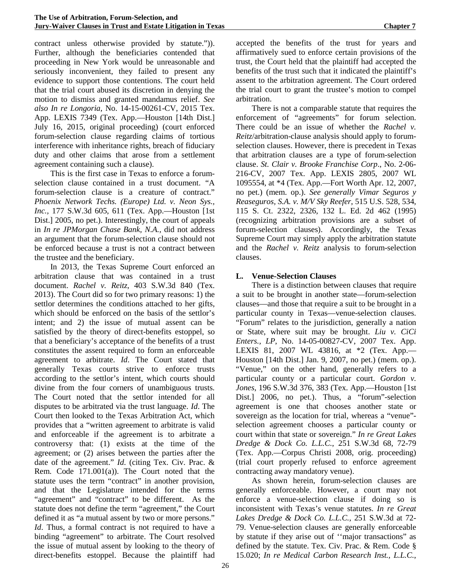contract unless otherwise provided by statute.")). Further, although the beneficiaries contended that proceeding in New York would be unreasonable and seriously inconvenient, they failed to present any evidence to support those contentions. The court held that the trial court abused its discretion in denying the motion to dismiss and granted mandamus relief. *See also In re Longoria*, No. 14-15-00261-CV, 2015 Tex. App. LEXIS 7349 (Tex. App.—Houston [14th Dist.] July 16, 2015, original proceeding) (court enforced forum-selection clause regarding claims of tortious interference with inheritance rights, breach of fiduciary duty and other claims that arose from a settlement agreement containing such a clause).

This is the first case in Texas to enforce a forumselection clause contained in a trust document. "A forum-selection clause is a creature of contract." *Phoenix Network Techs. (Europe) Ltd. v. Neon Sys., Inc.,* 177 S.W.3d 605, 611 (Tex. App.—Houston [1st Dist.] 2005, no pet.). Interestingly, the court of appeals in *In re JPMorgan Chase Bank, N.A.,* did not address an argument that the forum-selection clause should not be enforced because a trust is not a contract between the trustee and the beneficiary.

In 2013, the Texas Supreme Court enforced an arbitration clause that was contained in a trust document. *Rachel v. Reitz*, 403 S.W.3d 840 (Tex. 2013). The Court did so for two primary reasons: 1) the settlor determines the conditions attached to her gifts, which should be enforced on the basis of the settlor's intent; and 2) the issue of mutual assent can be satisfied by the theory of direct-benefits estoppel, so that a beneficiary's acceptance of the benefits of a trust constitutes the assent required to form an enforceable agreement to arbitrate. *Id*. The Court stated that generally Texas courts strive to enforce trusts according to the settlor's intent, which courts should divine from the four corners of unambiguous trusts. The Court noted that the settlor intended for all disputes to be arbitrated via the trust language. *Id*. The Court then looked to the Texas Arbitration Act, which provides that a "written agreement to arbitrate is valid and enforceable if the agreement is to arbitrate a controversy that: (1) exists at the time of the agreement; or (2) arises between the parties after the date of the agreement." *Id*. (citing Tex. Civ. Prac. & Rem. Code 171.001(a)). The Court noted that the statute uses the term "contract" in another provision, and that the Legislature intended for the terms "agreement" and "contract" to be different. As the statute does not define the term "agreement," the Court defined it as "a mutual assent by two or more persons." *Id*. Thus, a formal contract is not required to have a binding "agreement" to arbitrate. The Court resolved the issue of mutual assent by looking to the theory of direct-benefits estoppel. Because the plaintiff had

accepted the benefits of the trust for years and affirmatively sued to enforce certain provisions of the trust, the Court held that the plaintiff had accepted the benefits of the trust such that it indicated the plaintiff's assent to the arbitration agreement. The Court ordered the trial court to grant the trustee's motion to compel arbitration.

There is not a comparable statute that requires the enforcement of "agreements" for forum selection. There could be an issue of whether the *Rachel v. Reitz*/arbitration-clause analysis should apply to forumselection clauses. However, there is precedent in Texas that arbitration clauses are a type of forum-selection clause. *St. Clair v. Brooke Franchise Corp*., No. 2-06- 216-CV, 2007 Tex. App. LEXIS 2805, 2007 WL 1095554, at \*4 (Tex. App.—Fort Worth Apr. 12, 2007, no pet.) (mem. op.). *See generally Vimar Seguros y Reaseguros, S.A. v. M/V Sky Reefer*, 515 U.S. 528, 534, 115 S. Ct. 2322, 2326, 132 L. Ed. 2d 462 (1995) (recognizing arbitration provisions are a subset of forum-selection clauses). Accordingly, the Texas Supreme Court may simply apply the arbitration statute and the *Rachel v. Reitz* analysis to forum-selection clauses.

# **L. Venue-Selection Clauses**

There is a distinction between clauses that require a suit to be brought in another state—forum-selection clauses—and those that require a suit to be brought in a particular county in Texas—venue-selection clauses. "Forum" relates to the jurisdiction, generally a nation or State, where suit may be brought. *Liu v. CiCi Enters., LP*, No. 14-05-00827-CV, 2007 Tex. App. LEXIS 81, 2007 WL 43816, at \*2 (Tex. App.— Houston [14th Dist.] Jan. 9, 2007, no pet.) (mem. op.). "Venue," on the other hand, generally refers to a particular county or a particular court. *Gordon v. Jones*, 196 S.W.3d 376, 383 (Tex. App.—Houston [1st Dist.] 2006, no pet.). Thus, a "forum"-selection agreement is one that chooses another state or sovereign as the location for trial, whereas a "venue" selection agreement chooses a particular county or court within that state or sovereign." *In re Great Lakes Dredge & Dock Co. L.L.C.*, 251 S.W.3d 68, 72-79 (Tex. App.—Corpus Christi 2008, orig. proceeding) (trial court properly refused to enforce agreement contracting away mandatory venue).

As shown herein, forum-selection clauses are generally enforceable. However, a court may not enforce a venue-selection clause if doing so is inconsistent with Texas's venue statutes. *In re Great Lakes Dredge & Dock Co. L.L.C.*, 251 S.W.3d at 72- 79. Venue-selection clauses are generally enforceable by statute if they arise out of ''major transactions" as defined by the statute. Tex. Civ. Prac. & Rem. Code § 15.020; *In re Medical Carbon Research Inst., L.L.C.*,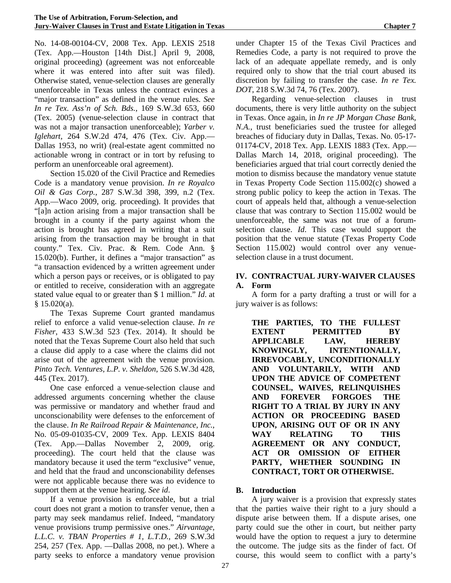No. 14-08-00104-CV, 2008 Tex. App. LEXIS 2518 (Tex. App.—Houston [14th Dist.] April 9, 2008, original proceeding) (agreement was not enforceable where it was entered into after suit was filed). Otherwise stated, venue-selection clauses are generally unenforceable in Texas unless the contract evinces a "major transaction" as defined in the venue rules. *See In re Tex. Ass'n of Sch. Bds.*, 169 S.W.3d 653, 660 (Tex. 2005) (venue-selection clause in contract that was not a major transaction unenforceable); *Yarber v. Iglehart,* 264 S.W.2d 474, 476 (Tex. Civ. App.— Dallas 1953, no writ) (real-estate agent committed no actionable wrong in contract or in tort by refusing to perform an unenforceable oral agreement).

Section 15.020 of the Civil Practice and Remedies Code is a mandatory venue provision. *In re Royalco Oil & Gas Corp.*, 287 S.W.3d 398, 399, n.2 (Tex. App.—Waco 2009, orig. proceeding). It provides that "[a]n action arising from a major transaction shall be brought in a county if the party against whom the action is brought has agreed in writing that a suit arising from the transaction may be brought in that county." Tex. Civ. Prac. & Rem. Code Ann. § 15.020(b). Further, it defines a "major transaction" as "a transaction evidenced by a written agreement under which a person pays or receives, or is obligated to pay or entitled to receive, consideration with an aggregate stated value equal to or greater than \$ 1 million." *Id*. at  $§ 15.020(a).$ 

The Texas Supreme Court granted mandamus relief to enforce a valid venue-selection clause. *In re Fisher*, 433 S.W.3d 523 (Tex. 2014). It should be noted that the Texas Supreme Court also held that such a clause did apply to a case where the claims did not arise out of the agreement with the venue provision. *Pinto Tech. Ventures, L.P. v. Sheldon*, 526 S.W.3d 428, 445 (Tex. 2017).

One case enforced a venue-selection clause and addressed arguments concerning whether the clause was permissive or mandatory and whether fraud and unconscionability were defenses to the enforcement of the clause. *In Re Railroad Repair & Maintenance, Inc.*, No. 05-09-01035-CV, 2009 Tex. App. LEXIS 8404 (Tex. App.—Dallas November 2, 2009, orig. proceeding). The court held that the clause was mandatory because it used the term "exclusive" venue, and held that the fraud and unconscionability defenses were not applicable because there was no evidence to support them at the venue hearing. *See id*.

If a venue provision is enforceable, but a trial court does not grant a motion to transfer venue, then a party may seek mandamus relief. Indeed, "mandatory venue provisions trump permissive ones." *Airvantage, L.L.C. v. TBAN Properties # 1, L.T.D.,* 269 S.W.3d 254, 257 (Tex. App. —Dallas 2008, no pet.). Where a party seeks to enforce a mandatory venue provision under Chapter 15 of the Texas Civil Practices and Remedies Code, a party is not required to prove the lack of an adequate appellate remedy, and is only required only to show that the trial court abused its discretion by failing to transfer the case. *In re Tex. DOT*, 218 S.W.3d 74, 76 (Tex. 2007).

Regarding venue-selection clauses in trust documents, there is very little authority on the subject in Texas. Once again, in *In re JP Morgan Chase Bank, N.A.*, trust beneficiaries sued the trustee for alleged breaches of fiduciary duty in Dallas, Texas. No. 05-17- 01174-CV, 2018 Tex. App. LEXIS 1883 (Tex. App.— Dallas March 14, 2018, original proceeding). The beneficiaries argued that trial court correctly denied the motion to dismiss because the mandatory venue statute in Texas Property Code Section 115.002(c) showed a strong public policy to keep the action in Texas. The court of appeals held that, although a venue-selection clause that was contrary to Section 115.002 would be unenforceable, the same was not true of a forumselection clause. *Id*. This case would support the position that the venue statute (Texas Property Code Section 115.002) would control over any venueselection clause in a trust document.

#### **IV. CONTRACTUAL JURY-WAIVER CLAUSES A. Form**

A form for a party drafting a trust or will for a jury waiver is as follows:

**THE PARTIES, TO THE FULLEST EXTENT PERMITTED BY APPLICABLE LAW, HEREBY KNOWINGLY, INTENTIONALLY, IRREVOCABLY, UNCONDITIONALLY AND VOLUNTARILY, WITH AND UPON THE ADVICE OF COMPETENT COUNSEL, WAIVES, RELINQUISHES AND FOREVER FORGOES THE RIGHT TO A TRIAL BY JURY IN ANY ACTION OR PROCEEDING BASED UPON, ARISING OUT OF OR IN ANY WAY RELATING TO THIS AGREEMENT OR ANY CONDUCT, ACT OR OMISSION OF EITHER PARTY, WHETHER SOUNDING IN CONTRACT, TORT OR OTHERWISE.**

# **B. Introduction**

A jury waiver is a provision that expressly states that the parties waive their right to a jury should a dispute arise between them. If a dispute arises, one party could sue the other in court, but neither party would have the option to request a jury to determine the outcome. The judge sits as the finder of fact. Of course, this would seem to conflict with a party's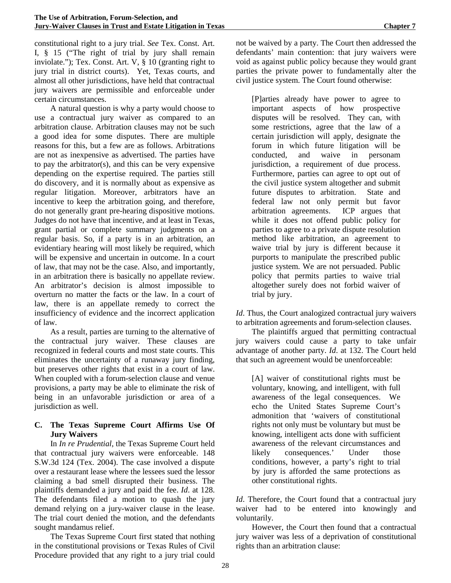constitutional right to a jury trial. *See* Tex. Const. Art. I, § 15 ("The right of trial by jury shall remain inviolate."); Tex. Const. Art. V, § 10 (granting right to jury trial in district courts). Yet, Texas courts, and almost all other jurisdictions, have held that contractual jury waivers are permissible and enforceable under certain circumstances.

A natural question is why a party would choose to use a contractual jury waiver as compared to an arbitration clause. Arbitration clauses may not be such a good idea for some disputes. There are multiple reasons for this, but a few are as follows. Arbitrations are not as inexpensive as advertised. The parties have to pay the arbitrator(s), and this can be very expensive depending on the expertise required. The parties still do discovery, and it is normally about as expensive as regular litigation. Moreover, arbitrators have an incentive to keep the arbitration going, and therefore, do not generally grant pre-hearing dispositive motions. Judges do not have that incentive, and at least in Texas, grant partial or complete summary judgments on a regular basis. So, if a party is in an arbitration, an evidentiary hearing will most likely be required, which will be expensive and uncertain in outcome. In a court of law, that may not be the case. Also, and importantly, in an arbitration there is basically no appellate review. An arbitrator's decision is almost impossible to overturn no matter the facts or the law. In a court of law, there is an appellate remedy to correct the insufficiency of evidence and the incorrect application of law.

As a result, parties are turning to the alternative of the contractual jury waiver. These clauses are recognized in federal courts and most state courts. This eliminates the uncertainty of a runaway jury finding, but preserves other rights that exist in a court of law. When coupled with a forum-selection clause and venue provisions, a party may be able to eliminate the risk of being in an unfavorable jurisdiction or area of a jurisdiction as well.

#### **C. The Texas Supreme Court Affirms Use Of Jury Waivers**

In *In re Prudential*, the Texas Supreme Court held that contractual jury waivers were enforceable. 148 S.W.3d 124 (Tex. 2004). The case involved a dispute over a restaurant lease where the lessees sued the lessor claiming a bad smell disrupted their business. The plaintiffs demanded a jury and paid the fee. *Id*. at 128. The defendants filed a motion to quash the jury demand relying on a jury-waiver clause in the lease. The trial court denied the motion, and the defendants sought mandamus relief.

The Texas Supreme Court first stated that nothing in the constitutional provisions or Texas Rules of Civil Procedure provided that any right to a jury trial could

not be waived by a party. The Court then addressed the defendants' main contention: that jury waivers were void as against public policy because they would grant parties the private power to fundamentally alter the civil justice system. The Court found otherwise:

[P]arties already have power to agree to important aspects of how prospective disputes will be resolved. They can, with some restrictions, agree that the law of a certain jurisdiction will apply, designate the forum in which future litigation will be conducted, and waive in personam jurisdiction, a requirement of due process. Furthermore, parties can agree to opt out of the civil justice system altogether and submit future disputes to arbitration. State and federal law not only permit but favor arbitration agreements. ICP argues that while it does not offend public policy for parties to agree to a private dispute resolution method like arbitration, an agreement to waive trial by jury is different because it purports to manipulate the prescribed public justice system. We are not persuaded. Public policy that permits parties to waive trial altogether surely does not forbid waiver of trial by jury.

*Id*. Thus, the Court analogized contractual jury waivers to arbitration agreements and forum-selection clauses.

The plaintiffs argued that permitting contractual jury waivers could cause a party to take unfair advantage of another party. *Id*. at 132. The Court held that such an agreement would be unenforceable:

[A] waiver of constitutional rights must be voluntary, knowing, and intelligent, with full awareness of the legal consequences. We echo the United States Supreme Court's admonition that 'waivers of constitutional rights not only must be voluntary but must be knowing, intelligent acts done with sufficient awareness of the relevant circumstances and likely consequences.' Under those conditions, however, a party's right to trial by jury is afforded the same protections as other constitutional rights.

*Id*. Therefore, the Court found that a contractual jury waiver had to be entered into knowingly and voluntarily.

However, the Court then found that a contractual jury waiver was less of a deprivation of constitutional rights than an arbitration clause: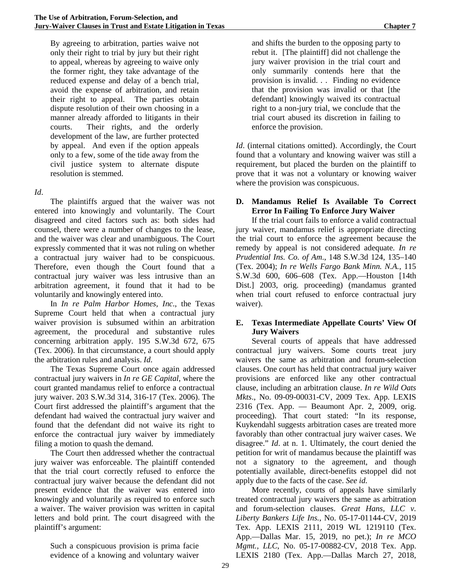By agreeing to arbitration, parties waive not only their right to trial by jury but their right to appeal, whereas by agreeing to waive only the former right, they take advantage of the reduced expense and delay of a bench trial, avoid the expense of arbitration, and retain their right to appeal. The parties obtain dispute resolution of their own choosing in a manner already afforded to litigants in their courts. Their rights, and the orderly development of the law, are further protected by appeal. And even if the option appeals only to a few, some of the tide away from the civil justice system to alternate dispute resolution is stemmed.

#### *Id*.

The plaintiffs argued that the waiver was not entered into knowingly and voluntarily. The Court disagreed and cited factors such as: both sides had counsel, there were a number of changes to the lease, and the waiver was clear and unambiguous. The Court expressly commented that it was not ruling on whether a contractual jury waiver had to be conspicuous. Therefore, even though the Court found that a contractual jury waiver was less intrusive than an arbitration agreement, it found that it had to be voluntarily and knowingly entered into.

In *In re Palm Harbor Homes, Inc*., the Texas Supreme Court held that when a contractual jury waiver provision is subsumed within an arbitration agreement, the procedural and substantive rules concerning arbitration apply. 195 S.W.3d 672, 675 (Tex. 2006). In that circumstance, a court should apply the arbitration rules and analysis. *Id*.

The Texas Supreme Court once again addressed contractual jury waivers in *In re GE Capital*, where the court granted mandamus relief to enforce a contractual jury waiver. 203 S.W.3d 314, 316-17 (Tex. 2006). The Court first addressed the plaintiff's argument that the defendant had waived the contractual jury waiver and found that the defendant did not waive its right to enforce the contractual jury waiver by immediately filing a motion to quash the demand.

The Court then addressed whether the contractual jury waiver was enforceable. The plaintiff contended that the trial court correctly refused to enforce the contractual jury waiver because the defendant did not present evidence that the waiver was entered into knowingly and voluntarily as required to enforce such a waiver. The waiver provision was written in capital letters and bold print. The court disagreed with the plaintiff's argument:

Such a conspicuous provision is prima facie evidence of a knowing and voluntary waiver

and shifts the burden to the opposing party to rebut it. [The plaintiff] did not challenge the jury waiver provision in the trial court and only summarily contends here that the provision is invalid. . . Finding no evidence that the provision was invalid or that [the defendant] knowingly waived its contractual right to a non-jury trial, we conclude that the trial court abused its discretion in failing to enforce the provision.

*Id*. (internal citations omitted). Accordingly, the Court found that a voluntary and knowing waiver was still a requirement, but placed the burden on the plaintiff to prove that it was not a voluntary or knowing waiver where the provision was conspicuous.

#### **D. Mandamus Relief Is Available To Correct Error In Failing To Enforce Jury Waiver**

If the trial court fails to enforce a valid contractual jury waiver, mandamus relief is appropriate directing the trial court to enforce the agreement because the remedy by appeal is not considered adequate. *In re Prudential Ins. Co. of Am*., 148 S.W.3d 124, 135–140 (Tex. 2004); *In re Wells Fargo Bank Minn. N.A.*, 115 S.W.3d 600, 606–608 (Tex. App.—Houston [14th Dist.] 2003, orig. proceeding) (mandamus granted when trial court refused to enforce contractual jury waiver).

#### **E. Texas Intermediate Appellate Courts' View Of Jury Waivers**

Several courts of appeals that have addressed contractual jury waivers. Some courts treat jury waivers the same as arbitration and forum-selection clauses. One court has held that contractual jury waiver provisions are enforced like any other contractual clause, including an arbitration clause. *In re Wild Oats Mkts*., No. 09-09-00031-CV, 2009 Tex. App. LEXIS 2316 (Tex. App. — Beaumont Apr. 2, 2009, orig. proceeding). That court stated: "In its response, Kuykendahl suggests arbitration cases are treated more favorably than other contractual jury waiver cases. We disagree." *Id*. at n. 1. Ultimately, the court denied the petition for writ of mandamus because the plaintiff was not a signatory to the agreement, and though potentially available, direct-benefits estoppel did not apply due to the facts of the case. *See id.*

More recently, courts of appeals have similarly treated contractual jury waivers the same as arbitration and forum-selection clauses. *Great Hans, LLC v. Liberty Bankers Life Ins.*, No. 05-17-01144-CV, 2019 Tex. App. LEXIS 2111, 2019 WL 1219110 (Tex. App.—Dallas Mar. 15, 2019, no pet.); *In re MCO Mgmt., LLC*, No. 05-17-00882-CV, 2018 Tex. App. LEXIS 2180 (Tex. App.—Dallas March 27, 2018,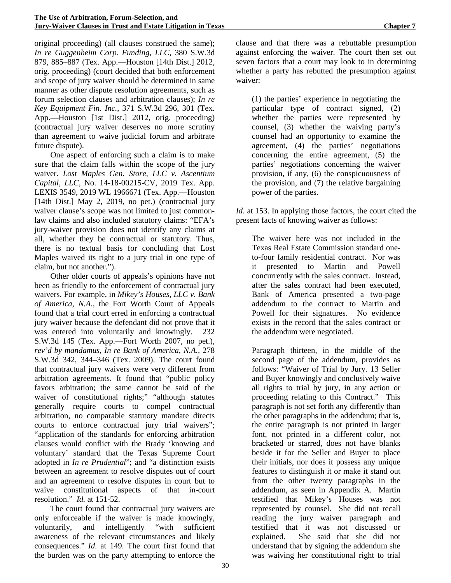original proceeding) (all clauses construed the same); *In re Guggenheim Corp. Funding, LLC*, 380 S.W.3d 879, 885–887 (Tex. App.—Houston [14th Dist.] 2012, orig. proceeding) (court decided that both enforcement and scope of jury waiver should be determined in same manner as other dispute resolution agreements, such as forum selection clauses and arbitration clauses); *In re Key Equipment Fin. Inc.*, 371 S.W.3d 296, 301 (Tex. App.—Houston [1st Dist.] 2012, orig. proceeding) (contractual jury waiver deserves no more scrutiny than agreement to waive judicial forum and arbitrate future dispute).

One aspect of enforcing such a claim is to make sure that the claim falls within the scope of the jury waiver. *Lost Maples Gen. Store, LLC v. Ascentium Capital, LLC*, No. 14-18-00215-CV, 2019 Tex. App. LEXIS 3549, 2019 WL 1966671 (Tex. App.—Houston [14th Dist.] May 2, 2019, no pet.) (contractual jury waiver clause's scope was not limited to just commonlaw claims and also included statutory claims: "EFA's jury-waiver provision does not identify any claims at all, whether they be contractual or statutory. Thus, there is no textual basis for concluding that Lost Maples waived its right to a jury trial in one type of claim, but not another.").

Other older courts of appeals's opinions have not been as friendly to the enforcement of contractual jury waivers. For example, in *Mikey's Houses, LLC v. Bank of America, N.A*., the Fort Worth Court of Appeals found that a trial court erred in enforcing a contractual jury waiver because the defendant did not prove that it was entered into voluntarily and knowingly. 232 S.W.3d 145 (Tex. App.—Fort Worth 2007, no pet.), *rev'd by mandamus, In re Bank of America, N.A.,* 278 S.W.3d 342, 344–346 (Tex. 2009). The court found that contractual jury waivers were very different from arbitration agreements. It found that "public policy favors arbitration; the same cannot be said of the waiver of constitutional rights;" "although statutes generally require courts to compel contractual arbitration, no comparable statutory mandate directs courts to enforce contractual jury trial waivers"; "application of the standards for enforcing arbitration clauses would conflict with the Brady 'knowing and voluntary' standard that the Texas Supreme Court adopted in *In re Prudential*"; and "a distinction exists between an agreement to resolve disputes out of court and an agreement to resolve disputes in court but to waive constitutional aspects of that in-court resolution." *Id.* at 151-52.

The court found that contractual jury waivers are only enforceable if the waiver is made knowingly, voluntarily, and intelligently "with sufficient awareness of the relevant circumstances and likely consequences." *Id*. at 149. The court first found that the burden was on the party attempting to enforce the

clause and that there was a rebuttable presumption against enforcing the waiver. The court then set out seven factors that a court may look to in determining whether a party has rebutted the presumption against waiver:

(1) the parties' experience in negotiating the particular type of contract signed, (2) whether the parties were represented by counsel, (3) whether the waiving party's counsel had an opportunity to examine the agreement, (4) the parties' negotiations concerning the entire agreement, (5) the parties' negotiations concerning the waiver provision, if any, (6) the conspicuousness of the provision, and (7) the relative bargaining power of the parties.

*Id*. at 153. In applying those factors, the court cited the present facts of knowing waiver as follows:

The waiver here was not included in the Texas Real Estate Commission standard oneto-four family residential contract. Nor was it presented to Martin and Powell concurrently with the sales contract. Instead, after the sales contract had been executed, Bank of America presented a two-page addendum to the contract to Martin and Powell for their signatures. No evidence exists in the record that the sales contract or the addendum were negotiated.

Paragraph thirteen, in the middle of the second page of the addendum, provides as follows: "Waiver of Trial by Jury. 13 Seller and Buyer knowingly and conclusively waive all rights to trial by jury, in any action or proceeding relating to this Contract." This paragraph is not set forth any differently than the other paragraphs in the addendum; that is, the entire paragraph is not printed in larger font, not printed in a different color, not bracketed or starred, does not have blanks beside it for the Seller and Buyer to place their initials, nor does it possess any unique features to distinguish it or make it stand out from the other twenty paragraphs in the addendum, as seen in Appendix A. Martin testified that Mikey's Houses was not represented by counsel. She did not recall reading the jury waiver paragraph and testified that it was not discussed or explained. She said that she did not understand that by signing the addendum she was waiving her constitutional right to trial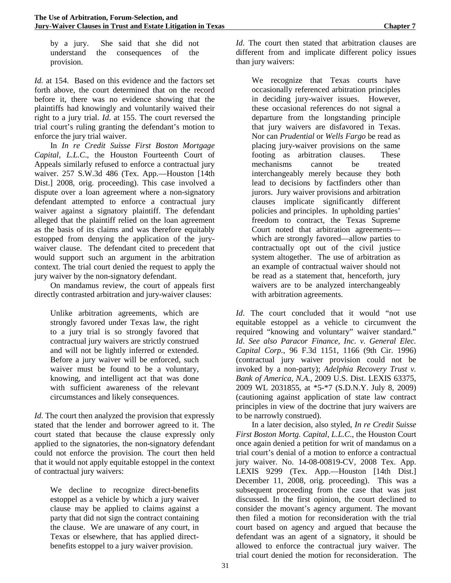by a jury. She said that she did not understand the consequences of the provision.

*Id.* at 154. Based on this evidence and the factors set forth above, the court determined that on the record before it, there was no evidence showing that the plaintiffs had knowingly and voluntarily waived their right to a jury trial. *Id*. at 155. The court reversed the trial court's ruling granting the defendant's motion to enforce the jury trial waiver.

In *In re Credit Suisse First Boston Mortgage Capital, L.L.C*., the Houston Fourteenth Court of Appeals similarly refused to enforce a contractual jury waiver. 257 S.W.3d 486 (Tex. App.—Houston [14th Dist.] 2008, orig. proceeding). This case involved a dispute over a loan agreement where a non-signatory defendant attempted to enforce a contractual jury waiver against a signatory plaintiff. The defendant alleged that the plaintiff relied on the loan agreement as the basis of its claims and was therefore equitably estopped from denying the application of the jurywaiver clause. The defendant cited to precedent that would support such an argument in the arbitration context. The trial court denied the request to apply the jury waiver by the non-signatory defendant.

On mandamus review, the court of appeals first directly contrasted arbitration and jury-waiver clauses:

Unlike arbitration agreements, which are strongly favored under Texas law, the right to a jury trial is so strongly favored that contractual jury waivers are strictly construed and will not be lightly inferred or extended. Before a jury waiver will be enforced, such waiver must be found to be a voluntary, knowing, and intelligent act that was done with sufficient awareness of the relevant circumstances and likely consequences.

*Id*. The court then analyzed the provision that expressly stated that the lender and borrower agreed to it. The court stated that because the clause expressly only applied to the signatories, the non-signatory defendant could not enforce the provision. The court then held that it would not apply equitable estoppel in the context of contractual jury waivers:

We decline to recognize direct-benefits estoppel as a vehicle by which a jury waiver clause may be applied to claims against a party that did not sign the contract containing the clause. We are unaware of any court, in Texas or elsewhere, that has applied directbenefits estoppel to a jury waiver provision.

*Id*. The court then stated that arbitration clauses are different from and implicate different policy issues than jury waivers:

We recognize that Texas courts have occasionally referenced arbitration principles in deciding jury-waiver issues. However, these occasional references do not signal a departure from the longstanding principle that jury waivers are disfavored in Texas. Nor can *Prudential* or *Wells Fargo* be read as placing jury-waiver provisions on the same footing as arbitration clauses. These mechanisms cannot be treated interchangeably merely because they both lead to decisions by factfinders other than jurors. Jury waiver provisions and arbitration clauses implicate significantly different policies and principles. In upholding parties' freedom to contract, the Texas Supreme Court noted that arbitration agreements which are strongly favored—allow parties to contractually opt out of the civil justice system altogether. The use of arbitration as an example of contractual waiver should not be read as a statement that, henceforth, jury waivers are to be analyzed interchangeably with arbitration agreements.

*Id*. The court concluded that it would "not use equitable estoppel as a vehicle to circumvent the required "knowing and voluntary" waiver standard." *Id*. *See also Paracor Finance, Inc. v. General Elec. Capital Corp.*, 96 F.3d 1151, 1166 (9th Cir. 1996) (contractual jury waiver provision could not be invoked by a non-party); *Adelphia Recovery Trust v. Bank of America, N.A.*, 2009 U.S. Dist. LEXIS 63375, 2009 WL 2031855, at \*5-\*7 (S.D.N.Y. July 8, 2009) (cautioning against application of state law contract principles in view of the doctrine that jury waivers are to be narrowly construed).

In a later decision, also styled, *In re Credit Suisse First Boston Mortg. Capital, L.L.C*., the Houston Court once again denied a petition for writ of mandamus on a trial court's denial of a motion to enforce a contractual jury waiver. No. 14-08-00819-CV, 2008 Tex. App. LEXIS 9299 (Tex. App.—Houston [14th Dist.] December 11, 2008, orig. proceeding). This was a subsequent proceeding from the case that was just discussed. In the first opinion, the court declined to consider the movant's agency argument. The movant then filed a motion for reconsideration with the trial court based on agency and argued that because the defendant was an agent of a signatory, it should be allowed to enforce the contractual jury waiver. The trial court denied the motion for reconsideration. The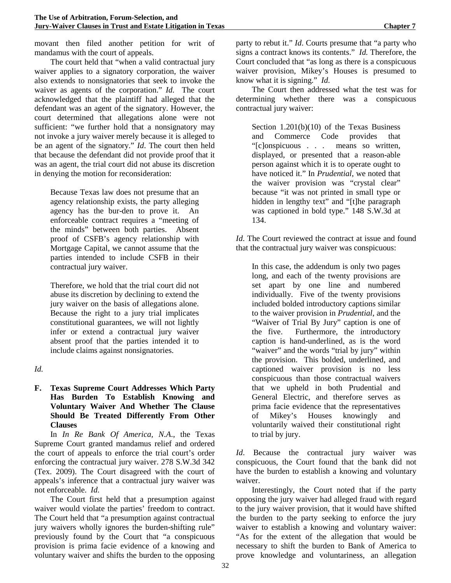movant then filed another petition for writ of mandamus with the court of appeals.

The court held that "when a valid contractual jury waiver applies to a signatory corporation, the waiver also extends to nonsignatories that seek to invoke the waiver as agents of the corporation." *Id*. The court acknowledged that the plaintiff had alleged that the defendant was an agent of the signatory. However, the court determined that allegations alone were not sufficient: "we further hold that a nonsignatory may not invoke a jury waiver merely because it is alleged to be an agent of the signatory." *Id*. The court then held that because the defendant did not provide proof that it was an agent, the trial court did not abuse its discretion in denying the motion for reconsideration:

Because Texas law does not presume that an agency relationship exists, the party alleging agency has the bur-den to prove it. An enforceable contract requires a "meeting of the minds" between both parties. Absent proof of CSFB's agency relationship with Mortgage Capital, we cannot assume that the parties intended to include CSFB in their contractual jury waiver.

Therefore, we hold that the trial court did not abuse its discretion by declining to extend the jury waiver on the basis of allegations alone. Because the right to a jury trial implicates constitutional guarantees, we will not lightly infer or extend a contractual jury waiver absent proof that the parties intended it to include claims against nonsignatories.

**F. Texas Supreme Court Addresses Which Party Has Burden To Establish Knowing and Voluntary Waiver And Whether The Clause Should Be Treated Differently From Other Clauses**

In *In Re Bank Of America, N.A*., the Texas Supreme Court granted mandamus relief and ordered the court of appeals to enforce the trial court's order enforcing the contractual jury waiver. 278 S.W.3d 342 (Tex. 2009). The Court disagreed with the court of appeals's inference that a contractual jury waiver was not enforceable. *Id*.

The Court first held that a presumption against waiver would violate the parties' freedom to contract. The Court held that "a presumption against contractual jury waivers wholly ignores the burden-shifting rule" previously found by the Court that "a conspicuous provision is prima facie evidence of a knowing and voluntary waiver and shifts the burden to the opposing party to rebut it." *Id*. Courts presume that "a party who signs a contract knows its contents." *Id.* Therefore, the Court concluded that "as long as there is a conspicuous waiver provision, Mikey's Houses is presumed to know what it is signing." *Id*.

The Court then addressed what the test was for determining whether there was a conspicuous contractual jury waiver:

Section 1.201(b)(10) of the Texas Business and Commerce Code provides that "[c]onspicuous . . . means so written, displayed, or presented that a reason-able person against which it is to operate ought to have noticed it." In *Prudential*, we noted that the waiver provision was "crystal clear" because "it was not printed in small type or hidden in lengthy text" and "[t]he paragraph was captioned in bold type." 148 S.W.3d at 134.

*Id*. The Court reviewed the contract at issue and found that the contractual jury waiver was conspicuous:

In this case, the addendum is only two pages long, and each of the twenty provisions are set apart by one line and numbered individually. Five of the twenty provisions included bolded introductory captions similar to the waiver provision in *Prudential*, and the "Waiver of Trial By Jury" caption is one of the five. Furthermore, the introductory caption is hand-underlined, as is the word "waiver" and the words "trial by jury" within the provision. This bolded, underlined, and captioned waiver provision is no less conspicuous than those contractual waivers that we upheld in both Prudential and General Electric, and therefore serves as prima facie evidence that the representatives of Mikey's Houses knowingly and voluntarily waived their constitutional right to trial by jury.

*Id*. Because the contractual jury waiver was conspicuous, the Court found that the bank did not have the burden to establish a knowing and voluntary waiver.

Interestingly, the Court noted that if the party opposing the jury waiver had alleged fraud with regard to the jury waiver provision, that it would have shifted the burden to the party seeking to enforce the jury waiver to establish a knowing and voluntary waiver: "As for the extent of the allegation that would be necessary to shift the burden to Bank of America to prove knowledge and voluntariness, an allegation

*Id.*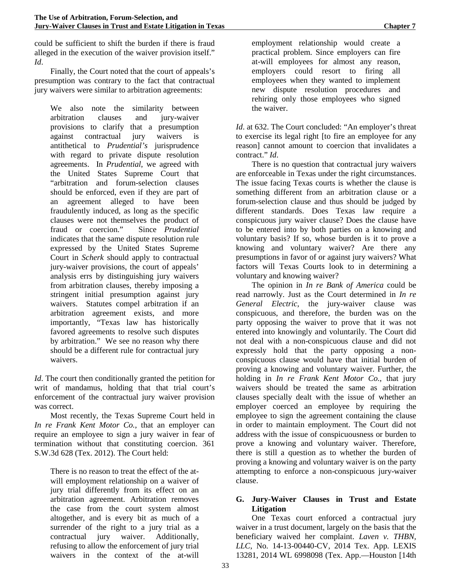could be sufficient to shift the burden if there is fraud alleged in the execution of the waiver provision itself." *Id*.

Finally, the Court noted that the court of appeals's presumption was contrary to the fact that contractual jury waivers were similar to arbitration agreements:

We also note the similarity between arbitration clauses and jury-waiver provisions to clarify that a presumption against contractual jury waivers is antithetical to *Prudential's* jurisprudence with regard to private dispute resolution agreements. In *Prudential*, we agreed with the United States Supreme Court that "arbitration and forum-selection clauses should be enforced, even if they are part of an agreement alleged to have been fraudulently induced, as long as the specific clauses were not themselves the product of fraud or coercion." Since *Prudential* indicates that the same dispute resolution rule expressed by the United States Supreme Court in *Scherk* should apply to contractual jury-waiver provisions, the court of appeals' analysis errs by distinguishing jury waivers from arbitration clauses, thereby imposing a stringent initial presumption against jury waivers. Statutes compel arbitration if an arbitration agreement exists, and more importantly, "Texas law has historically favored agreements to resolve such disputes by arbitration." We see no reason why there should be a different rule for contractual jury waivers.

*Id*. The court then conditionally granted the petition for writ of mandamus, holding that that trial court's enforcement of the contractual jury waiver provision was correct.

Most recently, the Texas Supreme Court held in *In re Frank Kent Motor Co.*, that an employer can require an employee to sign a jury waiver in fear of termination without that constituting coercion. 361 S.W.3d 628 (Tex. 2012). The Court held:

There is no reason to treat the effect of the atwill employment relationship on a waiver of jury trial differently from its effect on an arbitration agreement. Arbitration removes the case from the court system almost altogether, and is every bit as much of a surrender of the right to a jury trial as a contractual jury waiver. Additionally, refusing to allow the enforcement of jury trial waivers in the context of the at-will

employment relationship would create a practical problem. Since employers can fire at-will employees for almost any reason, employers could resort to firing all employees when they wanted to implement new dispute resolution procedures and rehiring only those employees who signed the waiver.

*Id*. at 632. The Court concluded: "An employer's threat to exercise its legal right [to fire an employee for any reason] cannot amount to coercion that invalidates a contract." *Id*.

There is no question that contractual jury waivers are enforceable in Texas under the right circumstances. The issue facing Texas courts is whether the clause is something different from an arbitration clause or a forum-selection clause and thus should be judged by different standards. Does Texas law require a conspicuous jury waiver clause? Does the clause have to be entered into by both parties on a knowing and voluntary basis? If so, whose burden is it to prove a knowing and voluntary waiver? Are there any presumptions in favor of or against jury waivers? What factors will Texas Courts look to in determining a voluntary and knowing waiver?

The opinion in *In re Bank of America* could be read narrowly. Just as the Court determined in *In re General Electric*, the jury-waiver clause was conspicuous, and therefore, the burden was on the party opposing the waiver to prove that it was not entered into knowingly and voluntarily. The Court did not deal with a non-conspicuous clause and did not expressly hold that the party opposing a nonconspicuous clause would have that initial burden of proving a knowing and voluntary waiver. Further, the holding in *In re Frank Kent Motor Co.*, that jury waivers should be treated the same as arbitration clauses specially dealt with the issue of whether an employer coerced an employee by requiring the employee to sign the agreement containing the clause in order to maintain employment. The Court did not address with the issue of conspicuousness or burden to prove a knowing and voluntary waiver. Therefore, there is still a question as to whether the burden of proving a knowing and voluntary waiver is on the party attempting to enforce a non-conspicuous jury-waiver clause.

# **G. Jury-Waiver Clauses in Trust and Estate Litigation**

One Texas court enforced a contractual jury waiver in a trust document, largely on the basis that the beneficiary waived her complaint. *Laven v. THBN, LLC*, No. 14-13-00440-CV, 2014 Tex. App. LEXIS 13281, 2014 WL 6998098 (Tex. App.—Houston [14th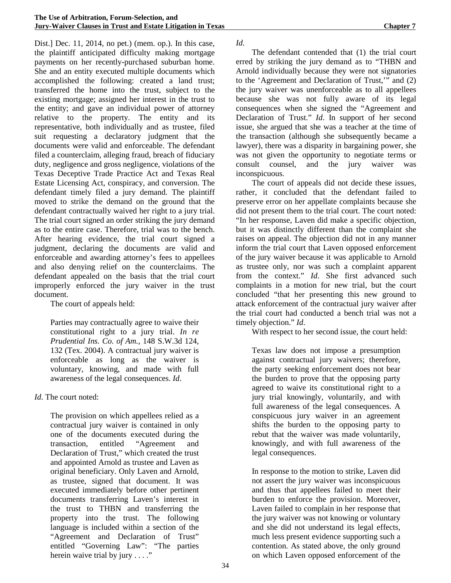Dist.] Dec. 11, 2014, no pet.) (mem. op.). In this case, the plaintiff anticipated difficulty making mortgage payments on her recently-purchased suburban home. She and an entity executed multiple documents which accomplished the following: created a land trust; transferred the home into the trust, subject to the existing mortgage; assigned her interest in the trust to the entity; and gave an individual power of attorney relative to the property. The entity and its representative, both individually and as trustee, filed suit requesting a declaratory judgment that the documents were valid and enforceable. The defendant filed a counterclaim, alleging fraud, breach of fiduciary duty, negligence and gross negligence, violations of the Texas Deceptive Trade Practice Act and Texas Real Estate Licensing Act, conspiracy, and conversion. The defendant timely filed a jury demand. The plaintiff moved to strike the demand on the ground that the defendant contractually waived her right to a jury trial. The trial court signed an order striking the jury demand as to the entire case. Therefore, trial was to the bench. After hearing evidence, the trial court signed a judgment, declaring the documents are valid and enforceable and awarding attorney's fees to appellees and also denying relief on the counterclaims. The defendant appealed on the basis that the trial court improperly enforced the jury waiver in the trust document.

The court of appeals held:

Parties may contractually agree to waive their constitutional right to a jury trial. *In re Prudential Ins. Co. of Am.*, 148 S.W.3d 124, 132 (Tex. 2004). A contractual jury waiver is enforceable as long as the waiver is voluntary, knowing, and made with full awareness of the legal consequences. *Id*.

*Id*. The court noted:

The provision on which appellees relied as a contractual jury waiver is contained in only one of the documents executed during the transaction, entitled "Agreement and Declaration of Trust," which created the trust and appointed Arnold as trustee and Laven as original beneficiary. Only Laven and Arnold, as trustee, signed that document. It was executed immediately before other pertinent documents transferring Laven's interest in the trust to THBN and transferring the property into the trust. The following language is included within a section of the "Agreement and Declaration of Trust" entitled "Governing Law": "The parties herein waive trial by jury . . . ."

*Id*.

The defendant contended that (1) the trial court erred by striking the jury demand as to "THBN and Arnold individually because they were not signatories to the 'Agreement and Declaration of Trust,'" and (2) the jury waiver was unenforceable as to all appellees because she was not fully aware of its legal consequences when she signed the "Agreement and Declaration of Trust." *Id*. In support of her second issue, she argued that she was a teacher at the time of the transaction (although she subsequently became a lawyer), there was a disparity in bargaining power, she was not given the opportunity to negotiate terms or consult counsel, and the jury waiver was inconspicuous.

The court of appeals did not decide these issues, rather, it concluded that the defendant failed to preserve error on her appellate complaints because she did not present them to the trial court. The court noted: "In her response, Laven did make a specific objection, but it was distinctly different than the complaint she raises on appeal. The objection did not in any manner inform the trial court that Laven opposed enforcement of the jury waiver because it was applicable to Arnold as trustee only, nor was such a complaint apparent from the context." *Id*. She first advanced such complaints in a motion for new trial, but the court concluded "that her presenting this new ground to attack enforcement of the contractual jury waiver after the trial court had conducted a bench trial was not a timely objection." *Id*.

With respect to her second issue, the court held:

Texas law does not impose a presumption against contractual jury waivers; therefore, the party seeking enforcement does not bear the burden to prove that the opposing party agreed to waive its constitutional right to a jury trial knowingly, voluntarily, and with full awareness of the legal consequences. A conspicuous jury waiver in an agreement shifts the burden to the opposing party to rebut that the waiver was made voluntarily, knowingly, and with full awareness of the legal consequences.

In response to the motion to strike, Laven did not assert the jury waiver was inconspicuous and thus that appellees failed to meet their burden to enforce the provision. Moreover, Laven failed to complain in her response that the jury waiver was not knowing or voluntary and she did not understand its legal effects, much less present evidence supporting such a contention. As stated above, the only ground on which Laven opposed enforcement of the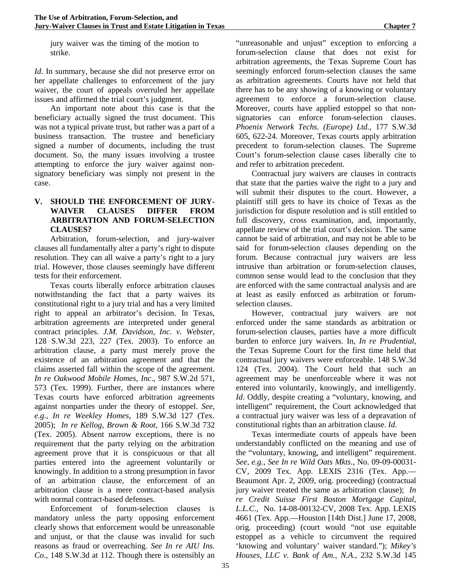jury waiver was the timing of the motion to strike.

*Id*. In summary, because she did not preserve error on her appellate challenges to enforcement of the jury waiver, the court of appeals overruled her appellate issues and affirmed the trial court's judgment.

An important note about this case is that the beneficiary actually signed the trust document. This was not a typical private trust, but rather was a part of a business transaction. The trustee and beneficiary signed a number of documents, including the trust document. So, the many issues involving a trustee attempting to enforce the jury waiver against nonsignatory beneficiary was simply not present in the case.

#### **V. SHOULD THE ENFORCEMENT OF JURY-WAIVER CLAUSES DIFFER FROM ARBITRATION AND FORUM-SELECTION CLAUSES?**

Arbitration, forum-selection, and jury-waiver clauses all fundamentally alter a party's right to dispute resolution. They can all waive a party's right to a jury trial. However, those clauses seemingly have different tests for their enforcement.

Texas courts liberally enforce arbitration clauses notwithstanding the fact that a party waives its constitutional right to a jury trial and has a very limited right to appeal an arbitrator's decision. In Texas, arbitration agreements are interpreted under general contract principles. *J.M. Davidson, Inc. v. Webster,*  128 S.W.3d 223, 227 (Tex. 2003). To enforce an arbitration clause, a party must merely prove the existence of an arbitration agreement and that the claims asserted fall within the scope of the agreement. *In re Oakwood Mobile Homes, Inc*., 987 S.W.2d 571, 573 (Tex. 1999). Further, there are instances where Texas courts have enforced arbitration agreements against nonparties under the theory of estoppel. *See, e.g., In re Weekley Homes,* 189 S.W.3d 127 (Tex. 2005); *In re Kellog, Brown & Root*, 166 S.W.3d 732 (Tex. 2005). Absent narrow exceptions, there is no requirement that the party relying on the arbitration agreement prove that it is conspicuous or that all parties entered into the agreement voluntarily or knowingly. In addition to a strong presumption in favor of an arbitration clause, the enforcement of an arbitration clause is a mere contract-based analysis with normal contract-based defenses.

Enforcement of forum-selection clauses is mandatory unless the party opposing enforcement clearly shows that enforcement would be unreasonable and unjust, or that the clause was invalid for such reasons as fraud or overreaching. *See In re AIU Ins. Co*., 148 S.W.3d at 112. Though there is ostensibly an "unreasonable and unjust" exception to enforcing a forum-selection clause that does not exist for arbitration agreements, the Texas Supreme Court has seemingly enforced forum-selection clauses the same as arbitration agreements. Courts have not held that there has to be any showing of a knowing or voluntary agreement to enforce a forum-selection clause. Moreover, courts have applied estoppel so that nonsignatories can enforce forum-selection clauses. *Phoenix Network Techs. (Europe) Ltd.*, 177 S.W.3d 605, 622-24. Moreover, Texas courts apply arbitration precedent to forum-selection clauses. The Supreme Court's forum-selection clause cases liberally cite to and refer to arbitration precedent.

Contractual jury waivers are clauses in contracts that state that the parties waive the right to a jury and will submit their disputes to the court. However, a plaintiff still gets to have its choice of Texas as the jurisdiction for dispute resolution and is still entitled to full discovery, cross examination, and, importantly, appellate review of the trial court's decision. The same cannot be said of arbitration, and may not be able to be said for forum-selection clauses depending on the forum. Because contractual jury waivers are less intrusive than arbitration or forum-selection clauses, common sense would lead to the conclusion that they are enforced with the same contractual analysis and are at least as easily enforced as arbitration or forumselection clauses.

However, contractual jury waivers are not enforced under the same standards as arbitration or forum-selection clauses, parties have a more difficult burden to enforce jury waivers. In, *In re Prudential*, the Texas Supreme Court for the first time held that contractual jury waivers were enforceable. 148 S.W.3d 124 (Tex. 2004). The Court held that such an agreement may be unenforceable where it was not entered into voluntarily, knowingly, and intelligently. *Id*. Oddly, despite creating a "voluntary, knowing, and intelligent" requirement, the Court acknowledged that a contractual jury waiver was less of a depravation of constitutional rights than an arbitration clause. *Id*.

Texas intermediate courts of appeals have been understandably conflicted on the meaning and use of the "voluntary, knowing, and intelligent" requirement. *See, e.g., See In re Wild Oats Mkts*., No. 09-09-00031- CV, 2009 Tex. App. LEXIS 2316 (Tex. App.— Beaumont Apr. 2, 2009, orig. proceeding) (contractual jury waiver treated the same as arbitration clause); *In re Credit Suisse First Boston Mortgage Capital, L.L.C*., No. 14-08-00132-CV, 2008 Tex. App. LEXIS 4661 (Tex. App.—Houston [14th Dist.] June 17, 2008, orig. proceeding) (court would "not use equitable estoppel as a vehicle to circumvent the required 'knowing and voluntary' waiver standard."); *Mikey's Houses, LLC v. Bank of Am., N.A.,* 232 S.W.3d 145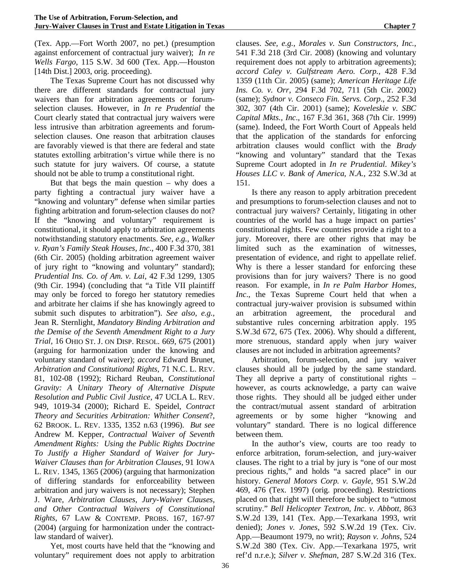(Tex. App.—Fort Worth 2007, no pet.) (presumption against enforcement of contractual jury waiver); *In re Wells Fargo*, 115 S.W. 3d 600 (Tex. App.—Houston [14th Dist.] 2003, orig. proceeding).

The Texas Supreme Court has not discussed why there are different standards for contractual jury waivers than for arbitration agreements or forumselection clauses. However, in *In re Prudential* the Court clearly stated that contractual jury waivers were less intrusive than arbitration agreements and forumselection clauses. One reason that arbitration clauses are favorably viewed is that there are federal and state statutes extolling arbitration's virtue while there is no such statute for jury waivers. Of course, a statute should not be able to trump a constitutional right.

But that begs the main question – why does a party fighting a contractual jury waiver have a "knowing and voluntary" defense when similar parties fighting arbitration and forum-selection clauses do not? If the "knowing and voluntary" requirement is constitutional, it should apply to arbitration agreements notwithstanding statutory enactments. *See, e.g., Walker v. Ryan's Family Steak Houses, Inc*., 400 F.3d 370, 381 (6th Cir. 2005) (holding arbitration agreement waiver of jury right to "knowing and voluntary" standard); *Prudential Ins. Co. of Am. v. Lai*, 42 F.3d 1299, 1305 (9th Cir. 1994) (concluding that "a Title VII plaintiff may only be forced to forego her statutory remedies and arbitrate her claims if she has knowingly agreed to submit such disputes to arbitration"). *See also, e.g.,* Jean R. Sternlight, *Mandatory Binding Arbitration and the Demise of the Seventh Amendment Right to a Jury Trial,* 16 OHIO ST. J. ON DISP. RESOL. 669, 675 (2001) (arguing for harmonization under the knowing and voluntary standard of waiver); *accord* Edward Brunet, *Arbitration and Constitutional Rights,* 71 N.C. L. REV. 81, 102-08 (1992); Richard Reuban, *Constitutional Gravity: A Unitary Theory of Alternative Dispute Resolution and Public Civil Justice,* 47 UCLA L. REV. 949, 1019-34 (2000); Richard E. Speidel, *Contract Theory and Securities Arbitration: Whither Consent*?, 62 BROOK. L. REV. 1335, 1352 n.63 (1996). *But see* Andrew M. Kepper, *Contractual Waiver of Seventh Amendment Rights: Using the Public Rights Doctrine To Justify a Higher Standard of Waiver for Jury-Waiver Clauses than for Arbitration Clauses*, 91 IOWA L. REV. 1345, 1365 (2006) (arguing that harmonization of differing standards for enforceability between arbitration and jury waivers is not necessary); Stephen J. Ware, *Arbitration Clauses, Jury-Waiver Clauses, and Other Contractual Waivers of Constitutional Rights*, 67 LAW & CONTEMP. PROBS. 167, 167-97 (2004) (arguing for harmonization under the contractlaw standard of waiver).

Yet, most courts have held that the "knowing and voluntary" requirement does not apply to arbitration clauses. *See, e.g., Morales v. Sun Constructors, Inc.*, 541 F.3d 218 (3rd Cir. 2008) (knowing and voluntary requirement does not apply to arbitration agreements); *accord Caley v. Gulfstream Aero. Corp.*, 428 F.3d 1359 (11th Cir. 2005) (same); *American Heritage Life Ins. Co. v. Orr*, 294 F.3d 702, 711 (5th Cir. 2002) (same); *Sydnor v. Conseco Fin. Servs. Corp*., 252 F.3d 302, 307 (4th Cir. 2001) (same); *Koveleskie v. SBC Capital Mkts., Inc*., 167 F.3d 361, 368 (7th Cir. 1999) (same). Indeed, the Fort Worth Court of Appeals held that the application of the standards for enforcing arbitration clauses would conflict with the *Brady* "knowing and voluntary" standard that the Texas Supreme Court adopted in *In re Prudential*. *Mikey's Houses LLC v. Bank of America, N.A.*, 232 S.W.3d at 151.

Is there any reason to apply arbitration precedent and presumptions to forum-selection clauses and not to contractual jury waivers? Certainly, litigating in other countries of the world has a huge impact on parties' constitutional rights. Few countries provide a right to a jury. Moreover, there are other rights that may be limited such as the examination of witnesses, presentation of evidence, and right to appellate relief. Why is there a lesser standard for enforcing these provisions than for jury waivers? There is no good reason. For example, in *In re Palm Harbor Homes, Inc*., the Texas Supreme Court held that when a contractual jury-waiver provision is subsumed within an arbitration agreement, the procedural and substantive rules concerning arbitration apply. 195 S.W.3d 672, 675 (Tex. 2006). Why should a different, more strenuous, standard apply when jury waiver clauses are not included in arbitration agreements?

Arbitration, forum-selection, and jury waiver clauses should all be judged by the same standard. They all deprive a party of constitutional rights – however, as courts acknowledge, a party can waive those rights. They should all be judged either under the contract/mutual assent standard of arbitration agreements or by some higher "knowing and voluntary" standard. There is no logical difference between them.

In the author's view, courts are too ready to enforce arbitration, forum-selection, and jury-waiver clauses. The right to a trial by jury is "one of our most precious rights," and holds "a sacred place" in our history. *General Motors Corp. v. Gayle,* 951 S.W.2d 469, 476 (Tex. 1997) (orig. proceeding). Restrictions placed on that right will therefore be subject to "utmost scrutiny." *Bell Helicopter Textron, Inc. v. Abbott*, 863 S.W.2d 139, 141 (Tex. App.—Texarkana 1993, writ denied); *Jones v. Jones*, 592 S.W.2d 19 (Tex. Civ. App.—Beaumont 1979, no writ); *Rayson v. Johns*, 524 S.W.2d 380 (Tex. Civ. App.—Texarkana 1975, writ ref'd n.r.e.); *Silver v. Shefman*, 287 S.W.2d 316 (Tex.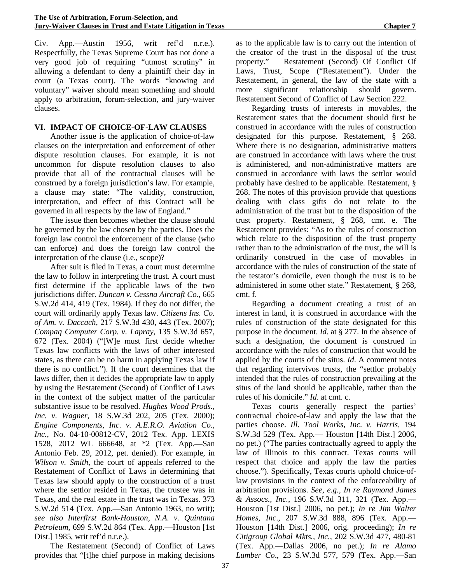Civ. App.—Austin 1956, writ ref'd n.r.e.). Respectfully, the Texas Supreme Court has not done a very good job of requiring "utmost scrutiny" in allowing a defendant to deny a plaintiff their day in court (a Texas court). The words "knowing and voluntary" waiver should mean something and should apply to arbitration, forum-selection, and jury-waiver clauses.

#### **VI. IMPACT OF CHOICE-OF-LAW CLAUSES**

Another issue is the application of choice-of-law clauses on the interpretation and enforcement of other dispute resolution clauses. For example, it is not uncommon for dispute resolution clauses to also provide that all of the contractual clauses will be construed by a foreign jurisdiction's law. For example, a clause may state: "The validity, construction, interpretation, and effect of this Contract will be governed in all respects by the law of England."

The issue then becomes whether the clause should be governed by the law chosen by the parties. Does the foreign law control the enforcement of the clause (who can enforce) and does the foreign law control the interpretation of the clause (i.e., scope)?

After suit is filed in Texas, a court must determine the law to follow in interpreting the trust. A court must first determine if the applicable laws of the two jurisdictions differ. *Duncan v. Cessna Aircraft Co.*, 665 S.W.2d 414, 419 (Tex. 1984). If they do not differ, the court will ordinarily apply Texas law. *Citizens Ins. Co. of Am. v. Daccach*, 217 S.W.3d 430, 443 (Tex. 2007); *Compaq Computer Corp. v. Lapray*, 135 S.W.3d 657, 672 (Tex. 2004) ("[W]e must first decide whether Texas law conflicts with the laws of other interested states, as there can be no harm in applying Texas law if there is no conflict."). If the court determines that the laws differ, then it decides the appropriate law to apply by using the Restatement (Second) of Conflict of Laws in the context of the subject matter of the particular substantive issue to be resolved. *Hughes Wood Prods., Inc. v. Wagner*, 18 S.W.3d 202, 205 (Tex. 2000); *Engine Components, Inc. v. A.E.R.O. Aviation Co., Inc.*, No. 04-10-00812-CV, 2012 Tex. App. LEXIS 1528, 2012 WL 666648, at \*2 (Tex. App.—San Antonio Feb. 29, 2012, pet. denied). For example, in *Wilson v. Smith*, the court of appeals referred to the Restatement of Conflict of Laws in determining that Texas law should apply to the construction of a trust where the settlor resided in Texas, the trustee was in Texas, and the real estate in the trust was in Texas. 373 S.W.2d 514 (Tex. App.—San Antonio 1963, no writ); *see also Interfirst Bank-Houston, N.A. v. Quintana Petroleum*, 699 S.W.2d 864 (Tex. App.—Houston [1st Dist.] 1985, writ ref'd n.r.e.).

The Restatement (Second) of Conflict of Laws provides that "[t]he chief purpose in making decisions as to the applicable law is to carry out the intention of the creator of the trust in the disposal of the trust property." Restatement (Second) Of Conflict Of Laws, Trust, Scope ("Restatement"). Under the Restatement, in general, the law of the state with a more significant relationship should govern. Restatement Second of Conflict of Law Section 222.

Regarding trusts of interests in movables, the Restatement states that the document should first be construed in accordance with the rules of construction designated for this purpose. Restatement, § 268. Where there is no designation, administrative matters are construed in accordance with laws where the trust is administered, and non-administrative matters are construed in accordance with laws the settlor would probably have desired to be applicable. Restatement, § 268. The notes of this provision provide that questions dealing with class gifts do not relate to the administration of the trust but to the disposition of the trust property. Restatement, § 268, cmt. e. The Restatement provides: "As to the rules of construction which relate to the disposition of the trust property rather than to the administration of the trust, the will is ordinarily construed in the case of movables in accordance with the rules of construction of the state of the testator's domicile, even though the trust is to be administered in some other state." Restatement, § 268, cmt. f.

Regarding a document creating a trust of an interest in land, it is construed in accordance with the rules of construction of the state designated for this purpose in the document. *Id*. at § 277. In the absence of such a designation, the document is construed in accordance with the rules of construction that would be applied by the courts of the situs. *Id*. A comment notes that regarding intervivos trusts, the "settlor probably intended that the rules of construction prevailing at the situs of the land should be applicable, rather than the rules of his domicile." *Id*. at cmt. c.

Texas courts generally respect the parties' contractual choice-of-law and apply the law that the parties choose. *Ill. Tool Works, Inc. v. Harris,* 194 S.W.3d 529 (Tex. App.— Houston [14th Dist.] 2006, no pet.) ("The parties contractually agreed to apply the law of Illinois to this contract. Texas courts will respect that choice and apply the law the parties choose."). Specifically, Texas courts uphold choice-oflaw provisions in the context of the enforceability of arbitration provisions. *See, e.g., In re Raymond James & Assocs., Inc.,* 196 S.W.3d 311, 321 (Tex. App.— Houston [1st Dist.] 2006, no pet.); *In re Jim Walter Homes, Inc*., 207 S.W.3d 888, 896 (Tex. App.— Houston [14th Dist.] 2006, orig. proceeding); *In re Citigroup Global Mkts., Inc.,* 202 S.W.3d 477, 480-81 (Tex. App.—Dallas 2006, no pet.); *In re Alamo Lumber Co*., 23 S.W.3d 577, 579 (Tex. App.—San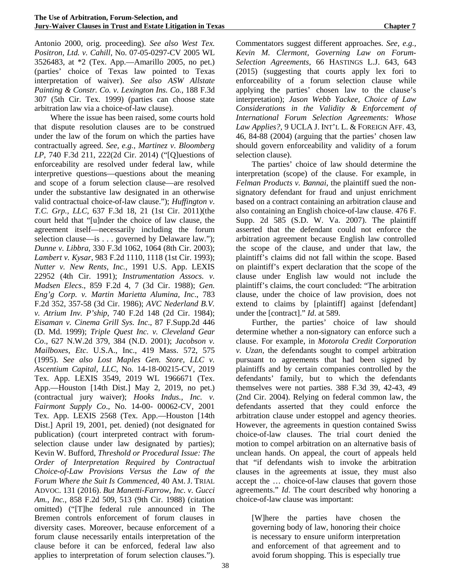Antonio 2000, orig. proceeding). *See also West Tex. Positron, Ltd. v. Cahill,* No. 07-05-0297-CV 2005 WL 3526483, at \*2 (Tex. App.—Amarillo 2005, no pet.) (parties' choice of Texas law pointed to Texas interpretation of waiver). *See also ASW Allstate Painting & Constr. Co. v. Lexington Ins. Co.,* 188 F.3d 307 (5th Cir. Tex. 1999) (parties can choose state arbitration law via a choice-of-law clause).

Where the issue has been raised, some courts hold that dispute resolution clauses are to be construed under the law of the forum on which the parties have contractually agreed. *See, e.g., Martinez v. Bloomberg LP,* 740 F.3d 211, 222(2d Cir. 2014) ("[Q]uestions of enforceability are resolved under federal law, while interpretive questions—questions about the meaning and scope of a forum selection clause—are resolved under the substantive law designated in an otherwise valid contractual choice-of-law clause."); *Huffington v. T.C. Grp., LLC,* 637 F.3d 18, 21 (1st Cir. 2011)(the court held that "[u]nder the choice of law clause, the agreement itself—necessarily including the forum selection clause—is . . . governed by Delaware law."); *Dunne v. Libbra*, 330 F.3d 1062, 1064 (8th Cir. 2003); *Lambert v. Kysar*, 983 F.2d 1110, 1118 (1st Cir. 1993); *Nutter v. New Rents, Inc.,* 1991 U.S. App. LEXIS 22952 (4th Cir. 1991); *Instrumentation Assocs. v. Madsen Elecs*., 859 F.2d 4, 7 (3d Cir. 1988); *Gen. Eng'g Corp. v. Martin Marietta Alumina, Inc*., 783 F.2d 352, 357-58 (3d Cir. 1986); *AVC Nederland B.V. v. Atrium Inv. P'ship*, 740 F.2d 148 (2d Cir. 1984); *Eisaman v. Cinema Grill Sys. Inc*., 87 F.Supp.2d 446 (D. Md. 1999); *Triple Quest Inc. v. Cleveland Gear Co*., 627 N.W.2d 379, 384 (N.D. 2001); *Jacobson v. Mailboxes, Etc*. U.S.A., Inc., 419 Mass. 572, 575 (1995). *See also Lost Maples Gen. Store, LLC v. Ascentium Capital, LLC,* No. 14-18-00215-CV, 2019 Tex. App. LEXIS 3549, 2019 WL 1966671 (Tex. App.—Houston [14th Dist.] May 2, 2019, no pet.) (contractual jury waiver); *Hooks Indus., Inc. v. Fairmont Supply Co*., No. 14-00- 00062-CV, 2001 Tex. App. LEXIS 2568 (Tex. App.—Houston [14th Dist.] April 19, 2001, pet. denied) (not designated for publication) (court interpreted contract with forumselection clause under law designated by parties); Kevin W. Bufford, *Threshold or Procedural Issue: The Order of Interpretation Required by Contractual Choice-of-Law Provisions Versus the Law of the Forum Where the Suit Is Commenced,* 40 AM. J. TRIAL ADVOC. 131 (2016). *But Manetti-Farrow, Inc. v. Gucci Am., Inc.*, 858 F.2d 509, 513 (9th Cir. 1988) (citation omitted) ("[T]he federal rule announced in The Bremen controls enforcement of forum clauses in diversity cases. Moreover, because enforcement of a forum clause necessarily entails interpretation of the clause before it can be enforced, federal law also applies to interpretation of forum selection clauses.").

Commentators suggest different approaches. *See, e.g., Kevin M. Clermont, Governing Law on Forum-Selection Agreements,* 66 HASTINGS L.J. 643, 643 (2015) (suggesting that courts apply lex fori to enforceability of a forum selection clause while applying the parties' chosen law to the clause's interpretation); *Jason Webb Yackee, Choice of Law Considerations in the Validity & Enforcement of International Forum Selection Agreements: Whose Law Applies?,* 9 UCLA J. INT'L L. & FOREIGN AFF. 43, 46, 84-88 (2004) (arguing that the parties' chosen law should govern enforceability and validity of a forum selection clause).

The parties' choice of law should determine the interpretation (scope) of the clause. For example, in *Felman Products v. Bannai*, the plaintiff sued the nonsignatory defendant for fraud and unjust enrichment based on a contract containing an arbitration clause and also containing an English choice-of-law clause. 476 F. Supp. 2d 585 (S.D. W. Va. 2007). The plaintiff asserted that the defendant could not enforce the arbitration agreement because English law controlled the scope of the clause, and under that law, the plaintiff's claims did not fall within the scope. Based on plaintiff's expert declaration that the scope of the clause under English law would not include the plaintiff's claims, the court concluded: "The arbitration clause, under the choice of law provision, does not extend to claims by [plaintiff] against [defendant] under the [contract]." *Id*. at 589.

Further, the parties' choice of law should determine whether a non-signatory can enforce such a clause. For example, in *Motorola Credit Corporation v. Uzan,* the defendants sought to compel arbitration pursuant to agreements that had been signed by plaintiffs and by certain companies controlled by the defendants' family, but to which the defendants themselves were not parties. 388 F.3d 39, 42-43, 49 (2nd Cir. 2004). Relying on federal common law, the defendants asserted that they could enforce the arbitration clause under estoppel and agency theories. However, the agreements in question contained Swiss choice-of-law clauses. The trial court denied the motion to compel arbitration on an alternative basis of unclean hands. On appeal, the court of appeals held that "if defendants wish to invoke the arbitration clauses in the agreements at issue, they must also accept the … choice-of-law clauses that govern those agreements." *Id*. The court described why honoring a choice-of-law clause was important:

[W]here the parties have chosen the governing body of law, honoring their choice is necessary to ensure uniform interpretation and enforcement of that agreement and to avoid forum shopping. This is especially true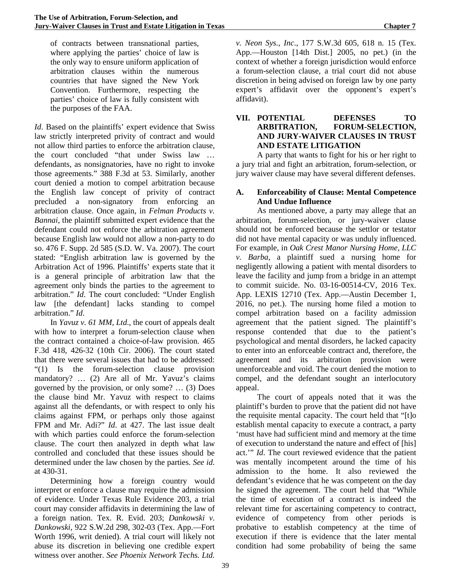of contracts between transnational parties, where applying the parties' choice of law is the only way to ensure uniform application of arbitration clauses within the numerous countries that have signed the New York Convention. Furthermore, respecting the parties' choice of law is fully consistent with the purposes of the FAA.

*Id*. Based on the plaintiffs' expert evidence that Swiss law strictly interpreted privity of contract and would not allow third parties to enforce the arbitration clause, the court concluded "that under Swiss law … defendants, as nonsignatories, have no right to invoke those agreements." 388 F.3d at 53. Similarly, another court denied a motion to compel arbitration because the English law concept of privity of contract precluded a non-signatory from enforcing an arbitration clause. Once again, in *Felman Products v. Bannai*, the plaintiff submitted expert evidence that the defendant could not enforce the arbitration agreement because English law would not allow a non-party to do so. 476 F. Supp. 2d 585 (S.D. W. Va. 2007). The court stated: "English arbitration law is governed by the Arbitration Act of 1996. Plaintiffs' experts state that it is a general principle of arbitration law that the agreement only binds the parties to the agreement to arbitration." *Id*. The court concluded: "Under English law [the defendant] lacks standing to compel arbitration." *Id*.

In *Yavuz v. 61 MM, Ltd*., the court of appeals dealt with how to interpret a forum-selection clause when the contract contained a choice-of-law provision. 465 F.3d 418, 426-32 (10th Cir. 2006). The court stated that there were several issues that had to be addressed: "(1) Is the forum-selection clause provision mandatory? … (2) Are all of Mr. Yavuz's claims governed by the provision, or only some? … (3) Does the clause bind Mr. Yavuz with respect to claims against all the defendants, or with respect to only his claims against FPM, or perhaps only those against FPM and Mr. Adi?" *Id*. at 427. The last issue dealt with which parties could enforce the forum-selection clause. The court then analyzed in depth what law controlled and concluded that these issues should be determined under the law chosen by the parties. *See id*. at 430-31.

Determining how a foreign country would interpret or enforce a clause may require the admission of evidence. Under Texas Rule Evidence 203, a trial court may consider affidavits in determining the law of a foreign nation. Tex. R. Evid. 203; *Dankowski v. Dankowski,* 922 S.W.2d 298, 302-03 (Tex. App.—Fort Worth 1996, writ denied). A trial court will likely not abuse its discretion in believing one credible expert witness over another. *See Phoenix Network Techs. Ltd.* 

*v. Neon Sys., Inc*., 177 S.W.3d 605, 618 n. 15 (Tex. App.—Houston [14th Dist.] 2005, no pet.) (in the context of whether a foreign jurisdiction would enforce a forum-selection clause, a trial court did not abuse discretion in being advised on foreign law by one party expert's affidavit over the opponent's expert's affidavit).

#### **VII. POTENTIAL DEFENSES TO ARBITRATION, FORUM-SELECTION, AND JURY-WAIVER CLAUSES IN TRUST AND ESTATE LITIGATION**

A party that wants to fight for his or her right to a jury trial and fight an arbitration, forum-selection, or jury waiver clause may have several different defenses.

#### **A. Enforceability of Clause: Mental Competence And Undue Influence**

As mentioned above, a party may allege that an arbitration, forum-selection, or jury-waiver clause should not be enforced because the settlor or testator did not have mental capacity or was unduly influenced. For example, in *Oak Crest Manor Nursing Home, LLC v. Barba*, a plaintiff sued a nursing home for negligently allowing a patient with mental disorders to leave the facility and jump from a bridge in an attempt to commit suicide. No. 03-16-00514-CV, 2016 Tex. App. LEXIS 12710 (Tex. App.—Austin December 1, 2016, no pet.). The nursing home filed a motion to compel arbitration based on a facility admission agreement that the patient signed. The plaintiff's response contended that due to the patient's psychological and mental disorders, he lacked capacity to enter into an enforceable contract and, therefore, the agreement and its arbitration provision were unenforceable and void. The court denied the motion to compel, and the defendant sought an interlocutory appeal.

The court of appeals noted that it was the plaintiff's burden to prove that the patient did not have the requisite mental capacity. The court held that "[t]o establish mental capacity to execute a contract, a party 'must have had sufficient mind and memory at the time of execution to understand the nature and effect of [his] act.'" *Id*. The court reviewed evidence that the patient was mentally incompetent around the time of his admission to the home. It also reviewed the defendant's evidence that he was competent on the day he signed the agreement. The court held that "While the time of execution of a contract is indeed the relevant time for ascertaining competency to contract, evidence of competency from other periods is probative to establish competency at the time of execution if there is evidence that the later mental condition had some probability of being the same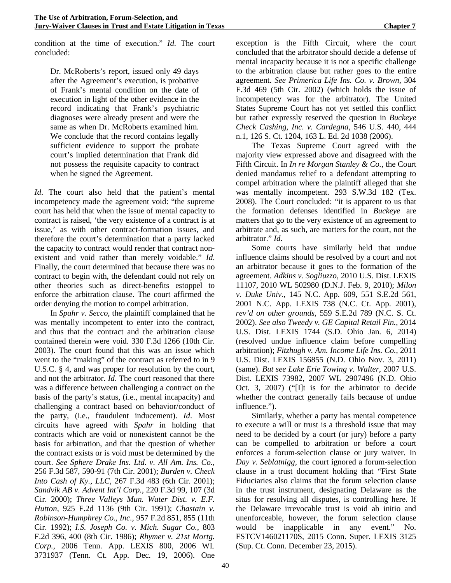condition at the time of execution." *Id*. The court concluded:

Dr. McRoberts's report, issued only 49 days after the Agreement's execution, is probative of Frank's mental condition on the date of execution in light of the other evidence in the record indicating that Frank's psychiatric diagnoses were already present and were the same as when Dr. McRoberts examined him. We conclude that the record contains legally sufficient evidence to support the probate court's implied determination that Frank did not possess the requisite capacity to contract when he signed the Agreement.

*Id*. The court also held that the patient's mental incompetency made the agreement void: "the supreme court has held that when the issue of mental capacity to contract is raised, 'the very existence of a contract is at issue,' as with other contract-formation issues, and therefore the court's determination that a party lacked the capacity to contract would render that contract nonexistent and void rather than merely voidable." *Id*. Finally, the court determined that because there was no contract to begin with, the defendant could not rely on other theories such as direct-benefits estoppel to enforce the arbitration clause. The court affirmed the order denying the motion to compel arbitration.

In *Spahr v. Secco*, the plaintiff complained that he was mentally incompetent to enter into the contract, and thus that the contract and the arbitration clause contained therein were void. 330 F.3d 1266 (10th Cir. 2003). The court found that this was an issue which went to the "making" of the contract as referred to in 9 U.S.C. § 4, and was proper for resolution by the court, and not the arbitrator. *Id*. The court reasoned that there was a difference between challenging a contract on the basis of the party's status, (i.e., mental incapacity) and challenging a contract based on behavior/conduct of the party, (i.e., fraudulent inducement). *Id*. Most circuits have agreed with *Spahr* in holding that contracts which are void or nonexistent cannot be the basis for arbitration, and that the question of whether the contract exists or is void must be determined by the court. *See Sphere Drake Ins. Ltd. v. All Am. Ins. Co.*, 256 F.3d 587, 590-91 (7th Cir. 2001); *Burden v. Check Into Cash of Ky., LLC,* 267 F.3d 483 (6th Cir. 2001); *Sandvik AB v. Advent Int'l Corp.*, 220 F.3d 99, 107 (3d Cir. 2000); *Three Valleys Mun. Water Dist. v. E.F. Hutton*, 925 F.2d 1136 (9th Cir. 1991); *Chastain v. Robinson-Humphrey Co., Inc.,* 957 F.2d 851, 855 (11th Cir. 1992); *I.S. Joseph Co. v. Mich. Sugar Co.,* 803 F.2d 396, 400 (8th Cir. 1986); *Rhymer v. 21st Mortg. Corp.*, 2006 Tenn. App. LEXIS 800, 2006 WL 3731937 (Tenn. Ct. App. Dec. 19, 2006). One

exception is the Fifth Circuit, where the court concluded that the arbitrator should decide a defense of mental incapacity because it is not a specific challenge to the arbitration clause but rather goes to the entire agreement. *See Primerica Life Ins. Co. v. Brown*, 304 F.3d 469 (5th Cir. 2002) (which holds the issue of incompetency was for the arbitrator). The United States Supreme Court has not yet settled this conflict but rather expressly reserved the question in *Buckeye Check Cashing, Inc. v. Cardegna*, 546 U.S. 440, 444 n.1, 126 S. Ct. 1204, 163 L. Ed. 2d 1038 (2006).

The Texas Supreme Court agreed with the majority view expressed above and disagreed with the Fifth Circuit. In *In re Morgan Stanley & Co.*, the Court denied mandamus relief to a defendant attempting to compel arbitration where the plaintiff alleged that she was mentally incompetent. 293 S.W.3d 182 (Tex. 2008). The Court concluded: "it is apparent to us that the formation defenses identified in *Buckeye* are matters that go to the very existence of an agreement to arbitrate and, as such, are matters for the court, not the arbitrator." *Id*.

Some courts have similarly held that undue influence claims should be resolved by a court and not an arbitrator because it goes to the formation of the agreement. *Adkins v. Sogliuzzo*, 2010 U.S. Dist. LEXIS 11107, 2010 WL 502980 (D.N.J. Feb. 9, 2010); *Milon v. Duke Univ.*, 145 N.C. App. 609, 551 S.E.2d 561, 2001 N.C. App. LEXIS 738 (N.C. Ct. App. 2001), *rev'd on other grounds*, 559 S.E.2d 789 (N.C. S. Ct. 2002). *See also Tweedy v. GE Capital Retail Fin.*, 2014 U.S. Dist. LEXIS 1744 (S.D. Ohio Jan. 6, 2014) (resolved undue influence claim before compelling arbitration); *Fitzhugh v. Am. Income Life Ins. Co.*, 2011 U.S. Dist. LEXIS 156855 (N.D. Ohio Nov. 3, 2011) (same). *But see Lake Erie Towing v. Walter*, 2007 U.S. Dist. LEXIS 73982, 2007 WL 2907496 (N.D. Ohio Oct. 3, 2007) ("[I]t is for the arbitrator to decide whether the contract generally fails because of undue influence.").

Similarly, whether a party has mental competence to execute a will or trust is a threshold issue that may need to be decided by a court (or jury) before a party can be compelled to arbitration or before a court enforces a forum-selection clause or jury waiver. In *Day v. Seblatnigg*, the court ignored a forum-selection clause in a trust document holding that "First State Fiduciaries also claims that the forum selection clause in the trust instrument, designating Delaware as the situs for resolving all disputes, is controlling here. If the Delaware irrevocable trust is void ab initio and unenforceable, however, the forum selection clause would be inapplicable in any event." No. FSTCV146021170S, 2015 Conn. Super. LEXIS 3125 (Sup. Ct. Conn. December 23, 2015).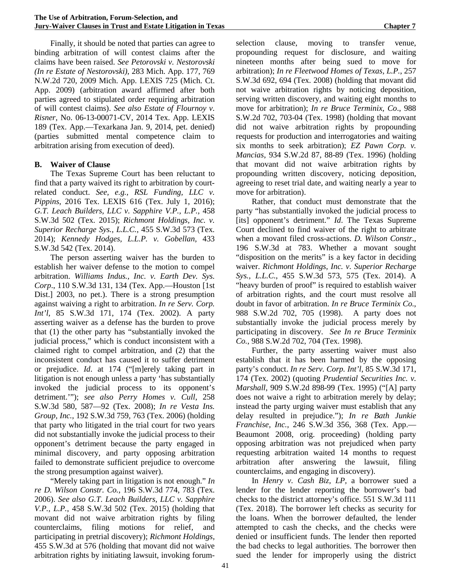Finally, it should be noted that parties can agree to binding arbitration of will contest claims after the claims have been raised. *See Petorovski v. Nestorovski (In re Estate of Nestorovski)*, 283 Mich. App. 177, 769 N.W.2d 720, 2009 Mich. App. LEXIS 725 (Mich. Ct. App. 2009) (arbitration award affirmed after both parties agreed to stipulated order requiring arbitration of will contest claims). *See also Estate of Flournoy v. Risner*, No. 06-13-00071-CV, 2014 Tex. App. LEXIS 189 (Tex. App.—Texarkana Jan. 9, 2014, pet. denied) (parties submitted mental competence claim to arbitration arising from execution of deed).

#### **B. Waiver of Clause**

The Texas Supreme Court has been reluctant to find that a party waived its right to arbitration by courtrelated conduct. *See, e.g., RSL Funding, LLC v. Pippins*, 2016 Tex. LEXIS 616 (Tex. July 1, 2016); *G.T. Leach Builders, LLC v. Sapphire V.P., L.P.,* 458 S.W.3d 502 (Tex. 2015); *Richmont Holdings, Inc. v. Superior Recharge Sys., L.L.C.*, 455 S.W.3d 573 (Tex. 2014); *Kennedy Hodges, L.L.P. v. Gobellan*, 433 S.W.3d 542 (Tex. 2014).

The person asserting waiver has the burden to establish her waiver defense to the motion to compel arbitration. *Williams Indus., Inc. v. Earth Dev. Sys. Corp*., 110 S.W.3d 131, 134 (Tex. App.—Houston [1st Dist.] 2003, no pet.). There is a strong presumption against waiving a right to arbitration. *In re Serv. Corp. Int'l*, 85 S.W.3d 171, 174 (Tex. 2002). A party asserting waiver as a defense has the burden to prove that (1) the other party has "substantially invoked the judicial process," which is conduct inconsistent with a claimed right to compel arbitration, and (2) that the inconsistent conduct has caused it to suffer detriment or prejudice. *Id*. at 174 ("[m]erely taking part in litigation is not enough unless a party 'has substantially invoked the judicial process to its opponent's detriment.'"); *see also Perry Homes v. Cull*, 258 S.W.3d 580, 587—92 (Tex. 2008); *In re Vesta Ins. Group, Inc.*, 192 S.W.3d 759, 763 (Tex. 2006) (holding that party who litigated in the trial court for two years did not substantially invoke the judicial process to their opponent's detriment because the party engaged in minimal discovery, and party opposing arbitration failed to demonstrate sufficient prejudice to overcome the strong presumption against waiver).

"Merely taking part in litigation is not enough." *In re D. Wilson Constr. Co.*, 196 S.W.3d 774, 783 (Tex. 2006). *See also G.T. Leach Builders, LLC v. Sapphire V.P., L.P.*, 458 S.W.3d 502 (Tex. 2015) (holding that movant did not waive arbitration rights by filing counterclaims, filing motions for relief, and participating in pretrial discovery); *Richmont Holdings,* 455 S.W.3d at 576 (holding that movant did not waive arbitration rights by initiating lawsuit, invoking forumselection clause, moving to transfer venue, propounding request for disclosure, and waiting nineteen months after being sued to move for arbitration); *In re Fleetwood Homes of Texas, L.P.*, 257 S.W.3d 692, 694 (Tex. 2008) (holding that movant did not waive arbitration rights by noticing deposition, serving written discovery, and waiting eight months to move for arbitration); *In re Bruce Terminix, Co*., 988 S.W.2d 702, 703-04 (Tex. 1998) (holding that movant did not waive arbitration rights by propounding requests for production and interrogatories and waiting six months to seek arbitration); *EZ Pawn Corp. v. Mancias*, 934 S.W.2d 87, 88-89 (Tex. 1996) (holding that movant did not waive arbitration rights by propounding written discovery, noticing deposition, agreeing to reset trial date, and waiting nearly a year to move for arbitration).

Rather, that conduct must demonstrate that the party "has substantially invoked the judicial process to [its] opponent's detriment." *Id*. The Texas Supreme Court declined to find waiver of the right to arbitrate when a movant filed cross-actions. *D. Wilson Constr.*, 196 S.W.3d at 783. Whether a movant sought "disposition on the merits" is a key factor in deciding waiver. *Richmont Holdings, Inc. v. Superior Recharge Sys., L.L.C.*, 455 S.W.3d 573, 575 (Tex. 2014). A "heavy burden of proof" is required to establish waiver of arbitration rights, and the court must resolve all doubt in favor of arbitration. *In re Bruce Terminix Co*., 988 S.W.2d 702, 705 (1998). A party does not substantially invoke the judicial process merely by participating in discovery. *See In re Bruce Terminix Co.*, 988 S.W.2d 702, 704 (Tex. 1998).

Further, the party asserting waiver must also establish that it has been harmed by the opposing party's conduct. *In re Serv. Corp. Int'l*, 85 S.W.3d 171, 174 (Tex. 2002) (quoting *Prudential Securities Inc. v. Marshall*, 909 S.W.2d 898-99 (Tex. 1995) ("[A] party does not waive a right to arbitration merely by delay; instead the party urging waiver must establish that any delay resulted in prejudice."); *In re Bath Junkie Franchise, Inc.*, 246 S.W.3d 356, 368 (Tex. App.— Beaumont 2008, orig. proceeding) (holding party opposing arbitration was not prejudiced when party requesting arbitration waited 14 months to request arbitration after answering the lawsuit, filing counterclaims, and engaging in discovery).

In *Henry v. Cash Biz, LP,* a borrower sued a lender for the lender reporting the borrower's bad checks to the district attorney's office. 551 S.W.3d 111 (Tex. 2018). The borrower left checks as security for the loans. When the borrower defaulted, the lender attempted to cash the checks, and the checks were denied or insufficient funds. The lender then reported the bad checks to legal authorities. The borrower then sued the lender for improperly using the district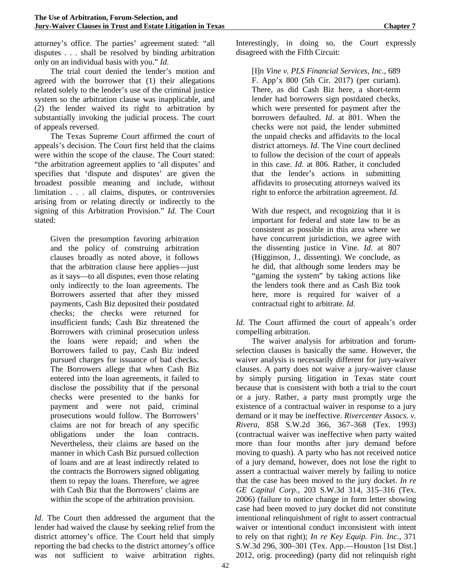attorney's office. The parties' agreement stated: "all disputes . . . shall be resolved by binding arbitration only on an individual basis with you." *Id*.

The trial court denied the lender's motion and agreed with the borrower that (1) their allegations related solely to the lender's use of the criminal justice system so the arbitration clause was inapplicable, and (2) the lender waived its right to arbitration by substantially invoking the judicial process. The court of appeals reversed.

The Texas Supreme Court affirmed the court of appeals's decision. The Court first held that the claims were within the scope of the clause. The Court stated: "the arbitration agreement applies to 'all disputes' and specifies that 'dispute and disputes' are given the broadest possible meaning and include, without limitation . . . all claims, disputes, or controversies arising from or relating directly or indirectly to the signing of this Arbitration Provision." *Id*. The Court stated:

Given the presumption favoring arbitration and the policy of construing arbitration clauses broadly as noted above, it follows that the arbitration clause here applies—just as it says—to all disputes, even those relating only indirectly to the loan agreements. The Borrowers asserted that after they missed payments, Cash Biz deposited their postdated checks; the checks were returned for insufficient funds; Cash Biz threatened the Borrowers with criminal prosecution unless the loans were repaid; and when the Borrowers failed to pay, Cash Biz indeed pursued charges for issuance of bad checks. The Borrowers allege that when Cash Biz entered into the loan agreements, it failed to disclose the possibility that if the personal checks were presented to the banks for payment and were not paid, criminal prosecutions would follow. The Borrowers' claims are not for breach of any specific obligations under the loan contracts. Nevertheless, their claims are based on the manner in which Cash Biz pursued collection of loans and are at least indirectly related to the contracts the Borrowers signed obligating them to repay the loans. Therefore, we agree with Cash Biz that the Borrowers' claims are within the scope of the arbitration provision.

*Id*. The Court then addressed the argument that the lender had waived the clause by seeking relief from the district attorney's office. The Court held that simply reporting the bad checks to the district attorney's office was not sufficient to waive arbitration rights. Interestingly, in doing so, the Court expressly disagreed with the Fifth Circuit:

[I]n *Vine v. PLS Financial Services, Inc.*, 689 F. App'x 800 (5th Cir. 2017) (per curiam). There, as did Cash Biz here, a short-term lender had borrowers sign postdated checks, which were presented for payment after the borrowers defaulted. *Id*. at 801. When the checks were not paid, the lender submitted the unpaid checks and affidavits to the local district attorneys. *Id*. The Vine court declined to follow the decision of the court of appeals in this case. *Id*. at 806. Rather, it concluded that the lender's actions in submitting affidavits to prosecuting attorneys waived its right to enforce the arbitration agreement. *Id.*

With due respect, and recognizing that it is important for federal and state law to be as consistent as possible in this area where we have concurrent jurisdiction, we agree with the dissenting justice in Vine. *Id*. at 807 (Higginson, J., dissenting). We conclude, as he did, that although some lenders may be "gaming the system" by taking actions like the lenders took there and as Cash Biz took here, more is required for waiver of a contractual right to arbitrate. *Id*.

*Id*. The Court affirmed the court of appeals's order compelling arbitration.

The waiver analysis for arbitration and forumselection clauses is basically the same. However, the waiver analysis is necessarily different for jury-waiver clauses. A party does not waive a jury-waiver clause by simply pursing litigation in Texas state court because that is consistent with both a trial to the court or a jury. Rather, a party must promptly urge the existence of a contractual waiver in response to a jury demand or it may be ineffective. *Rivercenter Assocs. v. Rivera*, 858 S.W.2d 366, 367–368 (Tex. 1993) (contractual waiver was ineffective when party waited more than four months after jury demand before moving to quash). A party who has not received notice of a jury demand, however, does not lose the right to assert a contractual waiver merely by failing to notice that the case has been moved to the jury docket. *In re GE Capital Corp.*, 203 S.W.3d 314, 315–316 (Tex. 2006) (failure to notice change in form letter showing case had been moved to jury docket did not constitute intentional relinquishment of right to assert contractual waiver or intentional conduct inconsistent with intent to rely on that right); *In re Key Equip. Fin. Inc.*, 371 S.W.3d 296, 300–301 (Tex. App.—Houston [1st Dist.] 2012, orig. proceeding) (party did not relinquish right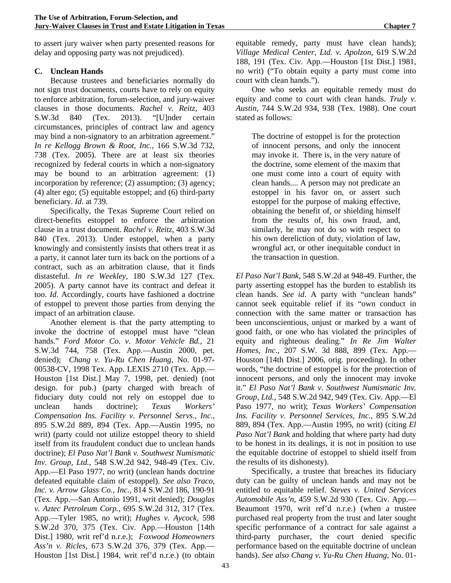to assert jury waiver when party presented reasons for delay and opposing party was not prejudiced).

# **C. Unclean Hands**

Because trustees and beneficiaries normally do not sign trust documents, courts have to rely on equity to enforce arbitration, forum-selection, and jury-waiver clauses in those documents. *Rachel v. Reitz*, 403 S.W.3d 840 (Tex. 2013). "[U]nder certain circumstances, principles of contract law and agency may bind a non-signatory to an arbitration agreement." *In re Kellogg Brown & Root, Inc.,* 166 S.W.3d 732, 738 (Tex. 2005). There are at least six theories recognized by federal courts in which a non-signatory may be bound to an arbitration agreement: (1) incorporation by reference; (2) assumption; (3) agency; (4) alter ego; (5) equitable estoppel; and (6) third-party beneficiary. *Id*. at 739.

Specifically, the Texas Supreme Court relied on direct-benefits estoppel to enforce the arbitration clause in a trust document. *Rachel v. Reitz*, 403 S.W.3d 840 (Tex. 2013). Under estoppel, when a party knowingly and consistently insists that others treat it as a party, it cannot later turn its back on the portions of a contract, such as an arbitration clause, that it finds distasteful. *In re Weekley*, 180 S.W.3d 127 (Tex. 2005). A party cannot have its contract and defeat it too. *Id*. Accordingly, courts have fashioned a doctrine of estoppel to prevent those parties from denying the impact of an arbitration clause.

Another element is that the party attempting to invoke the doctrine of estoppel must have "clean hands." *Ford Motor Co. v. Motor Vehicle Bd.*, 21 S.W.3d 744, 758 (Tex. App.—Austin 2000, pet. denied); *Chang v. Yu-Ru Chen Huang*, No. 01-97- 00538-CV, 1998 Tex. App. LEXIS 2710 (Tex. App.— Houston [1st Dist.] May 7, 1998, pet. denied) (not design. for pub.) (party charged with breach of fiduciary duty could not rely on estoppel due to unclean hands doctrine); *Texas Workers' Compensation Ins. Facility v. Personnel Servs., Inc*., 895 S.W.2d 889, 894 (Tex. App.—Austin 1995, no writ) (party could not utilize estoppel theory to shield itself from its fraudulent conduct due to unclean hands doctrine); *El Paso Nat'l Bank v. Southwest Numismatic Inv. Group, Ltd.*, 548 S.W.2d 942, 948-49 (Tex. Civ. App.—El Paso 1977, no writ) (unclean hands doctrine defeated equitable claim of estoppel). *See also Traco, Inc. v. Arrow Glass Co., Inc.*, 814 S.W.2d 186, 190-91 (Tex. App.—San Antonio 1991, writ denied); *Douglas v. Aztec Petroleum Corp.*, 695 S.W.2d 312, 317 (Tex. App.—Tyler 1985, no writ); *Hughes v. Aycock,* 598 S.W.2d 370, 375 (Tex. Civ. App.—Houston [14th Dist.] 1980, writ ref'd n.r.e.); *Foxwood Homeowners Ass'n v. Ricles*, 673 S.W.2d 376, 379 (Tex. App.— Houston [1st Dist.] 1984, writ ref'd n.r.e.) (to obtain equitable remedy, party must have clean hands); *Village Medical Center, Ltd. v. Apolzon*, 619 S.W.2d 188, 191 (Tex. Civ. App.—Houston [1st Dist.] 1981, no writ) ("To obtain equity a party must come into court with clean hands.").

One who seeks an equitable remedy must do equity and come to court with clean hands. *Truly v. Austin*, 744 S.W.2d 934, 938 (Tex. 1988). One court stated as follows:

The doctrine of estoppel is for the protection of innocent persons, and only the innocent may invoke it. There is, in the very nature of the doctrine, some element of the maxim that one must come into a court of equity with clean hands.... A person may not predicate an estoppel in his favor on, or assert such estoppel for the purpose of making effective, obtaining the benefit of, or shielding himself from the results of, his own fraud, and, similarly, he may not do so with respect to his own dereliction of duty, violation of law, wrongful act, or other inequitable conduct in the transaction in question.

*El Paso Nat'l Bank*, 548 S.W.2d at 948-49. Further, the party asserting estoppel has the burden to establish its clean hands. *See id*. A party with "unclean hands" cannot seek equitable relief if its "own conduct in connection with the same matter or transaction has been unconscientious, unjust or marked by a want of good faith, or one who has violated the principles of equity and righteous dealing." *In Re Jim Walter Homes, Inc*., 207 S.W. 3d 888, 899 (Tex. App.— Houston [14th Dist.] 2006, orig. proceeding). In other words, "the doctrine of estoppel is for the protection of innocent persons, and only the innocent may invoke it." *El Paso Nat'l Bank v. Southwest Numismatic Inv. Group, Ltd.*, 548 S.W.2d 942, 949 (Tex. Civ. App.—El Paso 1977, no writ); *Texas Workers' Compensation Ins. Facility v. Personnel Services, Inc.,* 895 S.W.2d 889, 894 (Tex. App.—Austin 1995, no writ) (citing *El Paso Nat'l Bank* and holding that where party had duty to be honest in its dealings, it is not in position to use the equitable doctrine of estoppel to shield itself from the results of its dishonesty).

Specifically, a trustee that breaches its fiduciary duty can be guilty of unclean hands and may not be entitled to equitable relief. *Steves v. United Services Automobile Ass'n*, 459 S.W.2d 930 (Tex. Civ. App.— Beaumont 1970, writ ref'd n.r.e.) (when a trustee purchased real property from the trust and later sought specific performance of a contract for sale against a third-party purchaser, the court denied specific performance based on the equitable doctrine of unclean hands). *See also Chang v. Yu-Ru Chen Huang,* No. 01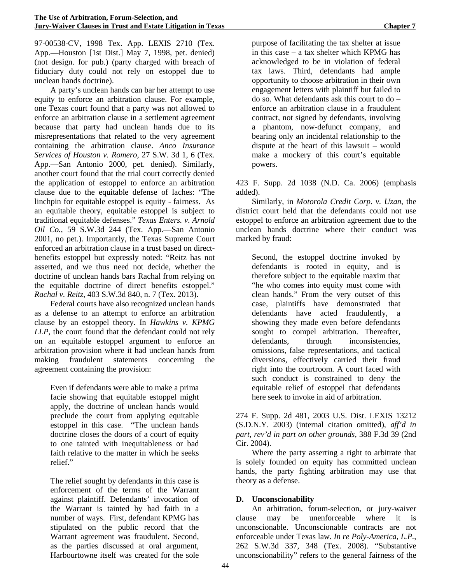97-00538-CV, 1998 Tex. App. LEXIS 2710 (Tex. App.—Houston [1st Dist.] May 7, 1998, pet. denied) (not design. for pub.) (party charged with breach of fiduciary duty could not rely on estoppel due to unclean hands doctrine).

A party's unclean hands can bar her attempt to use equity to enforce an arbitration clause. For example, one Texas court found that a party was not allowed to enforce an arbitration clause in a settlement agreement because that party had unclean hands due to its misrepresentations that related to the very agreement containing the arbitration clause. *Anco Insurance Services of Houston v. Romero,* 27 S.W. 3d 1, 6 (Tex. App.—San Antonio 2000, pet. denied). Similarly, another court found that the trial court correctly denied the application of estoppel to enforce an arbitration clause due to the equitable defense of laches: "The linchpin for equitable estoppel is equity - fairness. As an equitable theory, equitable estoppel is subject to traditional equitable defenses." *Texas Enters. v. Arnold Oil Co.*, 59 S.W.3d 244 (Tex. App.—San Antonio 2001, no pet.). Importantly, the Texas Supreme Court enforced an arbitration clause in a trust based on directbenefits estoppel but expressly noted: "Reitz has not asserted, and we thus need not decide, whether the doctrine of unclean hands bars Rachal from relying on the equitable doctrine of direct benefits estoppel." *Rachal v. Reitz*, 403 S.W.3d 840, n. 7 (Tex. 2013).

Federal courts have also recognized unclean hands as a defense to an attempt to enforce an arbitration clause by an estoppel theory. In *Hawkins v. KPMG LLP*, the court found that the defendant could not rely on an equitable estoppel argument to enforce an arbitration provision where it had unclean hands from making fraudulent statements concerning the agreement containing the provision:

Even if defendants were able to make a prima facie showing that equitable estoppel might apply, the doctrine of unclean hands would preclude the court from applying equitable estoppel in this case. "The unclean hands doctrine closes the doors of a court of equity to one tainted with inequitableness or bad faith relative to the matter in which he seeks relief."

The relief sought by defendants in this case is enforcement of the terms of the Warrant against plaintiff. Defendants' invocation of the Warrant is tainted by bad faith in a number of ways. First, defendant KPMG has stipulated on the public record that the Warrant agreement was fraudulent. Second, as the parties discussed at oral argument, Harbourtowne itself was created for the sole

purpose of facilitating the tax shelter at issue in this case – a tax shelter which KPMG has acknowledged to be in violation of federal tax laws. Third, defendants had ample opportunity to choose arbitration in their own engagement letters with plaintiff but failed to do so. What defendants ask this court to do – enforce an arbitration clause in a fraudulent contract, not signed by defendants, involving a phantom, now-defunct company, and bearing only an incidental relationship to the dispute at the heart of this lawsuit – would make a mockery of this court's equitable powers.

423 F. Supp. 2d 1038 (N.D. Ca. 2006) (emphasis added).

Similarly, in *Motorola Credit Corp. v. Uzan*, the district court held that the defendants could not use estoppel to enforce an arbitration agreement due to the unclean hands doctrine where their conduct was marked by fraud:

Second, the estoppel doctrine invoked by defendants is rooted in equity, and is therefore subject to the equitable maxim that "he who comes into equity must come with clean hands." From the very outset of this case, plaintiffs have demonstrated that defendants have acted fraudulently, a showing they made even before defendants sought to compel arbitration. Thereafter, defendants, through inconsistencies, omissions, false representations, and tactical diversions, effectively carried their fraud right into the courtroom. A court faced with such conduct is constrained to deny the equitable relief of estoppel that defendants here seek to invoke in aid of arbitration.

274 F. Supp. 2d 481, 2003 U.S. Dist. LEXIS 13212 (S.D.N.Y. 2003) (internal citation omitted), *aff'd in part, rev'd in part on other grounds,* 388 F.3d 39 (2nd Cir. 2004).

Where the party asserting a right to arbitrate that is solely founded on equity has committed unclean hands, the party fighting arbitration may use that theory as a defense.

#### **D. Unconscionability**

An arbitration, forum-selection, or jury-waiver clause may be unenforceable where it is unconscionable. Unconscionable contracts are not enforceable under Texas law. *In re Poly-America, L.P.*, 262 S.W.3d 337, 348 (Tex. 2008). "Substantive unconscionability" refers to the general fairness of the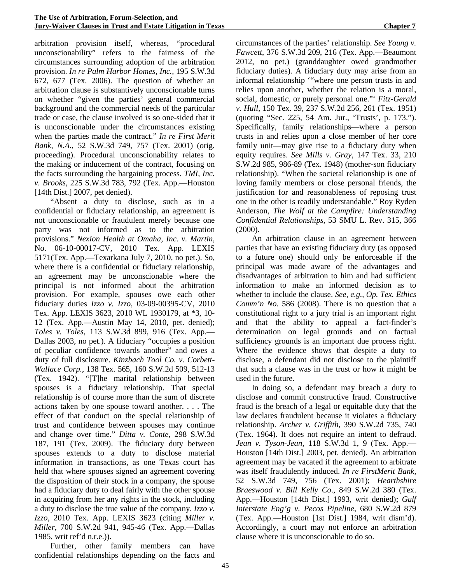arbitration provision itself, whereas, "procedural unconscionability" refers to the fairness of the circumstances surrounding adoption of the arbitration provision. *In re Palm Harbor Homes, Inc.,* 195 S.W.3d 672, 677 (Tex. 2006). The question of whether an arbitration clause is substantively unconscionable turns on whether "given the parties' general commercial background and the commercial needs of the particular trade or case, the clause involved is so one-sided that it is unconscionable under the circumstances existing when the parties made the contract." *In re First Merit Bank, N.A.*, 52 S.W.3d 749, 757 (Tex. 2001) (orig. proceeding). Procedural unconscionability relates to the making or inducement of the contract, focusing on the facts surrounding the bargaining process. *TMI, Inc. v. Brooks*, 225 S.W.3d 783, 792 (Tex. App.—Houston [14th Dist.] 2007, pet denied).

"Absent a duty to disclose, such as in a confidential or fiduciary relationship, an agreement is not unconscionable or fraudulent merely because one party was not informed as to the arbitration provisions." *Nexion Health at Omaha, Inc. v. Martin*, No. 06-10-00017-CV, 2010 Tex. App. LEXIS 5171(Tex. App.—Texarkana July 7, 2010, no pet.). So, where there is a confidential or fiduciary relationship, an agreement may be unconscionable where the principal is not informed about the arbitration provision. For example, spouses owe each other fiduciary duties *Izzo v. Izzo*, 03-09-00395-CV, 2010 Tex. App. LEXIS 3623, 2010 WL 1930179, at \*3, 10- 12 (Tex. App.—Austin May 14, 2010, pet. denied); *Toles v. Toles*, 113 S.W.3d 899, 916 (Tex. App.— Dallas 2003, no pet.). A fiduciary "occupies a position of peculiar confidence towards another" and owes a duty of full disclosure. *Kinzbach Tool Co. v. Corbett-Wallace Corp.*, 138 Tex. 565, 160 S.W.2d 509, 512-13 (Tex. 1942). "[T]he marital relationship between spouses is a fiduciary relationship. That special relationship is of course more than the sum of discrete actions taken by one spouse toward another. . . . The effect of that conduct on the special relationship of trust and confidence between spouses may continue and change over time." *Ditta v. Conte*, 298 S.W.3d 187, 191 (Tex. 2009). The fiduciary duty between spouses extends to a duty to disclose material information in transactions, as one Texas court has held that where spouses signed an agreement covering the disposition of their stock in a company, the spouse had a fiduciary duty to deal fairly with the other spouse in acquiring from her any rights in the stock, including a duty to disclose the true value of the company. *Izzo v. Izzo*, 2010 Tex. App. LEXIS 3623 (citing *Miller v. Miller*, 700 S.W.2d 941, 945-46 (Tex. App.—Dallas 1985, writ ref'd n.r.e.)).

Further, other family members can have confidential relationships depending on the facts and

circumstances of the parties' relationship. *See Young v. Fawcett*, 376 S.W.3d 209, 216 (Tex. App.—Beaumont 2012, no pet.) (granddaughter owed grandmother fiduciary duties). A fiduciary duty may arise from an informal relationship '"where one person trusts in and relies upon another, whether the relation is a moral, social, domestic, or purely personal one."' *Fitz-Gerald v. Hull*, 150 Tex. 39, 237 S.W.2d 256, 261 (Tex. 1951) (quoting "Sec. 225, 54 Am. Jur., 'Trusts', p. 173."). Specifically, family relationships—where a person trusts in and relies upon a close member of her core family unit—may give rise to a fiduciary duty when equity requires. *See Mills v. Gray*, 147 Tex. 33, 210 S.W.2d 985, 986-89 (Tex. 1948) (mother-son fiduciary relationship). "When the societal relationship is one of loving family members or close personal friends, the justification for and reasonableness of reposing trust one in the other is readily understandable." Roy Ryden Anderson, *The Wolf at the Campfire: Understanding Confidential Relationships*, 53 SMU L. Rev. 315, 366 (2000).

An arbitration clause in an agreement between parties that have an existing fiduciary duty (as opposed to a future one) should only be enforceable if the principal was made aware of the advantages and disadvantages of arbitration to him and had sufficient information to make an informed decision as to whether to include the clause. *See, e.g., Op. Tex. Ethics Comm'n No.* 586 (2008). There is no question that a constitutional right to a jury trial is an important right and that the ability to appeal a fact-finder's determination on legal grounds and on factual sufficiency grounds is an important due process right. Where the evidence shows that despite a duty to disclose, a defendant did not disclose to the plaintiff that such a clause was in the trust or how it might be used in the future.

In doing so, a defendant may breach a duty to disclose and commit constructive fraud. Constructive fraud is the breach of a legal or equitable duty that the law declares fraudulent because it violates a fiduciary relationship. *Archer v. Griffith*, 390 S.W.2d 735, 740 (Tex. 1964). It does not require an intent to defraud. *Jean v. Tyson-Jean*, 118 S.W.3d 1, 9 (Tex. App.— Houston [14th Dist.] 2003, pet. denied). An arbitration agreement may be vacated if the agreement to arbitrate was itself fraudulently induced. *In re FirstMerit Bank*, 52 S.W.3d 749, 756 (Tex. 2001); *Hearthshire Braeswood v. Bill Kelly Co*., 849 S.W.2d 380 (Tex. App.—Houston [14th Dist.] 1993, writ denied); *Gulf Interstate Eng'g v. Pecos Pipeline*, 680 S.W.2d 879 (Tex. App.—Houston [1st Dist.] 1984, writ dism'd). Accordingly, a court may not enforce an arbitration clause where it is unconscionable to do so.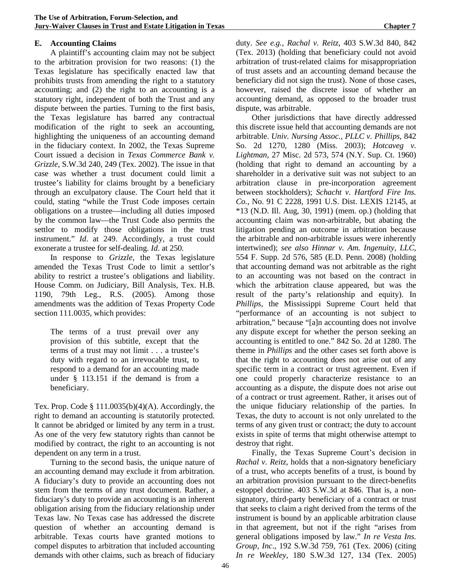#### **E. Accounting Claims**

A plaintiff's accounting claim may not be subject to the arbitration provision for two reasons: (1) the Texas legislature has specifically enacted law that prohibits trusts from amending the right to a statutory accounting; and (2) the right to an accounting is a statutory right, independent of both the Trust and any dispute between the parties. Turning to the first basis, the Texas legislature has barred any contractual modification of the right to seek an accounting, highlighting the uniqueness of an accounting demand in the fiduciary context. In 2002, the Texas Supreme Court issued a decision in *Texas Commerce Bank v. Grizzle*, S.W.3d 240, 249 (Tex. 2002). The issue in that case was whether a trust document could limit a trustee's liability for claims brought by a beneficiary through an exculpatory clause. The Court held that it could, stating "while the Trust Code imposes certain obligations on a trustee—including all duties imposed by the common law—the Trust Code also permits the settlor to modify those obligations in the trust instrument." *Id*. at 249. Accordingly, a trust could exonerate a trustee for self-dealing. *Id*. at 250.

In response to *Grizzle*, the Texas legislature amended the Texas Trust Code to limit a settlor's ability to restrict a trustee's obligations and liability. House Comm. on Judiciary, Bill Analysis, Tex. H.B. 1190, 79th Leg., R.S. (2005). Among those amendments was the addition of Texas Property Code section 111.0035, which provides:

The terms of a trust prevail over any provision of this subtitle, except that the terms of a trust may not limit . . . a trustee's duty with regard to an irrevocable trust, to respond to a demand for an accounting made under § 113.151 if the demand is from a beneficiary.

Tex. Prop. Code  $\S 111.0035(b)(4)(A)$ . Accordingly, the right to demand an accounting is statutorily protected. It cannot be abridged or limited by any term in a trust. As one of the very few statutory rights than cannot be modified by contract, the right to an accounting is not dependent on any term in a trust.

Turning to the second basis, the unique nature of an accounting demand may exclude it from arbitration. A fiduciary's duty to provide an accounting does not stem from the terms of any trust document. Rather, a fiduciary's duty to provide an accounting is an inherent obligation arising from the fiduciary relationship under Texas law. No Texas case has addressed the discrete question of whether an accounting demand is arbitrable. Texas courts have granted motions to compel disputes to arbitration that included accounting demands with other claims, such as breach of fiduciary

duty. *See e.g., Rachal v. Reitz*, 403 S.W.3d 840, 842 (Tex. 2013) (holding that beneficiary could not avoid arbitration of trust-related claims for misappropriation of trust assets and an accounting demand because the beneficiary did not sign the trust). None of those cases, however, raised the discrete issue of whether an accounting demand, as opposed to the broader trust dispute, was arbitrable.

Other jurisdictions that have directly addressed this discrete issue held that accounting demands are not arbitrable. *Univ. Nursing Assoc., PLLC v. Phillips*, 842 So. 2d 1270, 1280 (Miss. 2003); *Hotcaveg v. Lightman*, 27 Misc. 2d 573, 574 (N.Y. Sup. Ct. 1960) (holding that right to demand an accounting by a shareholder in a derivative suit was not subject to an arbitration clause in pre-incorporation agreement between stockholders); *Schacht v. Hartford Fire Ins. Co.*, No. 91 C 2228, 1991 U.S. Dist. LEXIS 12145, at \*13 (N.D. Ill. Aug, 30, 1991) (mem. op.) (holding that accounting claim was non-arbitrable, but abating the litigation pending an outcome in arbitration because the arbitrable and non-arbitrable issues were inherently intertwined); *see also Hinnar v. Am. Ingenuity, LLC*, 554 F. Supp. 2d 576, 585 (E.D. Penn. 2008) (holding that accounting demand was not arbitrable as the right to an accounting was not based on the contract in which the arbitration clause appeared, but was the result of the party's relationship and equity). In *Phillips*, the Mississippi Supreme Court held that "performance of an accounting is not subject to arbitration," because "[a]n accounting does not involve any dispute except for whether the person seeking an accounting is entitled to one." 842 So. 2d at 1280. The theme in *Phillips* and the other cases set forth above is that the right to accounting does not arise out of any specific term in a contract or trust agreement. Even if one could properly characterize resistance to an accounting as a dispute, the dispute does not arise out of a contract or trust agreement. Rather, it arises out of the unique fiduciary relationship of the parties. In Texas, the duty to account is not only unrelated to the terms of any given trust or contract; the duty to account exists in spite of terms that might otherwise attempt to destroy that right.

Finally, the Texas Supreme Court's decision in *Rachal v. Reitz*, holds that a non-signatory beneficiary of a trust, who accepts benefits of a trust, is bound by an arbitration provision pursuant to the direct-benefits estoppel doctrine. 403 S.W.3d at 846. That is, a nonsignatory, third-party beneficiary of a contract or trust that seeks to claim a right derived from the terms of the instrument is bound by an applicable arbitration clause in that agreement, but not if the right "arises from general obligations imposed by law." *In re Vesta Ins. Group, Inc*., 192 S.W.3d 759, 761 (Tex. 2006) (citing *In re Weekley*, 180 S.W.3d 127, 134 (Tex. 2005)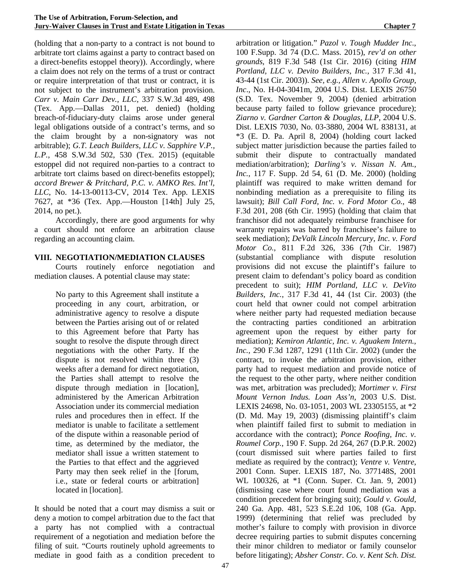(holding that a non-party to a contract is not bound to arbitrate tort claims against a party to contract based on a direct-benefits estoppel theory)). Accordingly, where a claim does not rely on the terms of a trust or contract or require interpretation of that trust or contract, it is not subject to the instrument's arbitration provision. *Carr v. Main Carr Dev., LLC,* 337 S.W.3d 489, 498 (Tex. App.—Dallas 2011, pet. denied) (holding breach-of-fiduciary-duty claims arose under general legal obligations outside of a contract's terms, and so the claim brought by a non-signatory was not arbitrable); *G.T. Leach Builders, LLC v. Sapphire V.P., L.P.*, 458 S.W.3d 502, 530 (Tex. 2015) (equitable estoppel did not required non-parties to a contract to arbitrate tort claims based on direct-benefits estoppel); *accord Brewer & Pritchard, P.C. v. AMKO Res. Int'l, LLC*, No. 14-13-00113-CV, 2014 Tex. App. LEXIS 7627, at \*36 (Tex. App.—Houston [14th] July 25, 2014, no pet.).

Accordingly, there are good arguments for why a court should not enforce an arbitration clause regarding an accounting claim.

#### **VIII. NEGOTIATION/MEDIATION CLAUSES**

Courts routinely enforce negotiation and mediation clauses. A potential clause may state:

> No party to this Agreement shall institute a proceeding in any court, arbitration, or administrative agency to resolve a dispute between the Parties arising out of or related to this Agreement before that Party has sought to resolve the dispute through direct negotiations with the other Party. If the dispute is not resolved within three (3) weeks after a demand for direct negotiation, the Parties shall attempt to resolve the dispute through mediation in [location], administered by the American Arbitration Association under its commercial mediation rules and procedures then in effect. If the mediator is unable to facilitate a settlement of the dispute within a reasonable period of time, as determined by the mediator, the mediator shall issue a written statement to the Parties to that effect and the aggrieved Party may then seek relief in the [forum, i.e., state or federal courts or arbitration] located in [location].

It should be noted that a court may dismiss a suit or deny a motion to compel arbitration due to the fact that a party has not complied with a contractual requirement of a negotiation and mediation before the filing of suit. "Courts routinely uphold agreements to mediate in good faith as a condition precedent to

arbitration or litigation." *Pazol v. Tough Mudder Inc.*, 100 F.Supp. 3d 74 (D.C. Mass. 2015), *rev'd on other grounds*, 819 F.3d 548 (1st Cir. 2016) (citing *HIM Portland, LLC v. Devito Builders, Inc.,* 317 F.3d 41, 43-44 (1st Cir. 2003)). *See, e.g., Allen v. Apollo Group, Inc*., No. H-04-3041m, 2004 U.S. Dist. LEXIS 26750 (S.D. Tex. November 9, 2004) (denied arbitration because party failed to follow grievance procedure); *Ziarno v. Gardner Carton & Douglas, LLP*, 2004 U.S. Dist. LEXIS 7030, No. 03-3880, 2004 WL 838131, at \*3 (E. D. Pa. April 8, 2004) (holding court lacked subject matter jurisdiction because the parties failed to submit their dispute to contractually mandated mediation/arbitration); *Darling's v. Nissan N. Am., Inc.*, 117 F. Supp. 2d 54, 61 (D. Me. 2000) (holding plaintiff was required to make written demand for nonbinding mediation as a prerequisite to filing its lawsuit); *Bill Call Ford, Inc. v. Ford Motor Co.,* 48 F.3d 201, 208 (6th Cir. 1995) (holding that claim that franchisor did not adequately reimburse franchisee for warranty repairs was barred by franchisee's failure to seek mediation); *DeValk Lincoln Mercury, Inc. v. Ford Motor Co.*, 811 F.2d 326, 336 (7th Cir. 1987) (substantial compliance with dispute resolution provisions did not excuse the plaintiff's failure to present claim to defendant's policy board as condition precedent to suit); *HIM Portland, LLC v. DeVito Builders, Inc.*, 317 F.3d 41, 44 (1st Cir. 2003) (the court held that owner could not compel arbitration where neither party had requested mediation because the contracting parties conditioned an arbitration agreement upon the request by either party for mediation); *Kemiron Atlantic, Inc. v. Aguakem Intern., Inc.,* 290 F.3d 1287, 1291 (11th Cir. 2002) (under the contract, to invoke the arbitration provision, either party had to request mediation and provide notice of the request to the other party, where neither condition was met, arbitration was precluded); *Mortimer v. First Mount Vernon Indus. Loan Ass'n*, 2003 U.S. Dist. LEXIS 24698, No. 03-1051, 2003 WL 23305155, at \*2 (D. Md. May 19, 2003) (dismissing plaintiff's claim when plaintiff failed first to submit to mediation in accordance with the contract); *Ponce Roofing, Inc. v. Roumel Corp.*, 190 F. Supp. 2d 264, 267 (D.P.R. 2002) (court dismissed suit where parties failed to first mediate as required by the contract); *Ventre v. Ventre*, 2001 Conn. Super. LEXIS 187, No. 377148S, 2001 WL 100326, at \*1 (Conn. Super. Ct. Jan. 9, 2001) (dismissing case where court found mediation was a condition precedent for bringing suit); *Gould v. Gould*, 240 Ga. App. 481, 523 S.E.2d 106, 108 (Ga. App. 1999) (determining that relief was precluded by mother's failure to comply with provision in divorce decree requiring parties to submit disputes concerning their minor children to mediator or family counselor before litigating); *Absher Constr. Co. v. Kent Sch. Dist.*